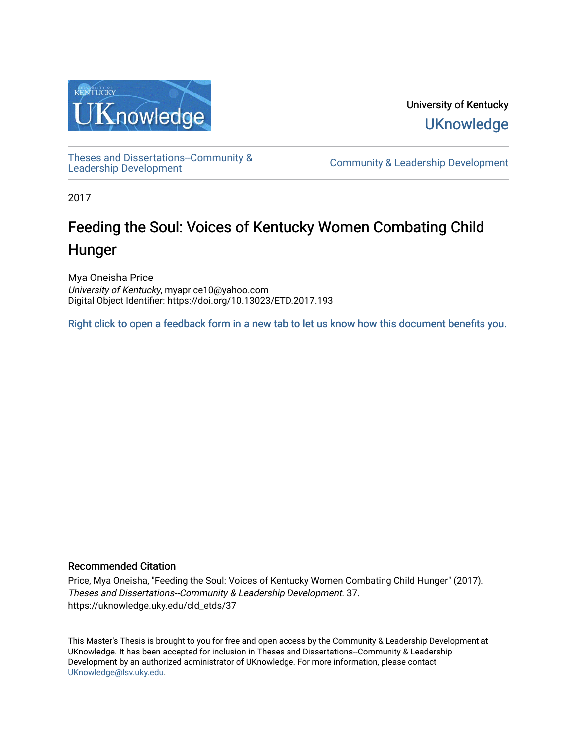

University of Kentucky **UKnowledge** 

[Theses and Dissertations--Community &](https://uknowledge.uky.edu/cld_etds)

[Leadership Development](https://uknowledge.uky.edu/cld_etds) [Community & Leadership Development](https://uknowledge.uky.edu/cld) 

2017

# Feeding the Soul: Voices of Kentucky Women Combating Child Hunger

Mya Oneisha Price University of Kentucky, myaprice10@yahoo.com Digital Object Identifier: https://doi.org/10.13023/ETD.2017.193

[Right click to open a feedback form in a new tab to let us know how this document benefits you.](https://uky.az1.qualtrics.com/jfe/form/SV_9mq8fx2GnONRfz7)

## Recommended Citation

Price, Mya Oneisha, "Feeding the Soul: Voices of Kentucky Women Combating Child Hunger" (2017). Theses and Dissertations--Community & Leadership Development. 37. https://uknowledge.uky.edu/cld\_etds/37

This Master's Thesis is brought to you for free and open access by the Community & Leadership Development at UKnowledge. It has been accepted for inclusion in Theses and Dissertations--Community & Leadership Development by an authorized administrator of UKnowledge. For more information, please contact [UKnowledge@lsv.uky.edu.](mailto:UKnowledge@lsv.uky.edu)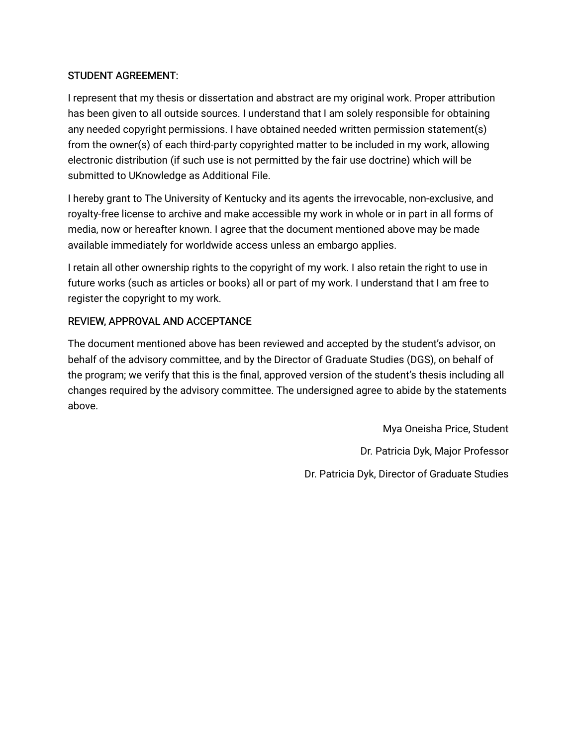## STUDENT AGREEMENT:

I represent that my thesis or dissertation and abstract are my original work. Proper attribution has been given to all outside sources. I understand that I am solely responsible for obtaining any needed copyright permissions. I have obtained needed written permission statement(s) from the owner(s) of each third-party copyrighted matter to be included in my work, allowing electronic distribution (if such use is not permitted by the fair use doctrine) which will be submitted to UKnowledge as Additional File.

I hereby grant to The University of Kentucky and its agents the irrevocable, non-exclusive, and royalty-free license to archive and make accessible my work in whole or in part in all forms of media, now or hereafter known. I agree that the document mentioned above may be made available immediately for worldwide access unless an embargo applies.

I retain all other ownership rights to the copyright of my work. I also retain the right to use in future works (such as articles or books) all or part of my work. I understand that I am free to register the copyright to my work.

## REVIEW, APPROVAL AND ACCEPTANCE

The document mentioned above has been reviewed and accepted by the student's advisor, on behalf of the advisory committee, and by the Director of Graduate Studies (DGS), on behalf of the program; we verify that this is the final, approved version of the student's thesis including all changes required by the advisory committee. The undersigned agree to abide by the statements above.

> Mya Oneisha Price, Student Dr. Patricia Dyk, Major Professor Dr. Patricia Dyk, Director of Graduate Studies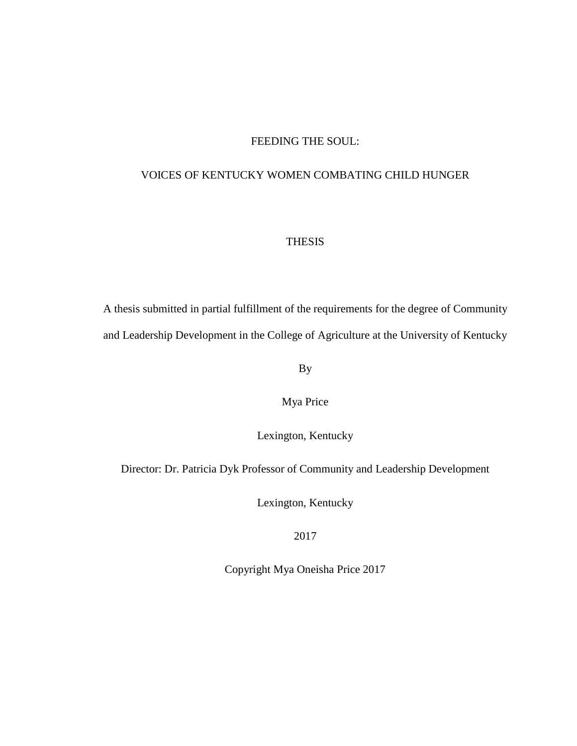## FEEDING THE SOUL:

#### VOICES OF KENTUCKY WOMEN COMBATING CHILD HUNGER

#### THESIS

A thesis submitted in partial fulfillment of the requirements for the degree of Community and Leadership Development in the College of Agriculture at the University of Kentucky

By

Mya Price

Lexington, Kentucky

Director: Dr. Patricia Dyk Professor of Community and Leadership Development

Lexington, Kentucky

2017

Copyright Mya Oneisha Price 2017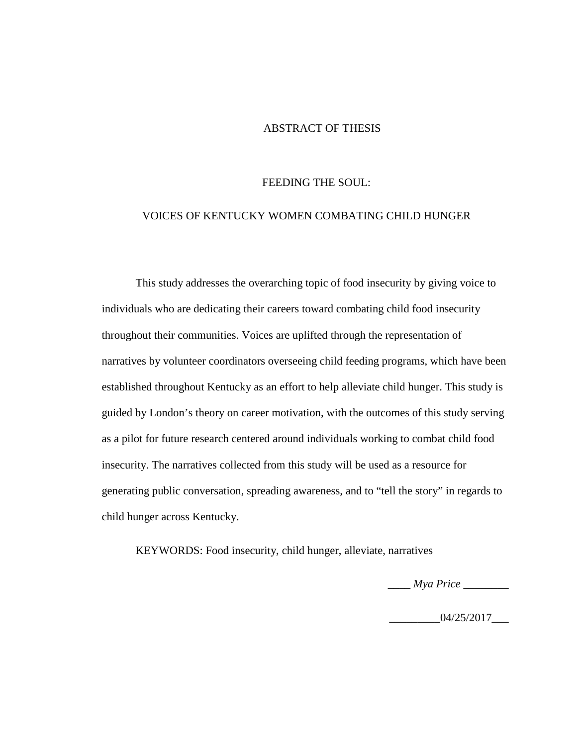#### ABSTRACT OF THESIS

#### FEEDING THE SOUL:

## VOICES OF KENTUCKY WOMEN COMBATING CHILD HUNGER

This study addresses the overarching topic of food insecurity by giving voice to individuals who are dedicating their careers toward combating child food insecurity throughout their communities. Voices are uplifted through the representation of narratives by volunteer coordinators overseeing child feeding programs, which have been established throughout Kentucky as an effort to help alleviate child hunger. This study is guided by London's theory on career motivation, with the outcomes of this study serving as a pilot for future research centered around individuals working to combat child food insecurity. The narratives collected from this study will be used as a resource for generating public conversation, spreading awareness*,* and to "tell the story" in regards to child hunger across Kentucky.

KEYWORDS: Food insecurity, child hunger, alleviate, narratives

*\_\_\_\_ Mya Price* \_\_\_\_\_\_\_\_

 $-$  04/25/2017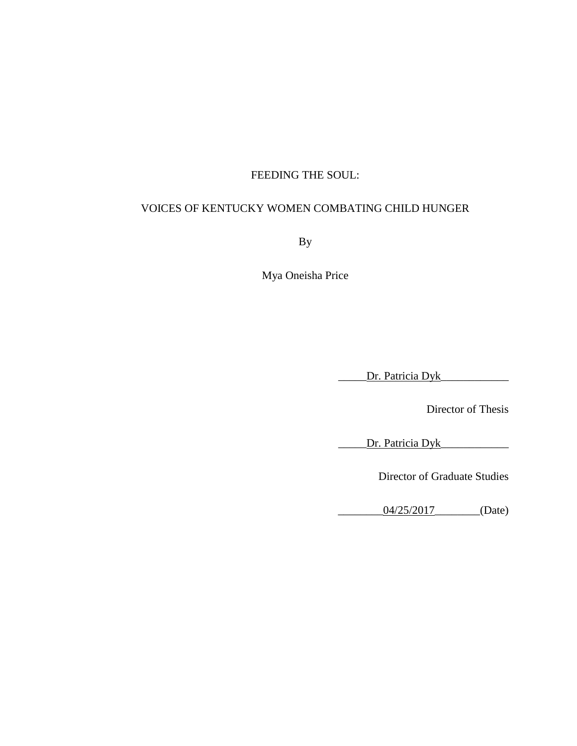## FEEDING THE SOUL:

## VOICES OF KENTUCKY WOMEN COMBATING CHILD HUNGER

By

Mya Oneisha Price

\_\_\_\_\_Dr. Patricia Dyk\_\_\_\_\_\_\_\_\_\_\_\_

Director of Thesis

\_\_\_\_\_Dr. Patricia Dyk\_\_\_\_\_\_\_\_\_\_\_\_

Director of Graduate Studies

\_\_\_\_\_\_\_\_04/25/2017\_\_\_\_\_\_\_\_(Date)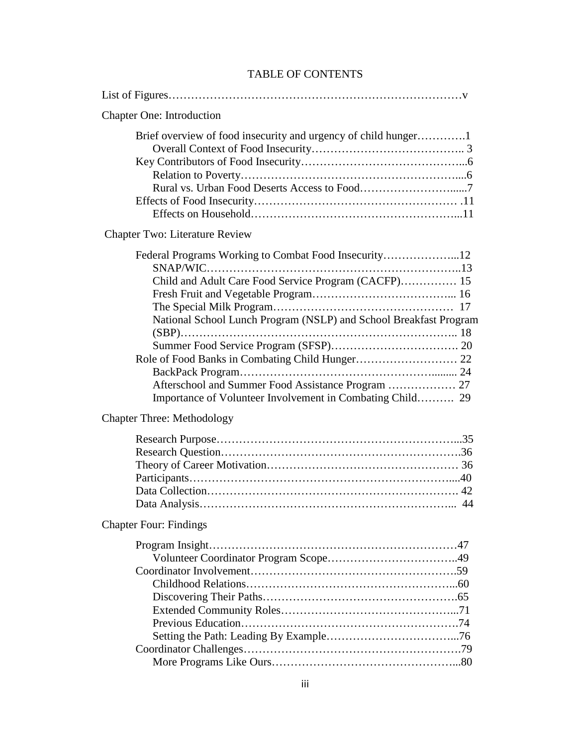## TABLE OF CONTENTS

| <b>Chapter One: Introduction</b>                                                                                                                                                                                                             |
|----------------------------------------------------------------------------------------------------------------------------------------------------------------------------------------------------------------------------------------------|
|                                                                                                                                                                                                                                              |
| Chapter Two: Literature Review                                                                                                                                                                                                               |
| Child and Adult Care Food Service Program (CACFP) 15<br>National School Lunch Program (NSLP) and School Breakfast Program<br>Afterschool and Summer Food Assistance Program  27<br>Importance of Volunteer Involvement in Combating Child 29 |
| <b>Chapter Three: Methodology</b>                                                                                                                                                                                                            |
|                                                                                                                                                                                                                                              |
| <b>Chapter Four: Findings</b>                                                                                                                                                                                                                |
| Program Insight                                                                                                                                                                                                                              |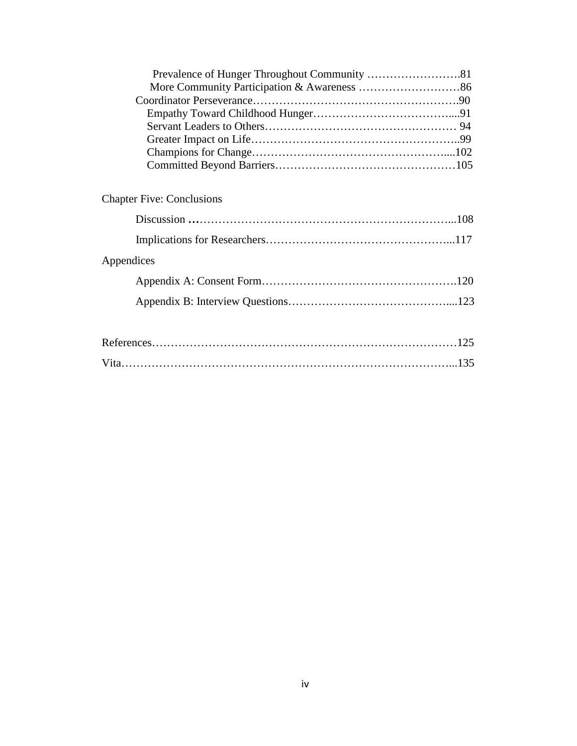## Chapter Five: Conclusions

| Appendices |  |
|------------|--|
|            |  |
|            |  |
|            |  |
|            |  |

Vita……………………………………………………………………………...135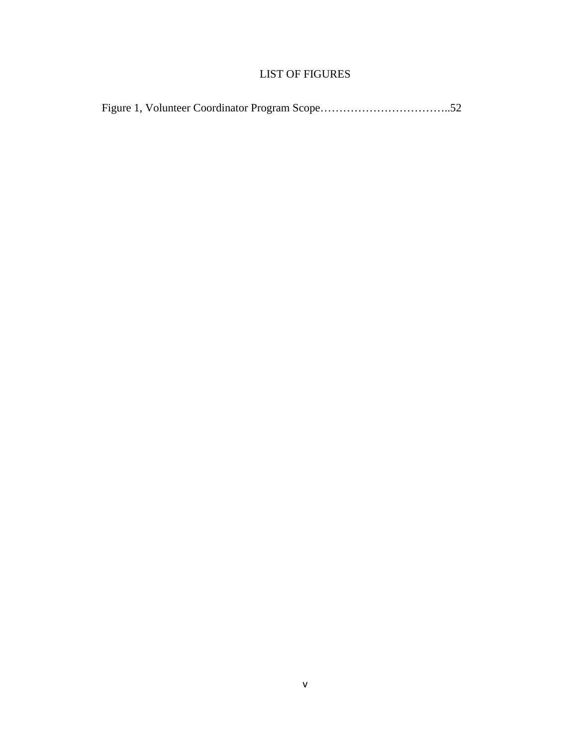## LIST OF FIGURES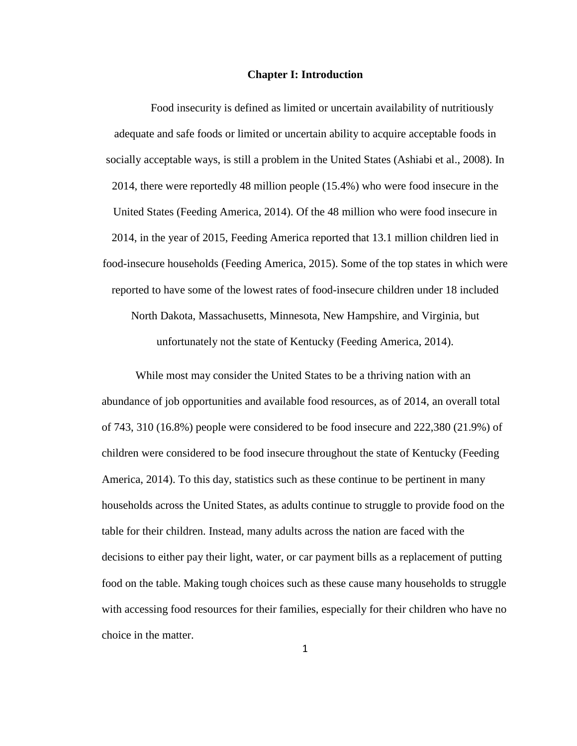#### **Chapter I: Introduction**

Food insecurity is defined as limited or uncertain availability of nutritiously adequate and safe foods or limited or uncertain ability to acquire acceptable foods in socially acceptable ways, is still a problem in the United States (Ashiabi et al., 2008). In 2014, there were reportedly 48 million people (15.4%) who were food insecure in the United States (Feeding America, 2014). Of the 48 million who were food insecure in 2014, in the year of 2015, Feeding America reported that 13.1 million children lied in food-insecure households (Feeding America, 2015). Some of the top states in which were reported to have some of the lowest rates of food-insecure children under 18 included North Dakota, Massachusetts, Minnesota, New Hampshire, and Virginia, but unfortunately not the state of Kentucky (Feeding America, 2014).

While most may consider the United States to be a thriving nation with an abundance of job opportunities and available food resources, as of 2014, an overall total of 743, 310 (16.8%) people were considered to be food insecure and 222,380 (21.9%) of children were considered to be food insecure throughout the state of Kentucky (Feeding America, 2014). To this day, statistics such as these continue to be pertinent in many households across the United States, as adults continue to struggle to provide food on the table for their children. Instead, many adults across the nation are faced with the decisions to either pay their light, water, or car payment bills as a replacement of putting food on the table. Making tough choices such as these cause many households to struggle with accessing food resources for their families, especially for their children who have no choice in the matter.

1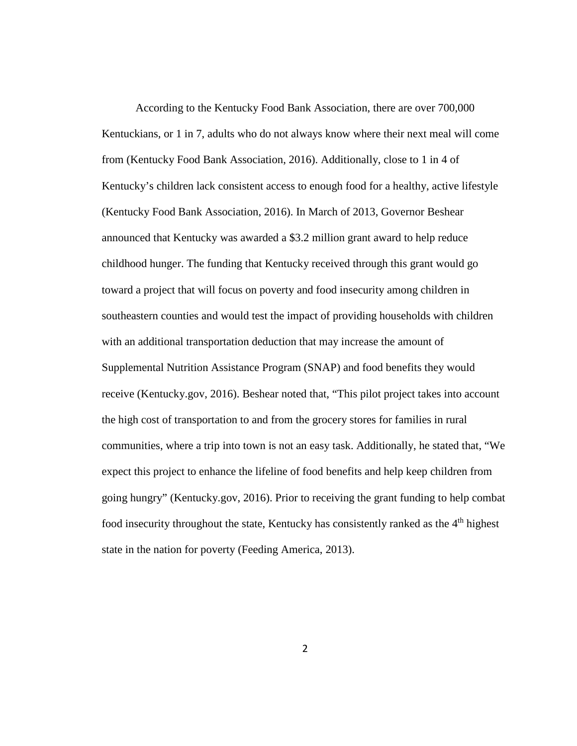According to the Kentucky Food Bank Association, there are over 700,000 Kentuckians, or 1 in 7, adults who do not always know where their next meal will come from (Kentucky Food Bank Association, 2016). Additionally, close to 1 in 4 of Kentucky's children lack consistent access to enough food for a healthy, active lifestyle (Kentucky Food Bank Association, 2016). In March of 2013, Governor Beshear announced that Kentucky was awarded a \$3.2 million grant award to help reduce childhood hunger. The funding that Kentucky received through this grant would go toward a project that will focus on poverty and food insecurity among children in southeastern counties and would test the impact of providing households with children with an additional transportation deduction that may increase the amount of Supplemental Nutrition Assistance Program (SNAP) and food benefits they would receive (Kentucky.gov, 2016). Beshear noted that, "This pilot project takes into account the high cost of transportation to and from the grocery stores for families in rural communities, where a trip into town is not an easy task. Additionally, he stated that, "We expect this project to enhance the lifeline of food benefits and help keep children from going hungry" (Kentucky.gov, 2016). Prior to receiving the grant funding to help combat food insecurity throughout the state, Kentucky has consistently ranked as the  $4<sup>th</sup>$  highest state in the nation for poverty (Feeding America, 2013).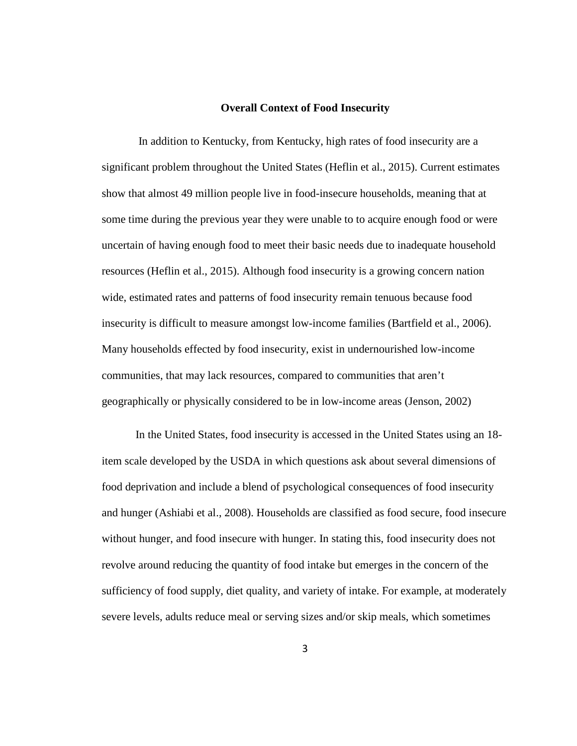#### **Overall Context of Food Insecurity**

 In addition to Kentucky, from Kentucky, high rates of food insecurity are a significant problem throughout the United States (Heflin et al., 2015). Current estimates show that almost 49 million people live in food-insecure households, meaning that at some time during the previous year they were unable to to acquire enough food or were uncertain of having enough food to meet their basic needs due to inadequate household resources (Heflin et al., 2015). Although food insecurity is a growing concern nation wide, estimated rates and patterns of food insecurity remain tenuous because food insecurity is difficult to measure amongst low-income families (Bartfield et al., 2006). Many households effected by food insecurity, exist in undernourished low-income communities, that may lack resources, compared to communities that aren't geographically or physically considered to be in low-income areas (Jenson, 2002)

In the United States, food insecurity is accessed in the United States using an 18 item scale developed by the USDA in which questions ask about several dimensions of food deprivation and include a blend of psychological consequences of food insecurity and hunger (Ashiabi et al., 2008). Households are classified as food secure, food insecure without hunger, and food insecure with hunger. In stating this, food insecurity does not revolve around reducing the quantity of food intake but emerges in the concern of the sufficiency of food supply, diet quality, and variety of intake. For example, at moderately severe levels, adults reduce meal or serving sizes and/or skip meals, which sometimes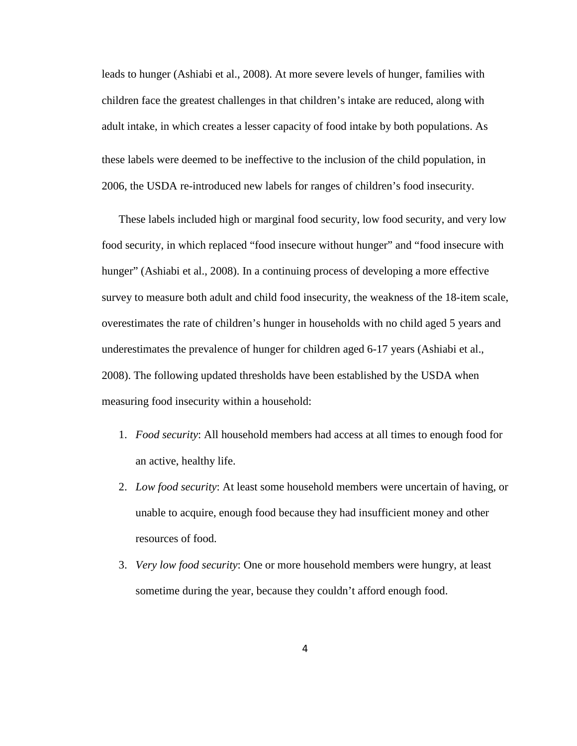leads to hunger (Ashiabi et al., 2008). At more severe levels of hunger, families with children face the greatest challenges in that children's intake are reduced, along with adult intake, in which creates a lesser capacity of food intake by both populations. As these labels were deemed to be ineffective to the inclusion of the child population, in 2006, the USDA re-introduced new labels for ranges of children's food insecurity.

These labels included high or marginal food security, low food security, and very low food security, in which replaced "food insecure without hunger" and "food insecure with hunger" (Ashiabi et al., 2008). In a continuing process of developing a more effective survey to measure both adult and child food insecurity, the weakness of the 18-item scale, overestimates the rate of children's hunger in households with no child aged 5 years and underestimates the prevalence of hunger for children aged 6-17 years (Ashiabi et al., 2008). The following updated thresholds have been established by the USDA when measuring food insecurity within a household:

- 1. *Food security*: All household members had access at all times to enough food for an active, healthy life.
- 2. *Low food security*: At least some household members were uncertain of having, or unable to acquire, enough food because they had insufficient money and other resources of food.
- 3. *Very low food security*: One or more household members were hungry, at least sometime during the year, because they couldn't afford enough food.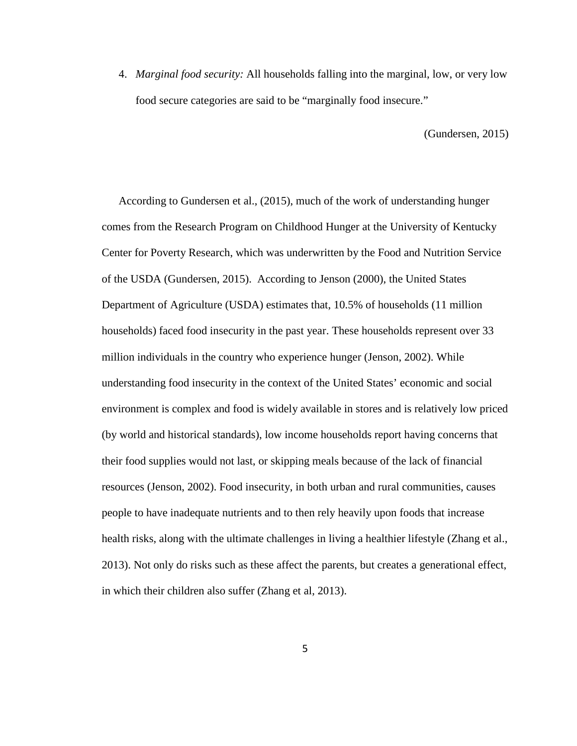4. *Marginal food security:* All households falling into the marginal, low, or very low food secure categories are said to be "marginally food insecure."

(Gundersen, 2015)

According to Gundersen et al., (2015), much of the work of understanding hunger comes from the Research Program on Childhood Hunger at the University of Kentucky Center for Poverty Research, which was underwritten by the Food and Nutrition Service of the USDA (Gundersen, 2015). According to Jenson (2000), the United States Department of Agriculture (USDA) estimates that, 10.5% of households (11 million households) faced food insecurity in the past year. These households represent over 33 million individuals in the country who experience hunger (Jenson, 2002). While understanding food insecurity in the context of the United States' economic and social environment is complex and food is widely available in stores and is relatively low priced (by world and historical standards), low income households report having concerns that their food supplies would not last, or skipping meals because of the lack of financial resources (Jenson, 2002). Food insecurity, in both urban and rural communities, causes people to have inadequate nutrients and to then rely heavily upon foods that increase health risks, along with the ultimate challenges in living a healthier lifestyle (Zhang et al., 2013). Not only do risks such as these affect the parents, but creates a generational effect, in which their children also suffer (Zhang et al, 2013).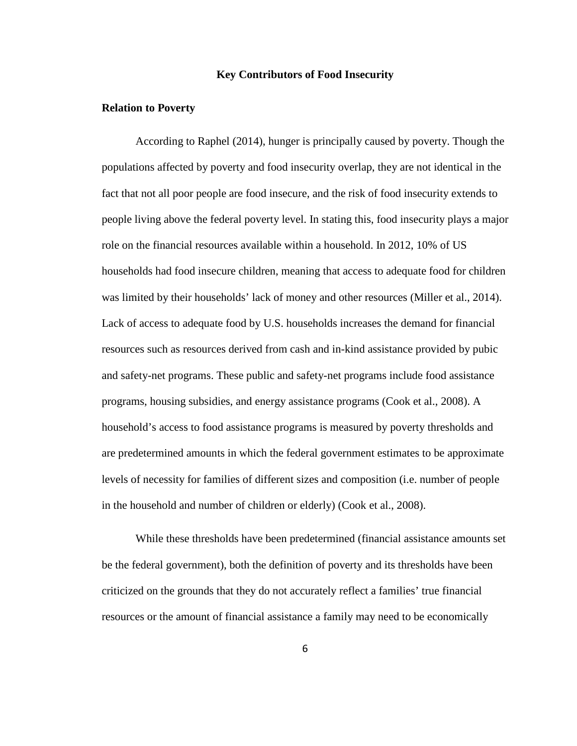#### **Key Contributors of Food Insecurity**

#### **Relation to Poverty**

According to Raphel (2014), hunger is principally caused by poverty. Though the populations affected by poverty and food insecurity overlap, they are not identical in the fact that not all poor people are food insecure, and the risk of food insecurity extends to people living above the federal poverty level. In stating this, food insecurity plays a major role on the financial resources available within a household. In 2012, 10% of US households had food insecure children, meaning that access to adequate food for children was limited by their households' lack of money and other resources (Miller et al., 2014). Lack of access to adequate food by U.S. households increases the demand for financial resources such as resources derived from cash and in-kind assistance provided by pubic and safety-net programs. These public and safety-net programs include food assistance programs, housing subsidies, and energy assistance programs (Cook et al., 2008). A household's access to food assistance programs is measured by poverty thresholds and are predetermined amounts in which the federal government estimates to be approximate levels of necessity for families of different sizes and composition (i.e. number of people in the household and number of children or elderly) (Cook et al., 2008).

While these thresholds have been predetermined (financial assistance amounts set be the federal government), both the definition of poverty and its thresholds have been criticized on the grounds that they do not accurately reflect a families' true financial resources or the amount of financial assistance a family may need to be economically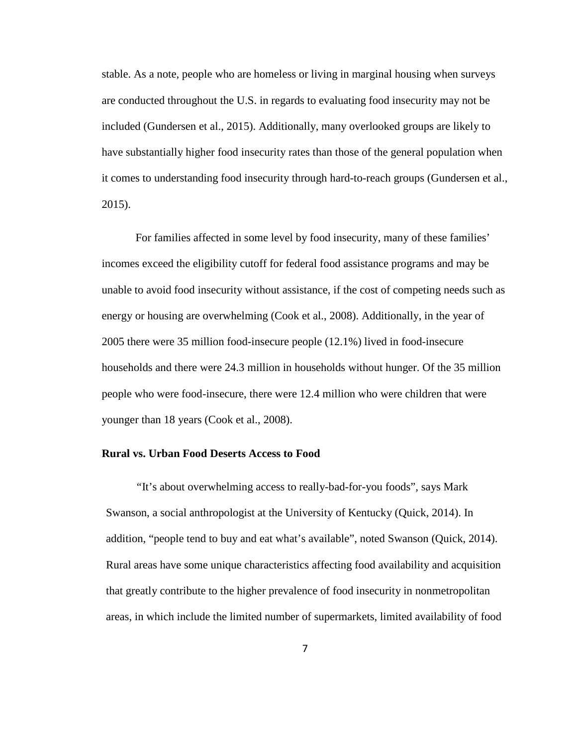stable. As a note, people who are homeless or living in marginal housing when surveys are conducted throughout the U.S. in regards to evaluating food insecurity may not be included (Gundersen et al., 2015). Additionally, many overlooked groups are likely to have substantially higher food insecurity rates than those of the general population when it comes to understanding food insecurity through hard-to-reach groups (Gundersen et al., 2015).

For families affected in some level by food insecurity, many of these families' incomes exceed the eligibility cutoff for federal food assistance programs and may be unable to avoid food insecurity without assistance, if the cost of competing needs such as energy or housing are overwhelming (Cook et al., 2008). Additionally, in the year of 2005 there were 35 million food-insecure people (12.1%) lived in food-insecure households and there were 24.3 million in households without hunger. Of the 35 million people who were food-insecure, there were 12.4 million who were children that were younger than 18 years (Cook et al., 2008).

#### **Rural vs. Urban Food Deserts Access to Food**

*"*It's about overwhelming access to really-bad-for-you foods"*,* says Mark Swanson, a social anthropologist at the University of Kentucky (Quick, 2014). In addition, "people tend to buy and eat what's available", noted Swanson (Quick, 2014). Rural areas have some unique characteristics affecting food availability and acquisition that greatly contribute to the higher prevalence of food insecurity in nonmetropolitan areas, in which include the limited number of supermarkets, limited availability of food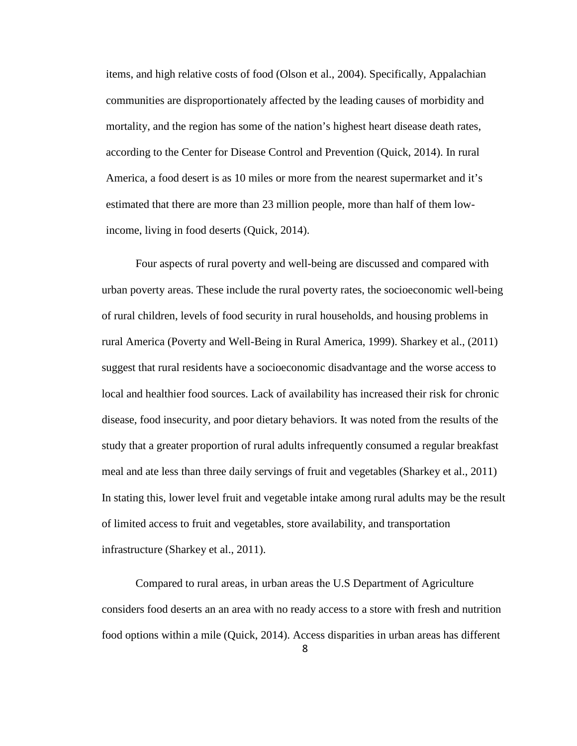items, and high relative costs of food (Olson et al., 2004). Specifically, Appalachian communities are disproportionately affected by the leading causes of morbidity and mortality, and the region has some of the nation's highest heart disease death rates, according to the Center for Disease Control and Prevention (Quick, 2014). In rural America, a food desert is as 10 miles or more from the nearest supermarket and it's estimated that there are more than 23 million people, more than half of them lowincome, living in food deserts (Quick, 2014).

Four aspects of rural poverty and well-being are discussed and compared with urban poverty areas. These include the rural poverty rates, the socioeconomic well-being of rural children, levels of food security in rural households, and housing problems in rural America (Poverty and Well-Being in Rural America, 1999). Sharkey et al., (2011) suggest that rural residents have a socioeconomic disadvantage and the worse access to local and healthier food sources. Lack of availability has increased their risk for chronic disease, food insecurity, and poor dietary behaviors. It was noted from the results of the study that a greater proportion of rural adults infrequently consumed a regular breakfast meal and ate less than three daily servings of fruit and vegetables (Sharkey et al., 2011) In stating this, lower level fruit and vegetable intake among rural adults may be the result of limited access to fruit and vegetables, store availability, and transportation infrastructure (Sharkey et al., 2011).

Compared to rural areas, in urban areas the U.S Department of Agriculture considers food deserts an an area with no ready access to a store with fresh and nutrition food options within a mile (Quick, 2014). Access disparities in urban areas has different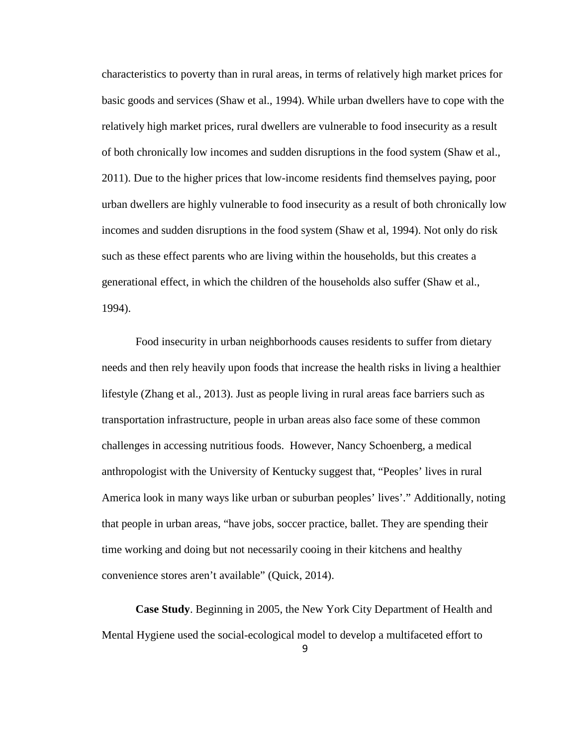characteristics to poverty than in rural areas, in terms of relatively high market prices for basic goods and services (Shaw et al., 1994). While urban dwellers have to cope with the relatively high market prices, rural dwellers are vulnerable to food insecurity as a result of both chronically low incomes and sudden disruptions in the food system (Shaw et al., 2011). Due to the higher prices that low-income residents find themselves paying, poor urban dwellers are highly vulnerable to food insecurity as a result of both chronically low incomes and sudden disruptions in the food system (Shaw et al, 1994). Not only do risk such as these effect parents who are living within the households, but this creates a generational effect, in which the children of the households also suffer (Shaw et al., 1994).

Food insecurity in urban neighborhoods causes residents to suffer from dietary needs and then rely heavily upon foods that increase the health risks in living a healthier lifestyle (Zhang et al., 2013). Just as people living in rural areas face barriers such as transportation infrastructure, people in urban areas also face some of these common challenges in accessing nutritious foods. However, Nancy Schoenberg, a medical anthropologist with the University of Kentucky suggest that, "Peoples' lives in rural America look in many ways like urban or suburban peoples' lives'." Additionally, noting that people in urban areas, "have jobs, soccer practice, ballet. They are spending their time working and doing but not necessarily cooing in their kitchens and healthy convenience stores aren't available" (Quick, 2014).

**Case Study**. Beginning in 2005, the New York City Department of Health and Mental Hygiene used the social-ecological model to develop a multifaceted effort to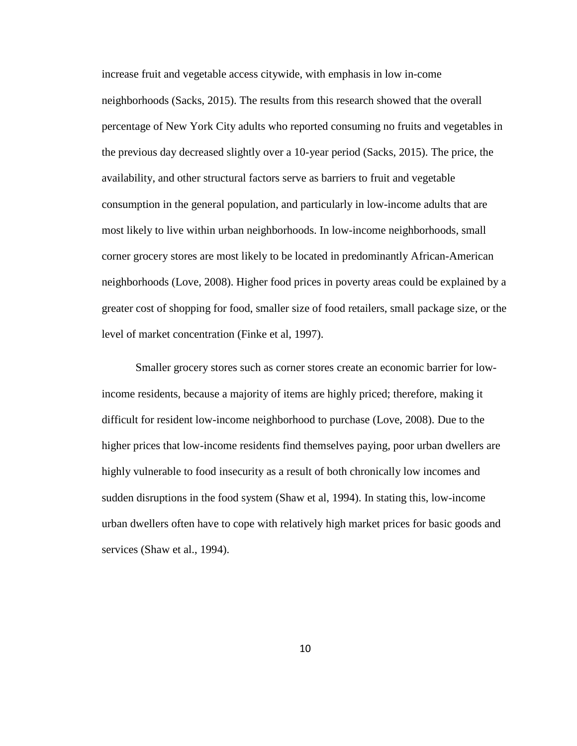increase fruit and vegetable access citywide, with emphasis in low in-come neighborhoods (Sacks, 2015). The results from this research showed that the overall percentage of New York City adults who reported consuming no fruits and vegetables in the previous day decreased slightly over a 10-year period (Sacks, 2015). The price, the availability, and other structural factors serve as barriers to fruit and vegetable consumption in the general population, and particularly in low-income adults that are most likely to live within urban neighborhoods. In low-income neighborhoods, small corner grocery stores are most likely to be located in predominantly African-American neighborhoods (Love, 2008). Higher food prices in poverty areas could be explained by a greater cost of shopping for food, smaller size of food retailers, small package size, or the level of market concentration (Finke et al, 1997).

Smaller grocery stores such as corner stores create an economic barrier for lowincome residents, because a majority of items are highly priced; therefore, making it difficult for resident low-income neighborhood to purchase (Love, 2008). Due to the higher prices that low-income residents find themselves paying, poor urban dwellers are highly vulnerable to food insecurity as a result of both chronically low incomes and sudden disruptions in the food system (Shaw et al, 1994). In stating this, low-income urban dwellers often have to cope with relatively high market prices for basic goods and services (Shaw et al., 1994).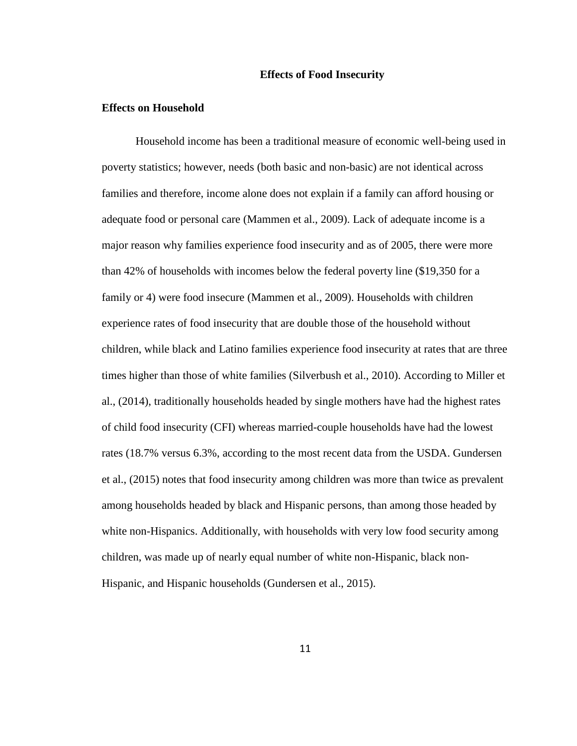#### **Effects of Food Insecurity**

#### **Effects on Household**

Household income has been a traditional measure of economic well-being used in poverty statistics; however, needs (both basic and non-basic) are not identical across families and therefore, income alone does not explain if a family can afford housing or adequate food or personal care (Mammen et al., 2009). Lack of adequate income is a major reason why families experience food insecurity and as of 2005, there were more than 42% of households with incomes below the federal poverty line (\$19,350 for a family or 4) were food insecure (Mammen et al., 2009). Households with children experience rates of food insecurity that are double those of the household without children, while black and Latino families experience food insecurity at rates that are three times higher than those of white families (Silverbush et al., 2010). According to Miller et al., (2014), traditionally households headed by single mothers have had the highest rates of child food insecurity (CFI) whereas married-couple households have had the lowest rates (18.7% versus 6.3%, according to the most recent data from the USDA. Gundersen et al., (2015) notes that food insecurity among children was more than twice as prevalent among households headed by black and Hispanic persons, than among those headed by white non-Hispanics. Additionally, with households with very low food security among children, was made up of nearly equal number of white non-Hispanic, black non-Hispanic, and Hispanic households (Gundersen et al., 2015).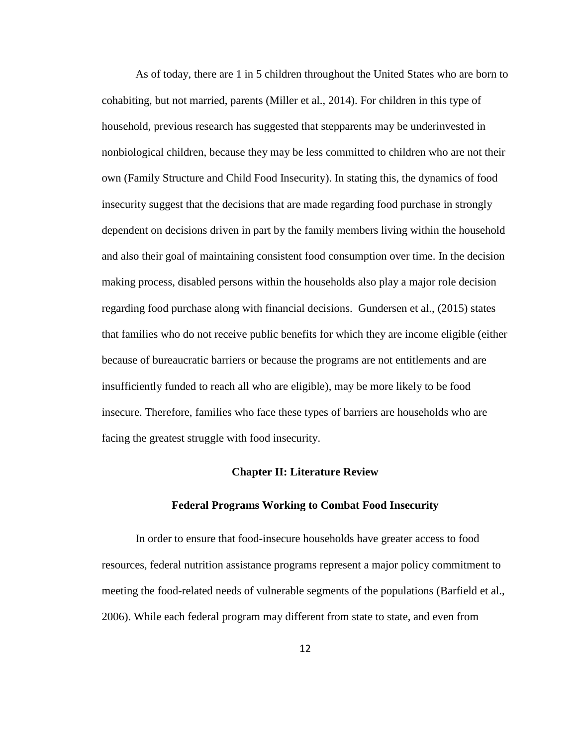As of today, there are 1 in 5 children throughout the United States who are born to cohabiting, but not married, parents (Miller et al., 2014). For children in this type of household, previous research has suggested that stepparents may be underinvested in nonbiological children, because they may be less committed to children who are not their own (Family Structure and Child Food Insecurity). In stating this, the dynamics of food insecurity suggest that the decisions that are made regarding food purchase in strongly dependent on decisions driven in part by the family members living within the household and also their goal of maintaining consistent food consumption over time. In the decision making process, disabled persons within the households also play a major role decision regarding food purchase along with financial decisions. Gundersen et al., (2015) states that families who do not receive public benefits for which they are income eligible (either because of bureaucratic barriers or because the programs are not entitlements and are insufficiently funded to reach all who are eligible), may be more likely to be food insecure. Therefore, families who face these types of barriers are households who are facing the greatest struggle with food insecurity.

#### **Chapter II: Literature Review**

#### **Federal Programs Working to Combat Food Insecurity**

In order to ensure that food-insecure households have greater access to food resources, federal nutrition assistance programs represent a major policy commitment to meeting the food-related needs of vulnerable segments of the populations (Barfield et al., 2006). While each federal program may different from state to state, and even from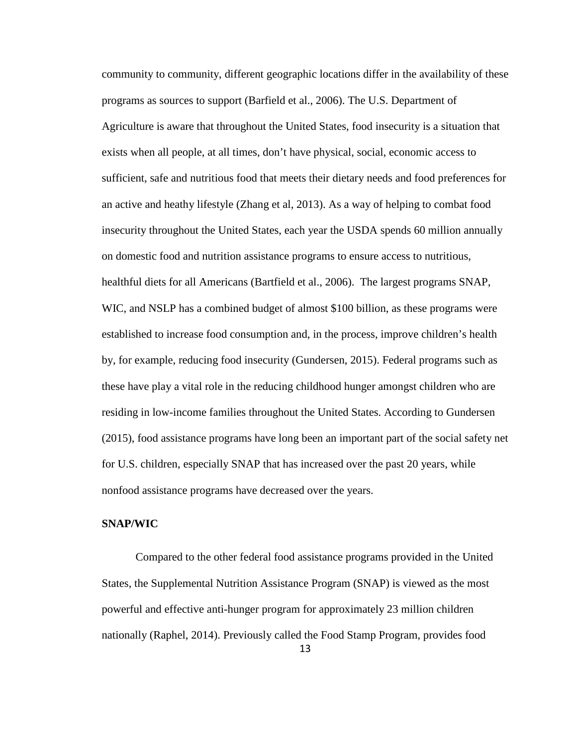community to community, different geographic locations differ in the availability of these programs as sources to support (Barfield et al., 2006). The U.S. Department of Agriculture is aware that throughout the United States, food insecurity is a situation that exists when all people, at all times, don't have physical, social, economic access to sufficient, safe and nutritious food that meets their dietary needs and food preferences for an active and heathy lifestyle (Zhang et al, 2013). As a way of helping to combat food insecurity throughout the United States, each year the USDA spends 60 million annually on domestic food and nutrition assistance programs to ensure access to nutritious, healthful diets for all Americans (Bartfield et al., 2006). The largest programs SNAP, WIC, and NSLP has a combined budget of almost \$100 billion, as these programs were established to increase food consumption and, in the process, improve children's health by, for example, reducing food insecurity (Gundersen, 2015). Federal programs such as these have play a vital role in the reducing childhood hunger amongst children who are residing in low-income families throughout the United States. According to Gundersen (2015), food assistance programs have long been an important part of the social safety net for U.S. children, especially SNAP that has increased over the past 20 years, while nonfood assistance programs have decreased over the years.

#### **SNAP/WIC**

Compared to the other federal food assistance programs provided in the United States, the Supplemental Nutrition Assistance Program (SNAP) is viewed as the most powerful and effective anti-hunger program for approximately 23 million children nationally (Raphel, 2014). Previously called the Food Stamp Program, provides food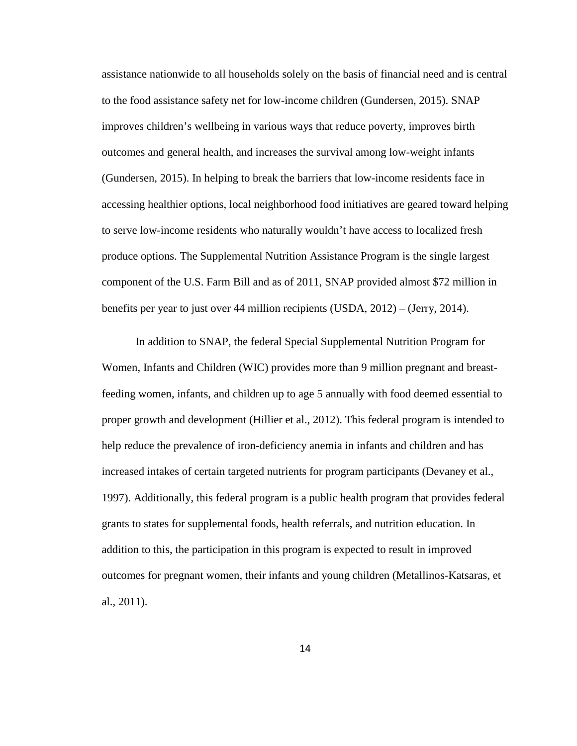assistance nationwide to all households solely on the basis of financial need and is central to the food assistance safety net for low-income children (Gundersen, 2015). SNAP improves children's wellbeing in various ways that reduce poverty, improves birth outcomes and general health, and increases the survival among low-weight infants (Gundersen, 2015). In helping to break the barriers that low-income residents face in accessing healthier options, local neighborhood food initiatives are geared toward helping to serve low-income residents who naturally wouldn't have access to localized fresh produce options. The Supplemental Nutrition Assistance Program is the single largest component of the U.S. Farm Bill and as of 2011, SNAP provided almost \$72 million in benefits per year to just over 44 million recipients (USDA, 2012) – (Jerry, 2014).

In addition to SNAP, the federal Special Supplemental Nutrition Program for Women, Infants and Children (WIC) provides more than 9 million pregnant and breastfeeding women, infants, and children up to age 5 annually with food deemed essential to proper growth and development (Hillier et al., 2012). This federal program is intended to help reduce the prevalence of iron-deficiency anemia in infants and children and has increased intakes of certain targeted nutrients for program participants (Devaney et al., 1997). Additionally, this federal program is a public health program that provides federal grants to states for supplemental foods, health referrals, and nutrition education. In addition to this, the participation in this program is expected to result in improved outcomes for pregnant women, their infants and young children (Metallinos-Katsaras, et al., 2011).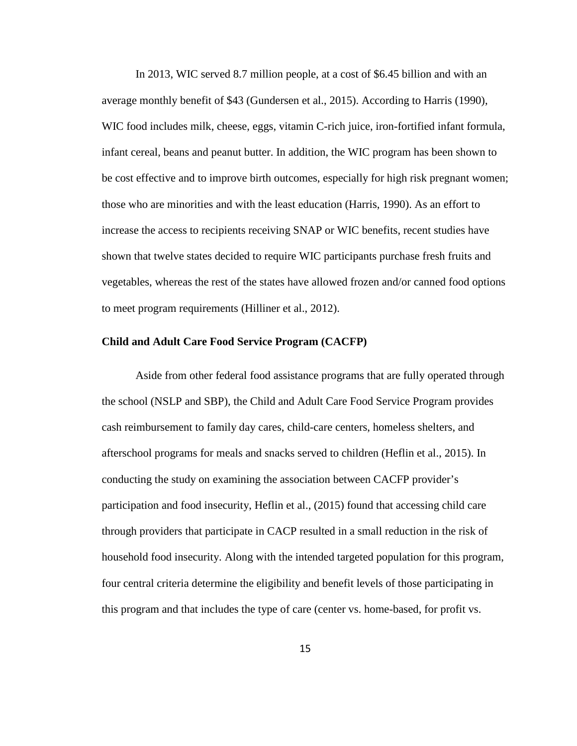In 2013, WIC served 8.7 million people, at a cost of \$6.45 billion and with an average monthly benefit of \$43 (Gundersen et al., 2015). According to Harris (1990), WIC food includes milk, cheese, eggs, vitamin C-rich juice, iron-fortified infant formula, infant cereal, beans and peanut butter. In addition, the WIC program has been shown to be cost effective and to improve birth outcomes, especially for high risk pregnant women; those who are minorities and with the least education (Harris, 1990). As an effort to increase the access to recipients receiving SNAP or WIC benefits, recent studies have shown that twelve states decided to require WIC participants purchase fresh fruits and vegetables, whereas the rest of the states have allowed frozen and/or canned food options to meet program requirements (Hilliner et al., 2012).

#### **Child and Adult Care Food Service Program (CACFP)**

Aside from other federal food assistance programs that are fully operated through the school (NSLP and SBP), the Child and Adult Care Food Service Program provides cash reimbursement to family day cares, child-care centers, homeless shelters, and afterschool programs for meals and snacks served to children (Heflin et al., 2015). In conducting the study on examining the association between CACFP provider's participation and food insecurity, Heflin et al., (2015) found that accessing child care through providers that participate in CACP resulted in a small reduction in the risk of household food insecurity. Along with the intended targeted population for this program, four central criteria determine the eligibility and benefit levels of those participating in this program and that includes the type of care (center vs. home-based, for profit vs.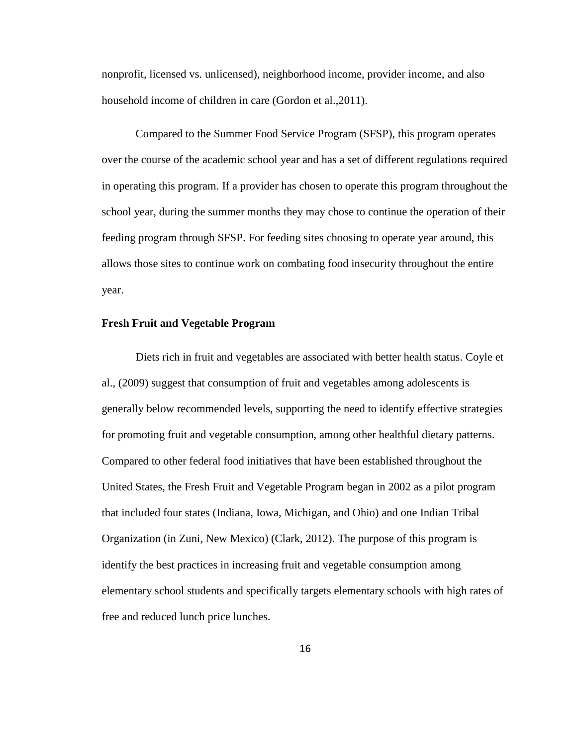nonprofit, licensed vs. unlicensed), neighborhood income, provider income, and also household income of children in care (Gordon et al.,2011).

Compared to the Summer Food Service Program (SFSP), this program operates over the course of the academic school year and has a set of different regulations required in operating this program. If a provider has chosen to operate this program throughout the school year, during the summer months they may chose to continue the operation of their feeding program through SFSP. For feeding sites choosing to operate year around, this allows those sites to continue work on combating food insecurity throughout the entire year.

#### **Fresh Fruit and Vegetable Program**

Diets rich in fruit and vegetables are associated with better health status. Coyle et al., (2009) suggest that consumption of fruit and vegetables among adolescents is generally below recommended levels, supporting the need to identify effective strategies for promoting fruit and vegetable consumption, among other healthful dietary patterns. Compared to other federal food initiatives that have been established throughout the United States, the Fresh Fruit and Vegetable Program began in 2002 as a pilot program that included four states (Indiana, Iowa, Michigan, and Ohio) and one Indian Tribal Organization (in Zuni, New Mexico) (Clark, 2012). The purpose of this program is identify the best practices in increasing fruit and vegetable consumption among elementary school students and specifically targets elementary schools with high rates of free and reduced lunch price lunches.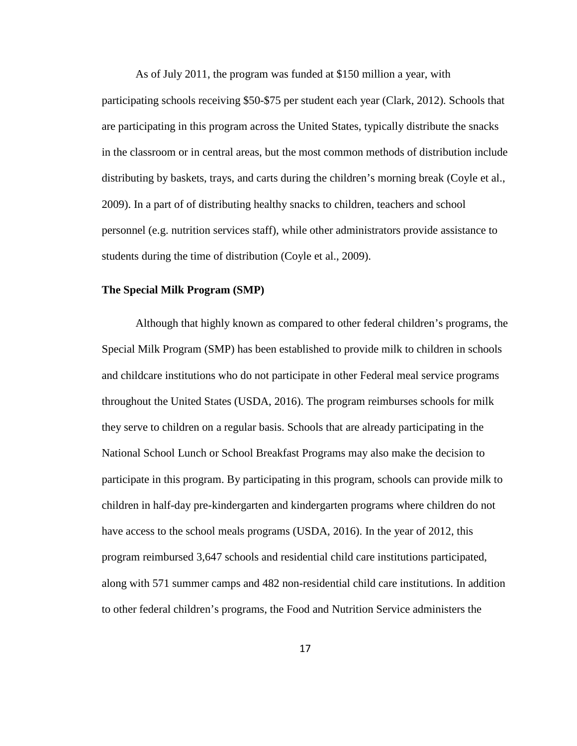As of July 2011, the program was funded at \$150 million a year, with

participating schools receiving \$50-\$75 per student each year (Clark, 2012). Schools that are participating in this program across the United States, typically distribute the snacks in the classroom or in central areas, but the most common methods of distribution include distributing by baskets, trays, and carts during the children's morning break (Coyle et al., 2009). In a part of of distributing healthy snacks to children, teachers and school personnel (e.g. nutrition services staff), while other administrators provide assistance to students during the time of distribution (Coyle et al., 2009).

#### **The Special Milk Program (SMP)**

Although that highly known as compared to other federal children's programs, the Special Milk Program (SMP) has been established to provide milk to children in schools and childcare institutions who do not participate in other Federal meal service programs throughout the United States (USDA, 2016). The program reimburses schools for milk they serve to children on a regular basis. Schools that are already participating in the National School Lunch or School Breakfast Programs may also make the decision to participate in this program. By participating in this program, schools can provide milk to children in half-day pre-kindergarten and kindergarten programs where children do not have access to the school meals programs (USDA, 2016). In the year of 2012, this program reimbursed 3,647 schools and residential child care institutions participated, along with 571 summer camps and 482 non-residential child care institutions. In addition to other federal children's programs, the Food and Nutrition Service administers the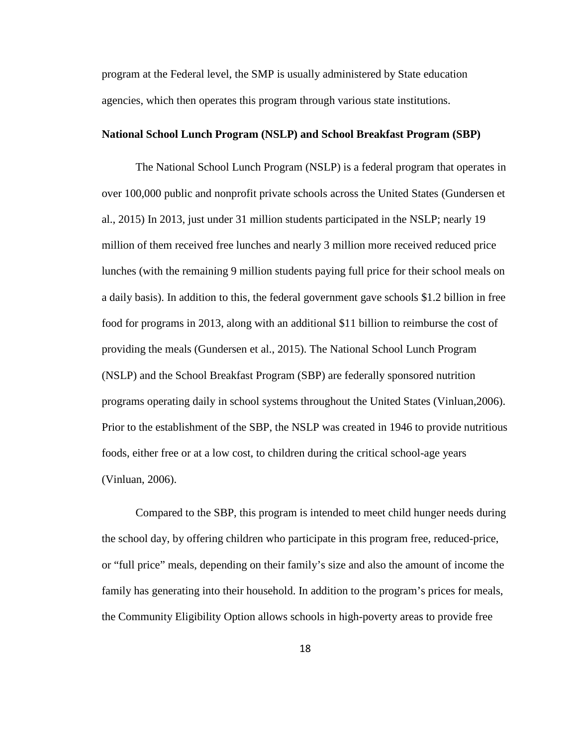program at the Federal level, the SMP is usually administered by State education agencies, which then operates this program through various state institutions.

#### **National School Lunch Program (NSLP) and School Breakfast Program (SBP)**

The National School Lunch Program (NSLP) is a federal program that operates in over 100,000 public and nonprofit private schools across the United States (Gundersen et al., 2015) In 2013, just under 31 million students participated in the NSLP; nearly 19 million of them received free lunches and nearly 3 million more received reduced price lunches (with the remaining 9 million students paying full price for their school meals on a daily basis). In addition to this, the federal government gave schools \$1.2 billion in free food for programs in 2013, along with an additional \$11 billion to reimburse the cost of providing the meals (Gundersen et al., 2015). The National School Lunch Program (NSLP) and the School Breakfast Program (SBP) are federally sponsored nutrition programs operating daily in school systems throughout the United States (Vinluan,2006). Prior to the establishment of the SBP, the NSLP was created in 1946 to provide nutritious foods, either free or at a low cost, to children during the critical school-age years (Vinluan, 2006).

Compared to the SBP, this program is intended to meet child hunger needs during the school day, by offering children who participate in this program free, reduced-price, or "full price" meals, depending on their family's size and also the amount of income the family has generating into their household. In addition to the program's prices for meals, the Community Eligibility Option allows schools in high-poverty areas to provide free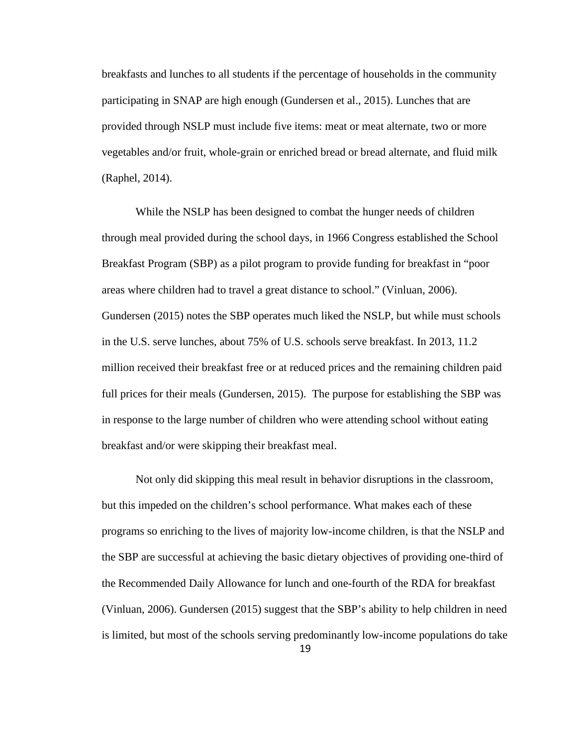breakfasts and lunches to all students if the percentage of households in the community participating in SNAP are high enough (Gundersen et al., 2015). Lunches that are provided through NSLP must include five items: meat or meat alternate, two or more vegetables and/or fruit, whole-grain or enriched bread or bread alternate, and fluid milk (Raphel, 2014).

While the NSLP has been designed to combat the hunger needs of children through meal provided during the school days, in 1966 Congress established the School Breakfast Program (SBP) as a pilot program to provide funding for breakfast in "poor areas where children had to travel a great distance to school." (Vinluan, 2006). Gundersen (2015) notes the SBP operates much liked the NSLP, but while must schools in the U.S. serve lunches, about 75% of U.S. schools serve breakfast. In 2013, 11.2 million received their breakfast free or at reduced prices and the remaining children paid full prices for their meals (Gundersen, 2015). The purpose for establishing the SBP was in response to the large number of children who were attending school without eating breakfast and/or were skipping their breakfast meal.

Not only did skipping this meal result in behavior disruptions in the classroom, but this impeded on the children's school performance. What makes each of these programs so enriching to the lives of majority low-income children, is that the NSLP and the SBP are successful at achieving the basic dietary objectives of providing one-third of the Recommended Daily Allowance for lunch and one-fourth of the RDA for breakfast (Vinluan, 2006). Gundersen (2015) suggest that the SBP's ability to help children in need is limited, but most of the schools serving predominantly low-income populations do take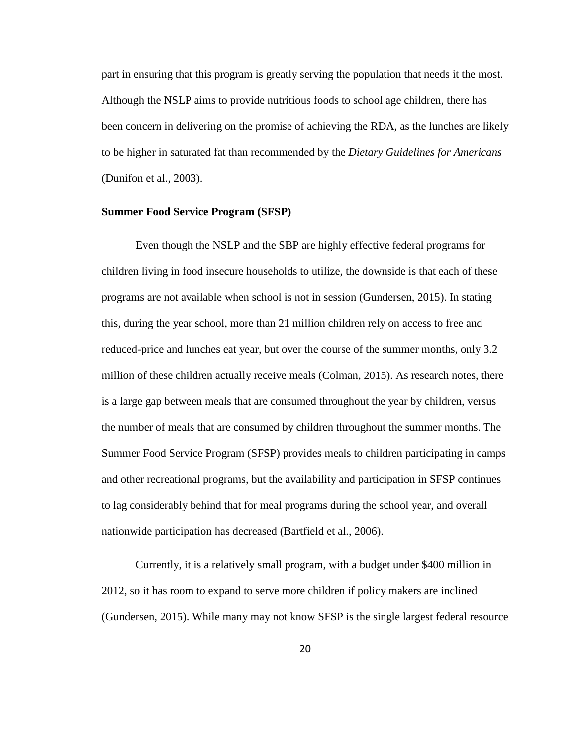part in ensuring that this program is greatly serving the population that needs it the most. Although the NSLP aims to provide nutritious foods to school age children, there has been concern in delivering on the promise of achieving the RDA, as the lunches are likely to be higher in saturated fat than recommended by the *Dietary Guidelines for Americans* (Dunifon et al., 2003).

#### **Summer Food Service Program (SFSP)**

Even though the NSLP and the SBP are highly effective federal programs for children living in food insecure households to utilize, the downside is that each of these programs are not available when school is not in session (Gundersen, 2015). In stating this, during the year school, more than 21 million children rely on access to free and reduced-price and lunches eat year, but over the course of the summer months, only 3.2 million of these children actually receive meals (Colman, 2015). As research notes, there is a large gap between meals that are consumed throughout the year by children, versus the number of meals that are consumed by children throughout the summer months. The Summer Food Service Program (SFSP) provides meals to children participating in camps and other recreational programs, but the availability and participation in SFSP continues to lag considerably behind that for meal programs during the school year, and overall nationwide participation has decreased (Bartfield et al., 2006).

Currently, it is a relatively small program, with a budget under \$400 million in 2012, so it has room to expand to serve more children if policy makers are inclined (Gundersen, 2015). While many may not know SFSP is the single largest federal resource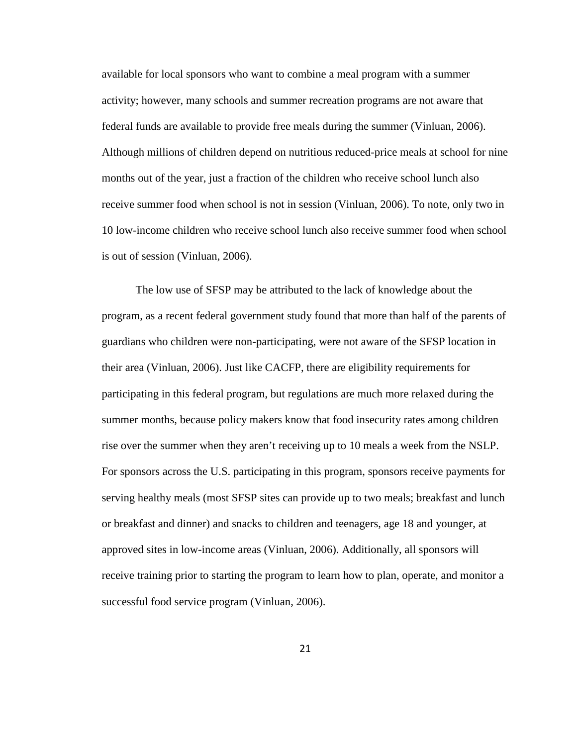available for local sponsors who want to combine a meal program with a summer activity; however, many schools and summer recreation programs are not aware that federal funds are available to provide free meals during the summer (Vinluan, 2006). Although millions of children depend on nutritious reduced-price meals at school for nine months out of the year, just a fraction of the children who receive school lunch also receive summer food when school is not in session (Vinluan, 2006). To note, only two in 10 low-income children who receive school lunch also receive summer food when school is out of session (Vinluan, 2006).

The low use of SFSP may be attributed to the lack of knowledge about the program, as a recent federal government study found that more than half of the parents of guardians who children were non-participating, were not aware of the SFSP location in their area (Vinluan, 2006). Just like CACFP, there are eligibility requirements for participating in this federal program, but regulations are much more relaxed during the summer months, because policy makers know that food insecurity rates among children rise over the summer when they aren't receiving up to 10 meals a week from the NSLP. For sponsors across the U.S. participating in this program, sponsors receive payments for serving healthy meals (most SFSP sites can provide up to two meals; breakfast and lunch or breakfast and dinner) and snacks to children and teenagers, age 18 and younger, at approved sites in low-income areas (Vinluan, 2006). Additionally, all sponsors will receive training prior to starting the program to learn how to plan, operate, and monitor a successful food service program (Vinluan, 2006).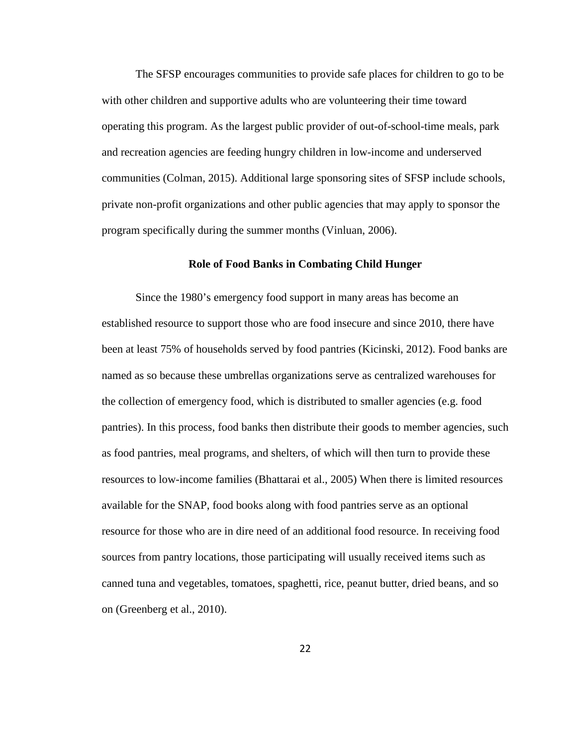The SFSP encourages communities to provide safe places for children to go to be with other children and supportive adults who are volunteering their time toward operating this program. As the largest public provider of out-of-school-time meals, park and recreation agencies are feeding hungry children in low-income and underserved communities (Colman, 2015). Additional large sponsoring sites of SFSP include schools, private non-profit organizations and other public agencies that may apply to sponsor the program specifically during the summer months (Vinluan, 2006).

#### **Role of Food Banks in Combating Child Hunger**

Since the 1980's emergency food support in many areas has become an established resource to support those who are food insecure and since 2010, there have been at least 75% of households served by food pantries (Kicinski, 2012). Food banks are named as so because these umbrellas organizations serve as centralized warehouses for the collection of emergency food, which is distributed to smaller agencies (e.g. food pantries). In this process, food banks then distribute their goods to member agencies, such as food pantries, meal programs, and shelters, of which will then turn to provide these resources to low-income families (Bhattarai et al., 2005) When there is limited resources available for the SNAP, food books along with food pantries serve as an optional resource for those who are in dire need of an additional food resource. In receiving food sources from pantry locations, those participating will usually received items such as canned tuna and vegetables, tomatoes, spaghetti, rice, peanut butter, dried beans, and so on (Greenberg et al., 2010).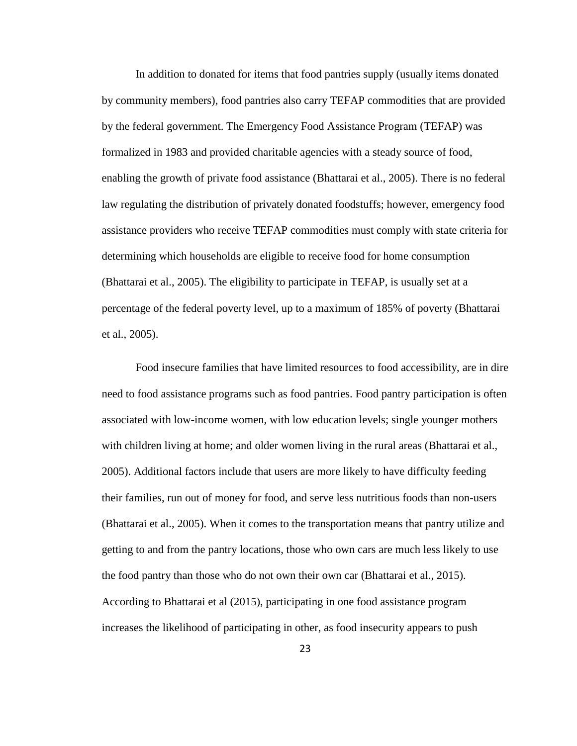In addition to donated for items that food pantries supply (usually items donated by community members), food pantries also carry TEFAP commodities that are provided by the federal government. The Emergency Food Assistance Program (TEFAP) was formalized in 1983 and provided charitable agencies with a steady source of food, enabling the growth of private food assistance (Bhattarai et al., 2005). There is no federal law regulating the distribution of privately donated foodstuffs; however, emergency food assistance providers who receive TEFAP commodities must comply with state criteria for determining which households are eligible to receive food for home consumption (Bhattarai et al., 2005). The eligibility to participate in TEFAP, is usually set at a percentage of the federal poverty level, up to a maximum of 185% of poverty (Bhattarai et al., 2005).

Food insecure families that have limited resources to food accessibility, are in dire need to food assistance programs such as food pantries. Food pantry participation is often associated with low-income women, with low education levels; single younger mothers with children living at home; and older women living in the rural areas (Bhattarai et al., 2005). Additional factors include that users are more likely to have difficulty feeding their families, run out of money for food, and serve less nutritious foods than non-users (Bhattarai et al., 2005). When it comes to the transportation means that pantry utilize and getting to and from the pantry locations, those who own cars are much less likely to use the food pantry than those who do not own their own car (Bhattarai et al., 2015). According to Bhattarai et al (2015), participating in one food assistance program increases the likelihood of participating in other, as food insecurity appears to push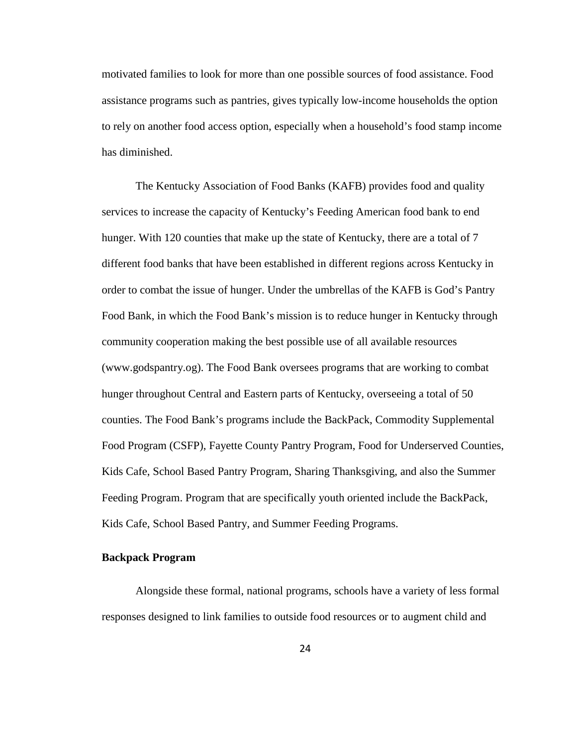motivated families to look for more than one possible sources of food assistance. Food assistance programs such as pantries, gives typically low-income households the option to rely on another food access option, especially when a household's food stamp income has diminished.

The Kentucky Association of Food Banks (KAFB) provides food and quality services to increase the capacity of Kentucky's Feeding American food bank to end hunger. With 120 counties that make up the state of Kentucky, there are a total of 7 different food banks that have been established in different regions across Kentucky in order to combat the issue of hunger. Under the umbrellas of the KAFB is God's Pantry Food Bank, in which the Food Bank's mission is to reduce hunger in Kentucky through community cooperation making the best possible use of all available resources (www.godspantry.og). The Food Bank oversees programs that are working to combat hunger throughout Central and Eastern parts of Kentucky, overseeing a total of 50 counties. The Food Bank's programs include the BackPack, Commodity Supplemental Food Program (CSFP), Fayette County Pantry Program, Food for Underserved Counties, Kids Cafe, School Based Pantry Program, Sharing Thanksgiving, and also the Summer Feeding Program. Program that are specifically youth oriented include the BackPack, Kids Cafe, School Based Pantry, and Summer Feeding Programs.

#### **Backpack Program**

Alongside these formal, national programs, schools have a variety of less formal responses designed to link families to outside food resources or to augment child and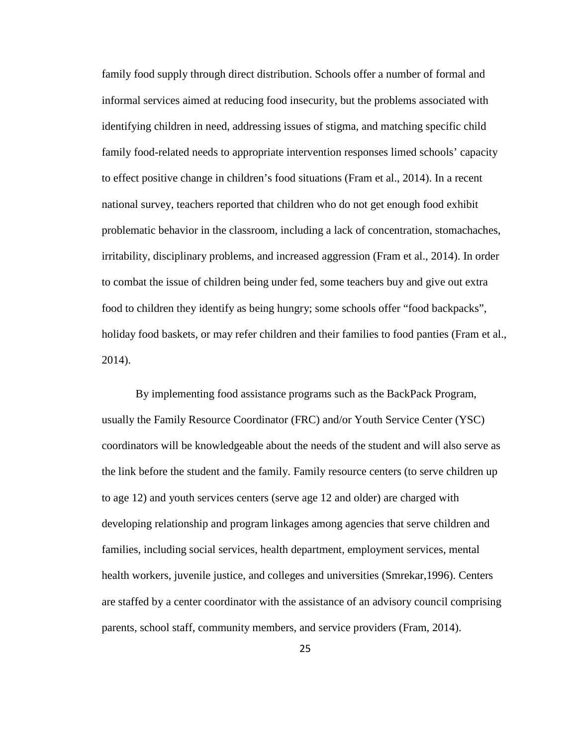family food supply through direct distribution. Schools offer a number of formal and informal services aimed at reducing food insecurity, but the problems associated with identifying children in need, addressing issues of stigma, and matching specific child family food-related needs to appropriate intervention responses limed schools' capacity to effect positive change in children's food situations (Fram et al., 2014). In a recent national survey, teachers reported that children who do not get enough food exhibit problematic behavior in the classroom, including a lack of concentration, stomachaches, irritability, disciplinary problems, and increased aggression (Fram et al., 2014). In order to combat the issue of children being under fed, some teachers buy and give out extra food to children they identify as being hungry; some schools offer "food backpacks", holiday food baskets, or may refer children and their families to food panties (Fram et al., 2014).

By implementing food assistance programs such as the BackPack Program, usually the Family Resource Coordinator (FRC) and/or Youth Service Center (YSC) coordinators will be knowledgeable about the needs of the student and will also serve as the link before the student and the family. Family resource centers (to serve children up to age 12) and youth services centers (serve age 12 and older) are charged with developing relationship and program linkages among agencies that serve children and families, including social services, health department, employment services, mental health workers, juvenile justice, and colleges and universities (Smrekar,1996). Centers are staffed by a center coordinator with the assistance of an advisory council comprising parents, school staff, community members, and service providers (Fram, 2014).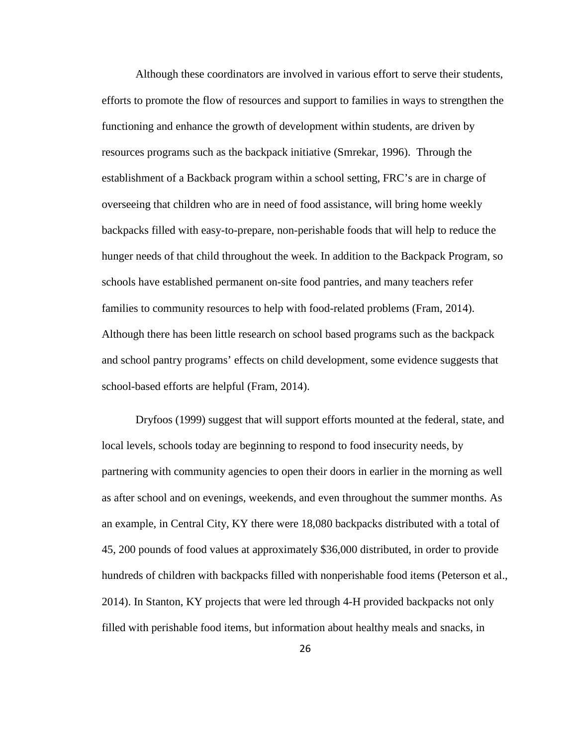Although these coordinators are involved in various effort to serve their students, efforts to promote the flow of resources and support to families in ways to strengthen the functioning and enhance the growth of development within students, are driven by resources programs such as the backpack initiative (Smrekar, 1996). Through the establishment of a Backback program within a school setting, FRC's are in charge of overseeing that children who are in need of food assistance, will bring home weekly backpacks filled with easy-to-prepare, non-perishable foods that will help to reduce the hunger needs of that child throughout the week. In addition to the Backpack Program, so schools have established permanent on-site food pantries, and many teachers refer families to community resources to help with food-related problems (Fram, 2014). Although there has been little research on school based programs such as the backpack and school pantry programs' effects on child development, some evidence suggests that school-based efforts are helpful (Fram, 2014).

Dryfoos (1999) suggest that will support efforts mounted at the federal, state, and local levels, schools today are beginning to respond to food insecurity needs, by partnering with community agencies to open their doors in earlier in the morning as well as after school and on evenings, weekends, and even throughout the summer months. As an example, in Central City, KY there were 18,080 backpacks distributed with a total of 45, 200 pounds of food values at approximately \$36,000 distributed, in order to provide hundreds of children with backpacks filled with nonperishable food items (Peterson et al., 2014). In Stanton, KY projects that were led through 4-H provided backpacks not only filled with perishable food items, but information about healthy meals and snacks, in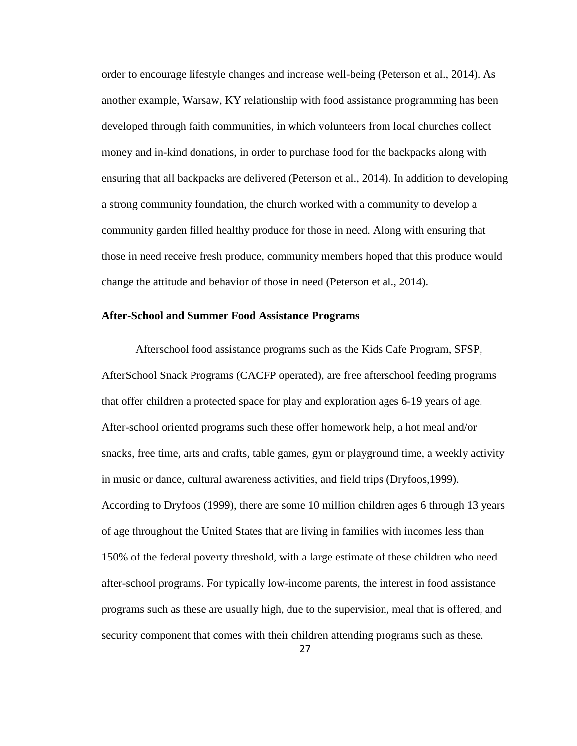order to encourage lifestyle changes and increase well-being (Peterson et al., 2014). As another example, Warsaw, KY relationship with food assistance programming has been developed through faith communities, in which volunteers from local churches collect money and in-kind donations, in order to purchase food for the backpacks along with ensuring that all backpacks are delivered (Peterson et al., 2014). In addition to developing a strong community foundation, the church worked with a community to develop a community garden filled healthy produce for those in need. Along with ensuring that those in need receive fresh produce, community members hoped that this produce would change the attitude and behavior of those in need (Peterson et al., 2014).

#### **After-School and Summer Food Assistance Programs**

Afterschool food assistance programs such as the Kids Cafe Program, SFSP, AfterSchool Snack Programs (CACFP operated), are free afterschool feeding programs that offer children a protected space for play and exploration ages 6-19 years of age. After-school oriented programs such these offer homework help, a hot meal and/or snacks, free time, arts and crafts, table games, gym or playground time, a weekly activity in music or dance, cultural awareness activities, and field trips (Dryfoos,1999). According to Dryfoos (1999), there are some 10 million children ages 6 through 13 years of age throughout the United States that are living in families with incomes less than 150% of the federal poverty threshold, with a large estimate of these children who need after-school programs. For typically low-income parents, the interest in food assistance programs such as these are usually high, due to the supervision, meal that is offered, and security component that comes with their children attending programs such as these.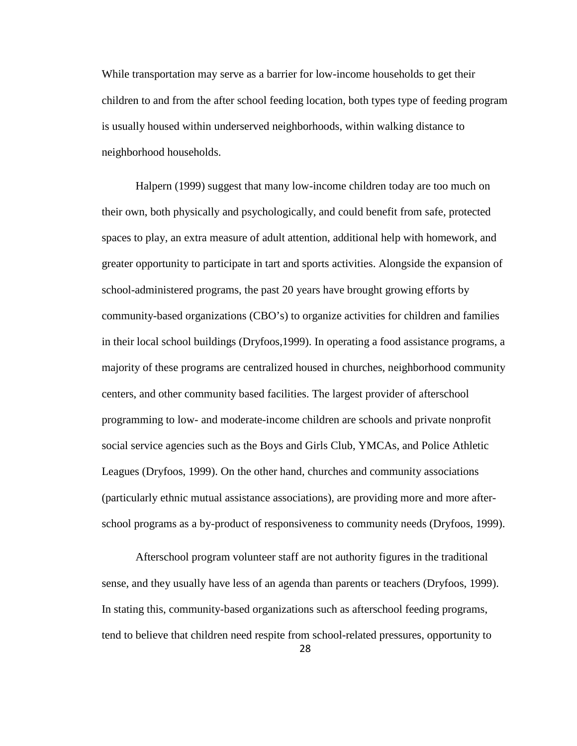While transportation may serve as a barrier for low-income households to get their children to and from the after school feeding location, both types type of feeding program is usually housed within underserved neighborhoods, within walking distance to neighborhood households.

Halpern (1999) suggest that many low-income children today are too much on their own, both physically and psychologically, and could benefit from safe, protected spaces to play, an extra measure of adult attention, additional help with homework, and greater opportunity to participate in tart and sports activities. Alongside the expansion of school-administered programs, the past 20 years have brought growing efforts by community-based organizations (CBO's) to organize activities for children and families in their local school buildings (Dryfoos,1999). In operating a food assistance programs, a majority of these programs are centralized housed in churches, neighborhood community centers, and other community based facilities. The largest provider of afterschool programming to low- and moderate-income children are schools and private nonprofit social service agencies such as the Boys and Girls Club, YMCAs, and Police Athletic Leagues (Dryfoos, 1999). On the other hand, churches and community associations (particularly ethnic mutual assistance associations), are providing more and more afterschool programs as a by-product of responsiveness to community needs (Dryfoos, 1999).

Afterschool program volunteer staff are not authority figures in the traditional sense, and they usually have less of an agenda than parents or teachers (Dryfoos, 1999). In stating this, community-based organizations such as afterschool feeding programs, tend to believe that children need respite from school-related pressures, opportunity to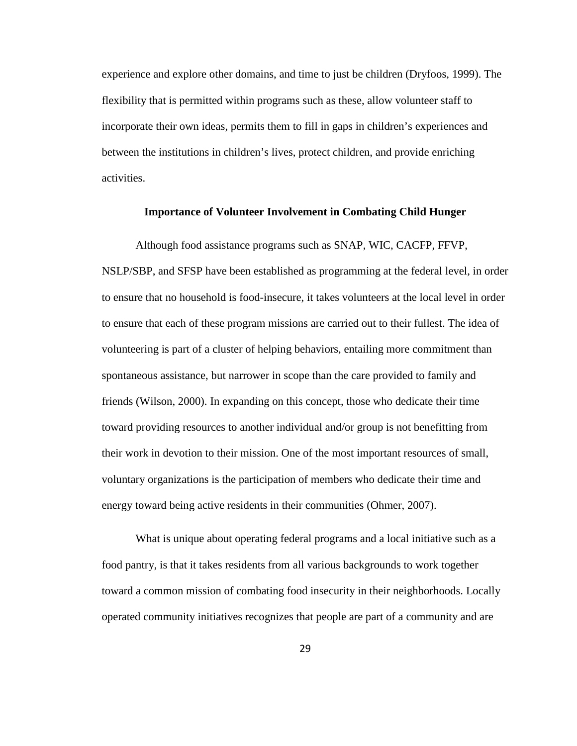experience and explore other domains, and time to just be children (Dryfoos, 1999). The flexibility that is permitted within programs such as these, allow volunteer staff to incorporate their own ideas, permits them to fill in gaps in children's experiences and between the institutions in children's lives, protect children, and provide enriching activities.

## **Importance of Volunteer Involvement in Combating Child Hunger**

Although food assistance programs such as SNAP, WIC, CACFP, FFVP, NSLP/SBP, and SFSP have been established as programming at the federal level, in order to ensure that no household is food-insecure, it takes volunteers at the local level in order to ensure that each of these program missions are carried out to their fullest. The idea of volunteering is part of a cluster of helping behaviors, entailing more commitment than spontaneous assistance, but narrower in scope than the care provided to family and friends (Wilson, 2000). In expanding on this concept, those who dedicate their time toward providing resources to another individual and/or group is not benefitting from their work in devotion to their mission. One of the most important resources of small, voluntary organizations is the participation of members who dedicate their time and energy toward being active residents in their communities (Ohmer, 2007).

What is unique about operating federal programs and a local initiative such as a food pantry, is that it takes residents from all various backgrounds to work together toward a common mission of combating food insecurity in their neighborhoods. Locally operated community initiatives recognizes that people are part of a community and are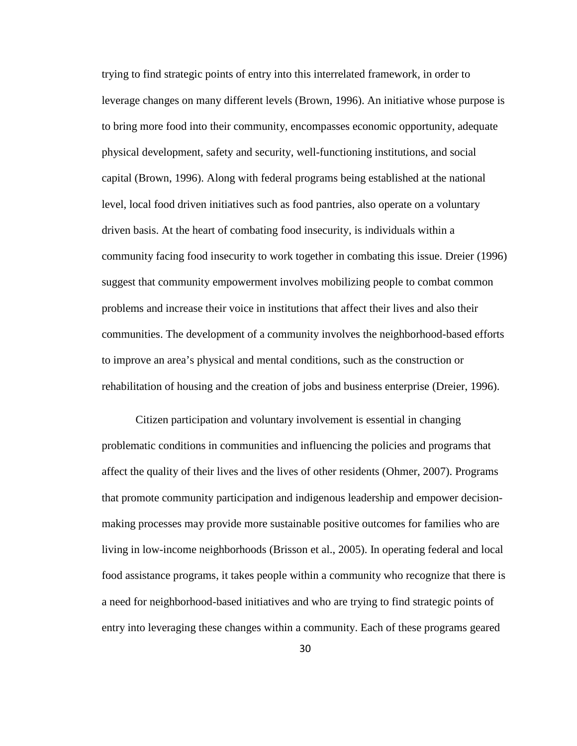trying to find strategic points of entry into this interrelated framework, in order to leverage changes on many different levels (Brown, 1996). An initiative whose purpose is to bring more food into their community, encompasses economic opportunity, adequate physical development, safety and security, well-functioning institutions, and social capital (Brown, 1996). Along with federal programs being established at the national level, local food driven initiatives such as food pantries, also operate on a voluntary driven basis. At the heart of combating food insecurity, is individuals within a community facing food insecurity to work together in combating this issue. Dreier (1996) suggest that community empowerment involves mobilizing people to combat common problems and increase their voice in institutions that affect their lives and also their communities. The development of a community involves the neighborhood-based efforts to improve an area's physical and mental conditions, such as the construction or rehabilitation of housing and the creation of jobs and business enterprise (Dreier, 1996).

Citizen participation and voluntary involvement is essential in changing problematic conditions in communities and influencing the policies and programs that affect the quality of their lives and the lives of other residents (Ohmer, 2007). Programs that promote community participation and indigenous leadership and empower decisionmaking processes may provide more sustainable positive outcomes for families who are living in low-income neighborhoods (Brisson et al., 2005). In operating federal and local food assistance programs, it takes people within a community who recognize that there is a need for neighborhood-based initiatives and who are trying to find strategic points of entry into leveraging these changes within a community. Each of these programs geared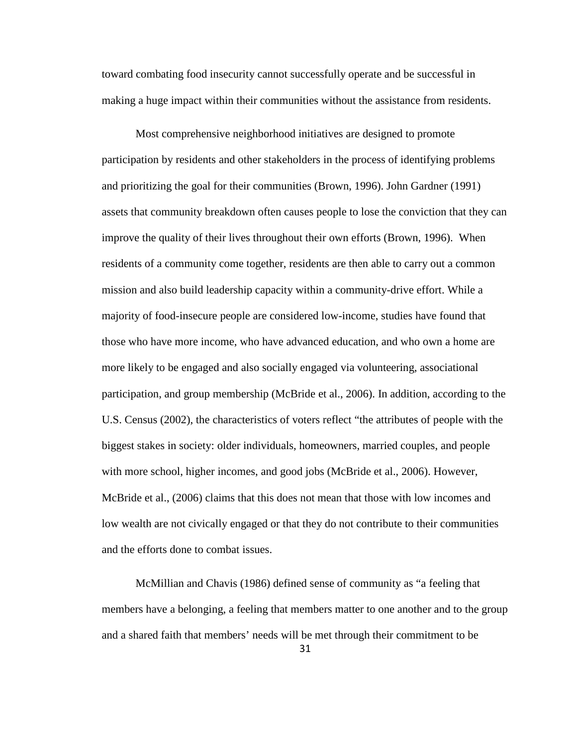toward combating food insecurity cannot successfully operate and be successful in making a huge impact within their communities without the assistance from residents.

Most comprehensive neighborhood initiatives are designed to promote participation by residents and other stakeholders in the process of identifying problems and prioritizing the goal for their communities (Brown, 1996). John Gardner (1991) assets that community breakdown often causes people to lose the conviction that they can improve the quality of their lives throughout their own efforts (Brown, 1996). When residents of a community come together, residents are then able to carry out a common mission and also build leadership capacity within a community-drive effort. While a majority of food-insecure people are considered low-income, studies have found that those who have more income, who have advanced education, and who own a home are more likely to be engaged and also socially engaged via volunteering, associational participation, and group membership (McBride et al., 2006). In addition, according to the U.S. Census (2002), the characteristics of voters reflect "the attributes of people with the biggest stakes in society: older individuals, homeowners, married couples, and people with more school, higher incomes, and good jobs (McBride et al., 2006). However, McBride et al., (2006) claims that this does not mean that those with low incomes and low wealth are not civically engaged or that they do not contribute to their communities and the efforts done to combat issues.

McMillian and Chavis (1986) defined sense of community as "a feeling that members have a belonging, a feeling that members matter to one another and to the group and a shared faith that members' needs will be met through their commitment to be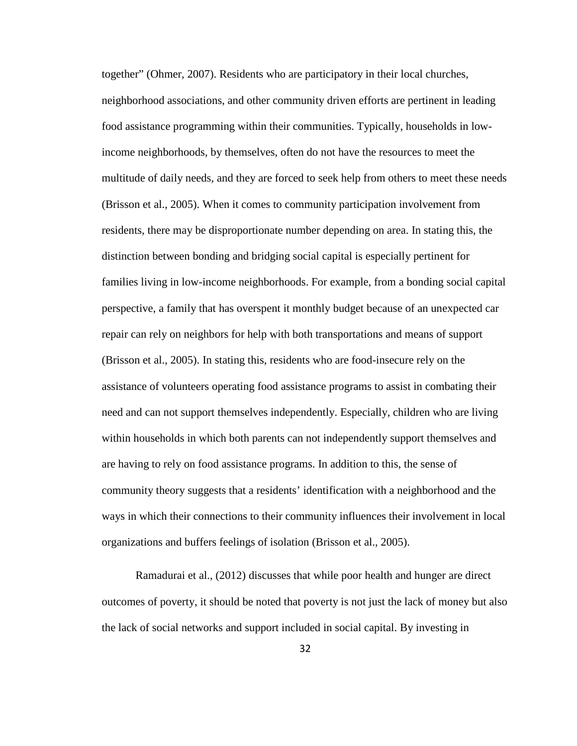together" (Ohmer, 2007). Residents who are participatory in their local churches, neighborhood associations, and other community driven efforts are pertinent in leading food assistance programming within their communities. Typically, households in lowincome neighborhoods, by themselves, often do not have the resources to meet the multitude of daily needs, and they are forced to seek help from others to meet these needs (Brisson et al., 2005). When it comes to community participation involvement from residents, there may be disproportionate number depending on area. In stating this, the distinction between bonding and bridging social capital is especially pertinent for families living in low-income neighborhoods. For example, from a bonding social capital perspective, a family that has overspent it monthly budget because of an unexpected car repair can rely on neighbors for help with both transportations and means of support (Brisson et al., 2005). In stating this, residents who are food-insecure rely on the assistance of volunteers operating food assistance programs to assist in combating their need and can not support themselves independently. Especially, children who are living within households in which both parents can not independently support themselves and are having to rely on food assistance programs. In addition to this, the sense of community theory suggests that a residents' identification with a neighborhood and the ways in which their connections to their community influences their involvement in local organizations and buffers feelings of isolation (Brisson et al., 2005).

Ramadurai et al., (2012) discusses that while poor health and hunger are direct outcomes of poverty, it should be noted that poverty is not just the lack of money but also the lack of social networks and support included in social capital. By investing in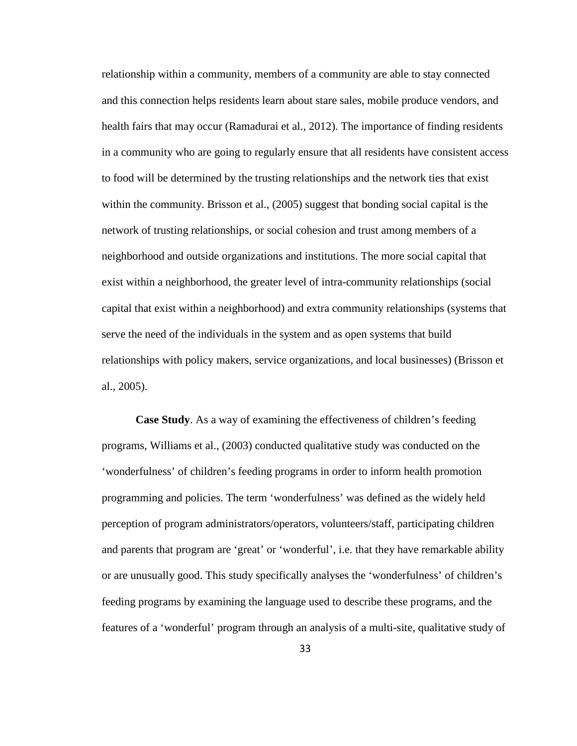relationship within a community, members of a community are able to stay connected and this connection helps residents learn about stare sales, mobile produce vendors, and health fairs that may occur (Ramadurai et al., 2012). The importance of finding residents in a community who are going to regularly ensure that all residents have consistent access to food will be determined by the trusting relationships and the network ties that exist within the community. Brisson et al., (2005) suggest that bonding social capital is the network of trusting relationships, or social cohesion and trust among members of a neighborhood and outside organizations and institutions. The more social capital that exist within a neighborhood, the greater level of intra-community relationships (social capital that exist within a neighborhood) and extra community relationships (systems that serve the need of the individuals in the system and as open systems that build relationships with policy makers, service organizations, and local businesses) (Brisson et al., 2005).

**Case Study**. As a way of examining the effectiveness of children's feeding programs, Williams et al., (2003) conducted qualitative study was conducted on the 'wonderfulness' of children's feeding programs in order to inform health promotion programming and policies. The term 'wonderfulness' was defined as the widely held perception of program administrators/operators, volunteers/staff, participating children and parents that program are 'great' or 'wonderful', i.e. that they have remarkable ability or are unusually good. This study specifically analyses the 'wonderfulness' of children's feeding programs by examining the language used to describe these programs, and the features of a 'wonderful' program through an analysis of a multi-site, qualitative study of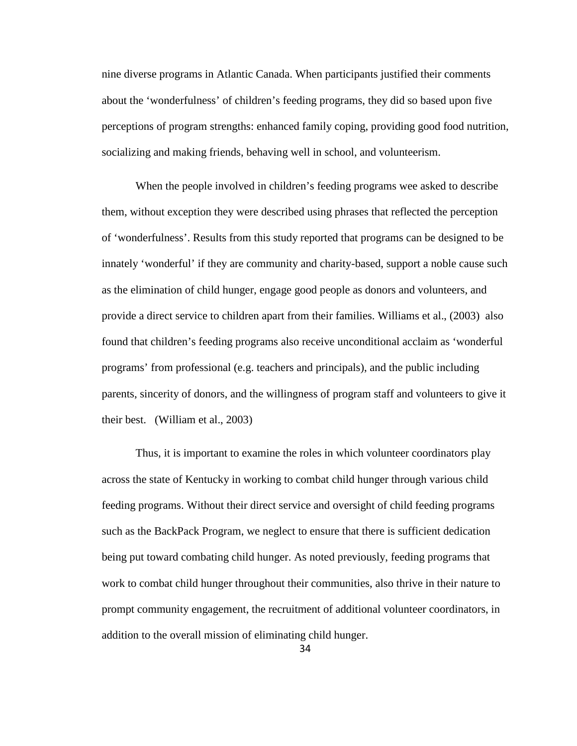nine diverse programs in Atlantic Canada. When participants justified their comments about the 'wonderfulness' of children's feeding programs, they did so based upon five perceptions of program strengths: enhanced family coping, providing good food nutrition, socializing and making friends, behaving well in school, and volunteerism.

When the people involved in children's feeding programs wee asked to describe them, without exception they were described using phrases that reflected the perception of 'wonderfulness'. Results from this study reported that programs can be designed to be innately 'wonderful' if they are community and charity-based, support a noble cause such as the elimination of child hunger, engage good people as donors and volunteers, and provide a direct service to children apart from their families. Williams et al., (2003) also found that children's feeding programs also receive unconditional acclaim as 'wonderful programs' from professional (e.g. teachers and principals), and the public including parents, sincerity of donors, and the willingness of program staff and volunteers to give it their best. (William et al., 2003)

Thus, it is important to examine the roles in which volunteer coordinators play across the state of Kentucky in working to combat child hunger through various child feeding programs. Without their direct service and oversight of child feeding programs such as the BackPack Program, we neglect to ensure that there is sufficient dedication being put toward combating child hunger. As noted previously, feeding programs that work to combat child hunger throughout their communities, also thrive in their nature to prompt community engagement, the recruitment of additional volunteer coordinators, in addition to the overall mission of eliminating child hunger.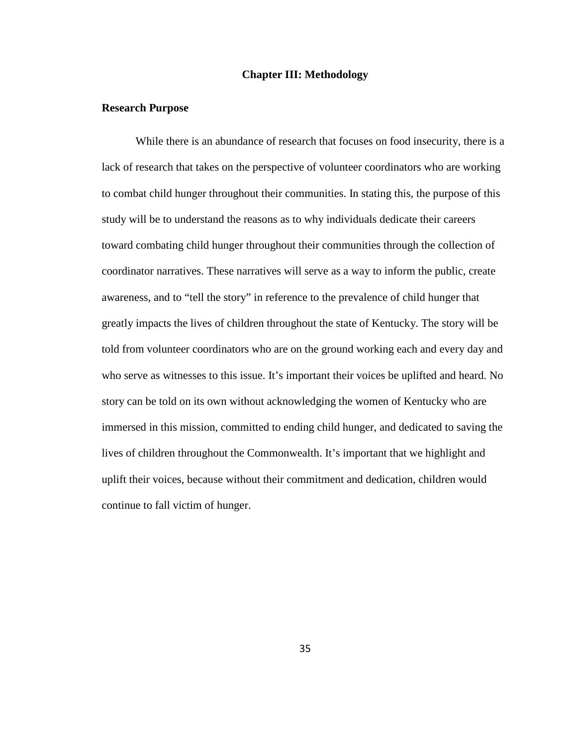# **Chapter III: Methodology**

## **Research Purpose**

While there is an abundance of research that focuses on food insecurity, there is a lack of research that takes on the perspective of volunteer coordinators who are working to combat child hunger throughout their communities. In stating this, the purpose of this study will be to understand the reasons as to why individuals dedicate their careers toward combating child hunger throughout their communities through the collection of coordinator narratives. These narratives will serve as a way to inform the public, create awareness, and to "tell the story" in reference to the prevalence of child hunger that greatly impacts the lives of children throughout the state of Kentucky. The story will be told from volunteer coordinators who are on the ground working each and every day and who serve as witnesses to this issue. It's important their voices be uplifted and heard. No story can be told on its own without acknowledging the women of Kentucky who are immersed in this mission, committed to ending child hunger, and dedicated to saving the lives of children throughout the Commonwealth. It's important that we highlight and uplift their voices, because without their commitment and dedication, children would continue to fall victim of hunger.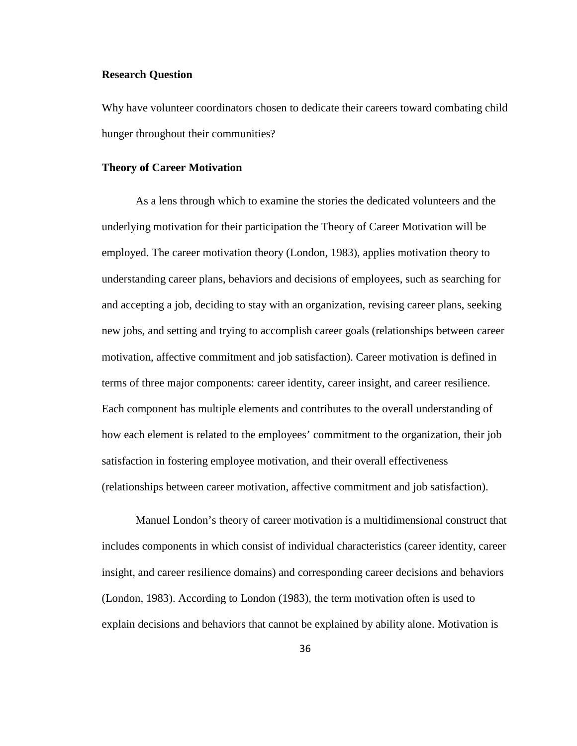#### **Research Question**

Why have volunteer coordinators chosen to dedicate their careers toward combating child hunger throughout their communities?

#### **Theory of Career Motivation**

As a lens through which to examine the stories the dedicated volunteers and the underlying motivation for their participation the Theory of Career Motivation will be employed. The career motivation theory (London, 1983), applies motivation theory to understanding career plans, behaviors and decisions of employees, such as searching for and accepting a job, deciding to stay with an organization, revising career plans, seeking new jobs, and setting and trying to accomplish career goals (relationships between career motivation, affective commitment and job satisfaction). Career motivation is defined in terms of three major components: career identity, career insight, and career resilience. Each component has multiple elements and contributes to the overall understanding of how each element is related to the employees' commitment to the organization, their job satisfaction in fostering employee motivation, and their overall effectiveness (relationships between career motivation, affective commitment and job satisfaction).

Manuel London's theory of career motivation is a multidimensional construct that includes components in which consist of individual characteristics (career identity, career insight, and career resilience domains) and corresponding career decisions and behaviors (London, 1983). According to London (1983), the term motivation often is used to explain decisions and behaviors that cannot be explained by ability alone. Motivation is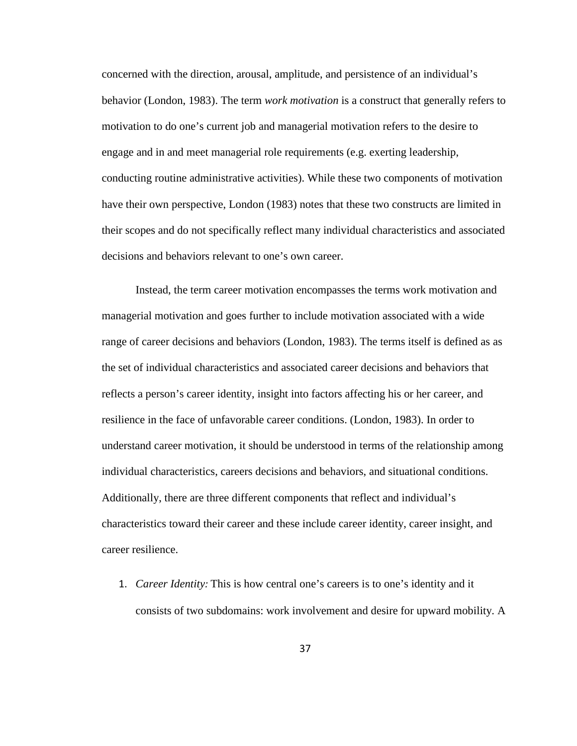concerned with the direction, arousal, amplitude, and persistence of an individual's behavior (London, 1983). The term *work motivation* is a construct that generally refers to motivation to do one's current job and managerial motivation refers to the desire to engage and in and meet managerial role requirements (e.g. exerting leadership, conducting routine administrative activities). While these two components of motivation have their own perspective, London (1983) notes that these two constructs are limited in their scopes and do not specifically reflect many individual characteristics and associated decisions and behaviors relevant to one's own career.

Instead, the term career motivation encompasses the terms work motivation and managerial motivation and goes further to include motivation associated with a wide range of career decisions and behaviors (London, 1983). The terms itself is defined as as the set of individual characteristics and associated career decisions and behaviors that reflects a person's career identity, insight into factors affecting his or her career, and resilience in the face of unfavorable career conditions. (London, 1983). In order to understand career motivation, it should be understood in terms of the relationship among individual characteristics, careers decisions and behaviors, and situational conditions. Additionally, there are three different components that reflect and individual's characteristics toward their career and these include career identity, career insight, and career resilience.

1. *Career Identity:* This is how central one's careers is to one's identity and it consists of two subdomains: work involvement and desire for upward mobility. A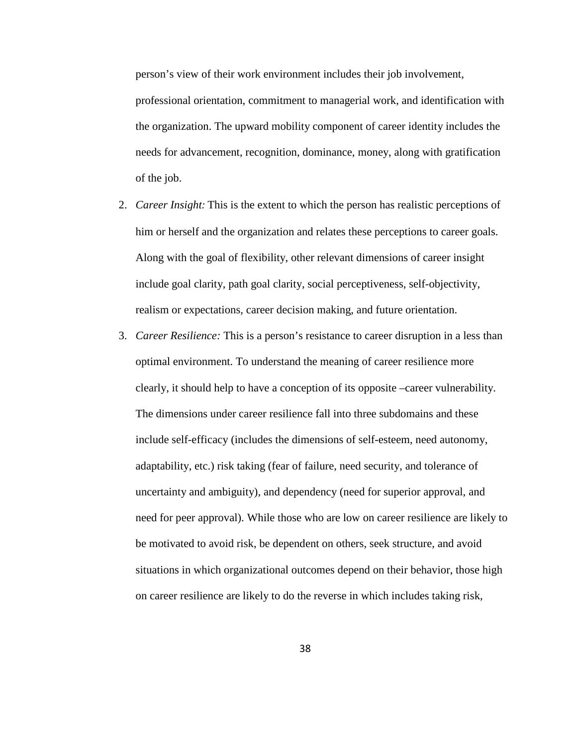person's view of their work environment includes their job involvement,

professional orientation, commitment to managerial work, and identification with the organization. The upward mobility component of career identity includes the needs for advancement, recognition, dominance, money, along with gratification of the job.

- 2. *Career Insight:* This is the extent to which the person has realistic perceptions of him or herself and the organization and relates these perceptions to career goals. Along with the goal of flexibility, other relevant dimensions of career insight include goal clarity, path goal clarity, social perceptiveness, self-objectivity, realism or expectations, career decision making, and future orientation.
- 3. *Career Resilience:* This is a person's resistance to career disruption in a less than optimal environment. To understand the meaning of career resilience more clearly, it should help to have a conception of its opposite –career vulnerability. The dimensions under career resilience fall into three subdomains and these include self-efficacy (includes the dimensions of self-esteem, need autonomy, adaptability, etc.) risk taking (fear of failure, need security, and tolerance of uncertainty and ambiguity), and dependency (need for superior approval, and need for peer approval). While those who are low on career resilience are likely to be motivated to avoid risk, be dependent on others, seek structure, and avoid situations in which organizational outcomes depend on their behavior, those high on career resilience are likely to do the reverse in which includes taking risk,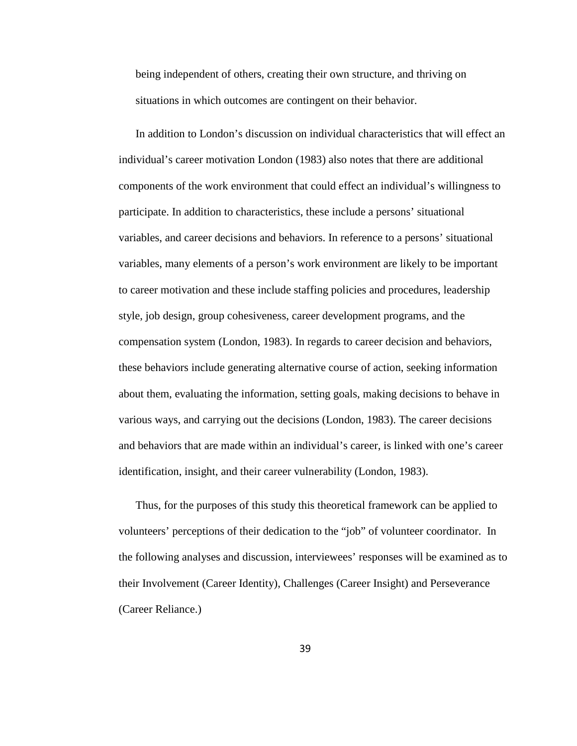being independent of others, creating their own structure, and thriving on situations in which outcomes are contingent on their behavior.

In addition to London's discussion on individual characteristics that will effect an individual's career motivation London (1983) also notes that there are additional components of the work environment that could effect an individual's willingness to participate. In addition to characteristics, these include a persons' situational variables, and career decisions and behaviors. In reference to a persons' situational variables, many elements of a person's work environment are likely to be important to career motivation and these include staffing policies and procedures, leadership style, job design, group cohesiveness, career development programs, and the compensation system (London, 1983). In regards to career decision and behaviors, these behaviors include generating alternative course of action, seeking information about them, evaluating the information, setting goals, making decisions to behave in various ways, and carrying out the decisions (London, 1983). The career decisions and behaviors that are made within an individual's career, is linked with one's career identification, insight, and their career vulnerability (London, 1983).

Thus, for the purposes of this study this theoretical framework can be applied to volunteers' perceptions of their dedication to the "job" of volunteer coordinator. In the following analyses and discussion, interviewees' responses will be examined as to their Involvement (Career Identity), Challenges (Career Insight) and Perseverance (Career Reliance.)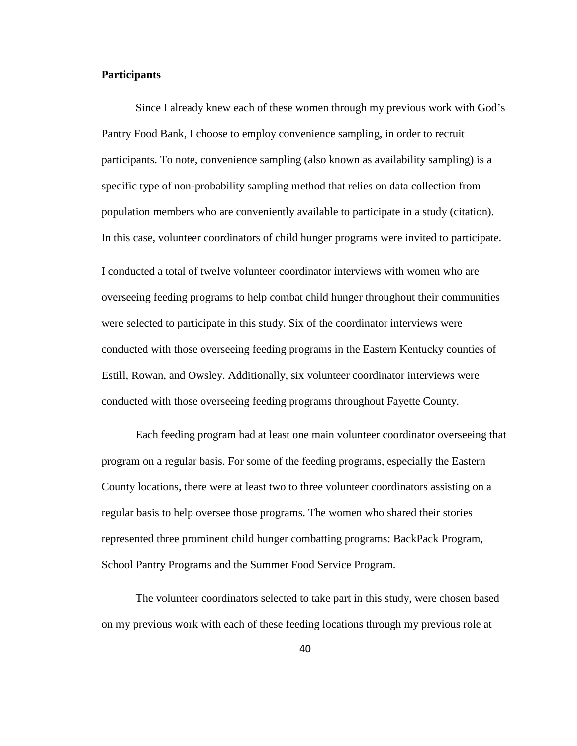# **Participants**

Since I already knew each of these women through my previous work with God's Pantry Food Bank, I choose to employ convenience sampling, in order to recruit participants. To note, convenience sampling (also known as availability sampling) is a specific type of non-probability sampling method that relies on data collection from population members who are conveniently available to participate in a study (citation). In this case, volunteer coordinators of child hunger programs were invited to participate. I conducted a total of twelve volunteer coordinator interviews with women who are overseeing feeding programs to help combat child hunger throughout their communities were selected to participate in this study. Six of the coordinator interviews were conducted with those overseeing feeding programs in the Eastern Kentucky counties of Estill, Rowan, and Owsley. Additionally, six volunteer coordinator interviews were conducted with those overseeing feeding programs throughout Fayette County.

Each feeding program had at least one main volunteer coordinator overseeing that program on a regular basis. For some of the feeding programs, especially the Eastern County locations, there were at least two to three volunteer coordinators assisting on a regular basis to help oversee those programs. The women who shared their stories represented three prominent child hunger combatting programs: BackPack Program, School Pantry Programs and the Summer Food Service Program.

The volunteer coordinators selected to take part in this study, were chosen based on my previous work with each of these feeding locations through my previous role at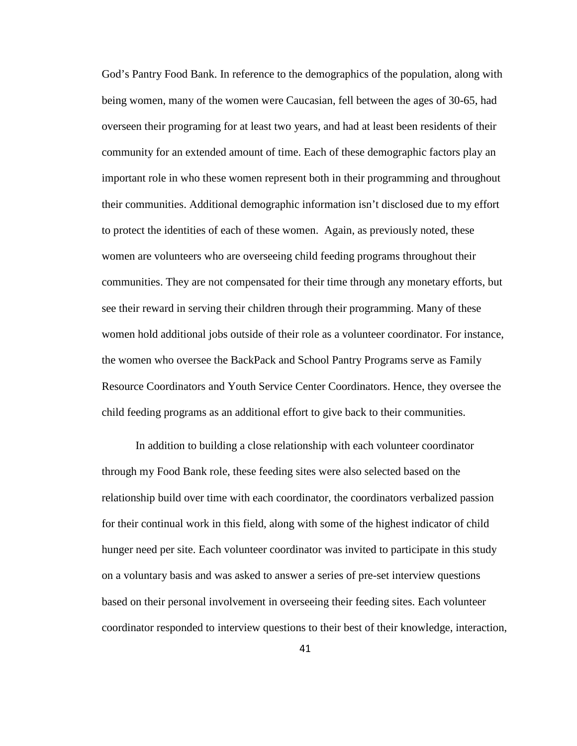God's Pantry Food Bank. In reference to the demographics of the population, along with being women, many of the women were Caucasian, fell between the ages of 30-65, had overseen their programing for at least two years, and had at least been residents of their community for an extended amount of time. Each of these demographic factors play an important role in who these women represent both in their programming and throughout their communities. Additional demographic information isn't disclosed due to my effort to protect the identities of each of these women. Again, as previously noted, these women are volunteers who are overseeing child feeding programs throughout their communities. They are not compensated for their time through any monetary efforts, but see their reward in serving their children through their programming. Many of these women hold additional jobs outside of their role as a volunteer coordinator. For instance, the women who oversee the BackPack and School Pantry Programs serve as Family Resource Coordinators and Youth Service Center Coordinators. Hence, they oversee the child feeding programs as an additional effort to give back to their communities.

In addition to building a close relationship with each volunteer coordinator through my Food Bank role, these feeding sites were also selected based on the relationship build over time with each coordinator, the coordinators verbalized passion for their continual work in this field, along with some of the highest indicator of child hunger need per site. Each volunteer coordinator was invited to participate in this study on a voluntary basis and was asked to answer a series of pre-set interview questions based on their personal involvement in overseeing their feeding sites. Each volunteer coordinator responded to interview questions to their best of their knowledge, interaction,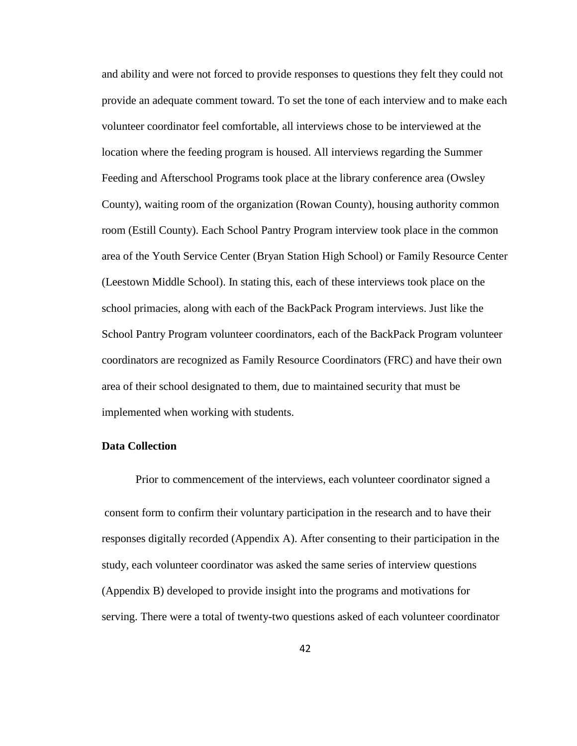and ability and were not forced to provide responses to questions they felt they could not provide an adequate comment toward. To set the tone of each interview and to make each volunteer coordinator feel comfortable, all interviews chose to be interviewed at the location where the feeding program is housed. All interviews regarding the Summer Feeding and Afterschool Programs took place at the library conference area (Owsley County), waiting room of the organization (Rowan County), housing authority common room (Estill County). Each School Pantry Program interview took place in the common area of the Youth Service Center (Bryan Station High School) or Family Resource Center (Leestown Middle School). In stating this, each of these interviews took place on the school primacies, along with each of the BackPack Program interviews. Just like the School Pantry Program volunteer coordinators, each of the BackPack Program volunteer coordinators are recognized as Family Resource Coordinators (FRC) and have their own area of their school designated to them, due to maintained security that must be implemented when working with students.

# **Data Collection**

Prior to commencement of the interviews, each volunteer coordinator signed a consent form to confirm their voluntary participation in the research and to have their responses digitally recorded (Appendix A). After consenting to their participation in the study, each volunteer coordinator was asked the same series of interview questions (Appendix B) developed to provide insight into the programs and motivations for serving. There were a total of twenty-two questions asked of each volunteer coordinator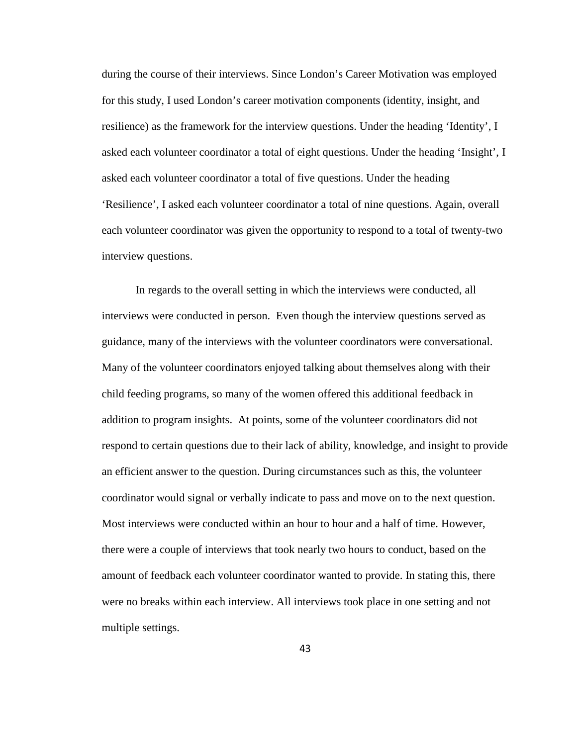during the course of their interviews. Since London's Career Motivation was employed for this study, I used London's career motivation components (identity, insight, and resilience) as the framework for the interview questions. Under the heading 'Identity', I asked each volunteer coordinator a total of eight questions. Under the heading 'Insight', I asked each volunteer coordinator a total of five questions. Under the heading 'Resilience', I asked each volunteer coordinator a total of nine questions. Again, overall each volunteer coordinator was given the opportunity to respond to a total of twenty-two interview questions.

In regards to the overall setting in which the interviews were conducted, all interviews were conducted in person. Even though the interview questions served as guidance, many of the interviews with the volunteer coordinators were conversational. Many of the volunteer coordinators enjoyed talking about themselves along with their child feeding programs, so many of the women offered this additional feedback in addition to program insights. At points, some of the volunteer coordinators did not respond to certain questions due to their lack of ability, knowledge, and insight to provide an efficient answer to the question. During circumstances such as this, the volunteer coordinator would signal or verbally indicate to pass and move on to the next question. Most interviews were conducted within an hour to hour and a half of time. However, there were a couple of interviews that took nearly two hours to conduct, based on the amount of feedback each volunteer coordinator wanted to provide. In stating this, there were no breaks within each interview. All interviews took place in one setting and not multiple settings.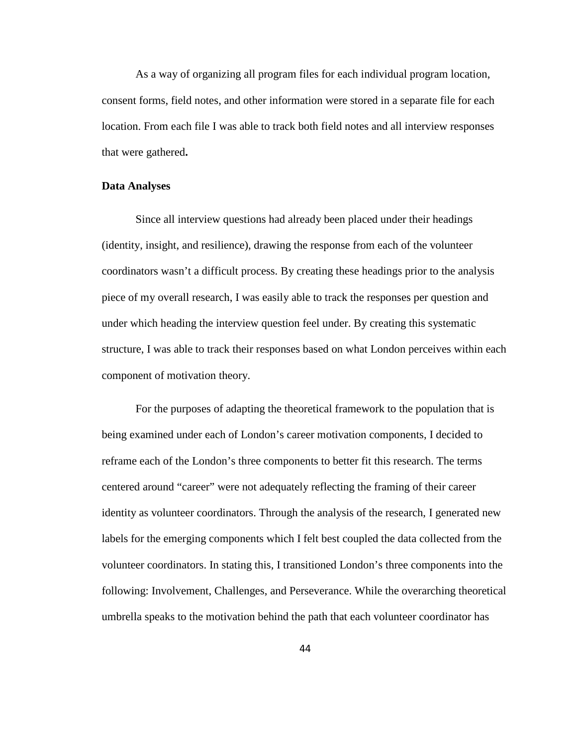As a way of organizing all program files for each individual program location, consent forms, field notes, and other information were stored in a separate file for each location. From each file I was able to track both field notes and all interview responses that were gathered**.** 

#### **Data Analyses**

Since all interview questions had already been placed under their headings (identity, insight, and resilience), drawing the response from each of the volunteer coordinators wasn't a difficult process. By creating these headings prior to the analysis piece of my overall research, I was easily able to track the responses per question and under which heading the interview question feel under. By creating this systematic structure, I was able to track their responses based on what London perceives within each component of motivation theory.

For the purposes of adapting the theoretical framework to the population that is being examined under each of London's career motivation components, I decided to reframe each of the London's three components to better fit this research. The terms centered around "career" were not adequately reflecting the framing of their career identity as volunteer coordinators. Through the analysis of the research, I generated new labels for the emerging components which I felt best coupled the data collected from the volunteer coordinators. In stating this, I transitioned London's three components into the following: Involvement, Challenges, and Perseverance. While the overarching theoretical umbrella speaks to the motivation behind the path that each volunteer coordinator has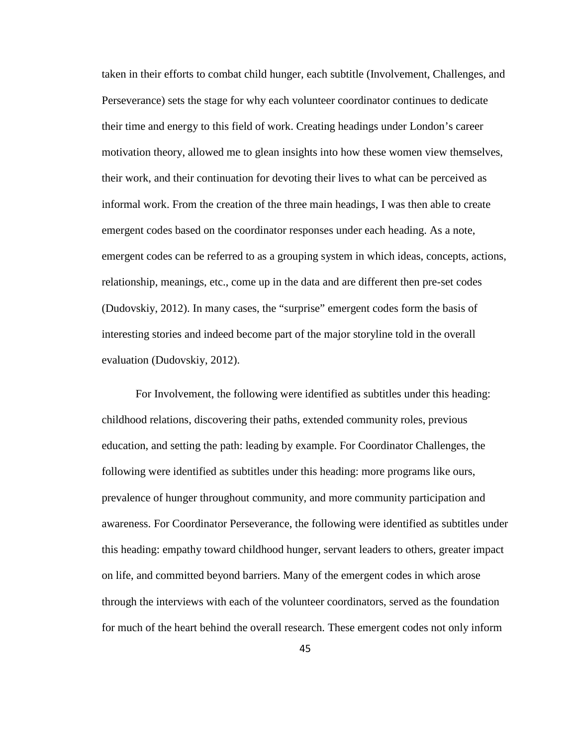taken in their efforts to combat child hunger, each subtitle (Involvement, Challenges, and Perseverance) sets the stage for why each volunteer coordinator continues to dedicate their time and energy to this field of work. Creating headings under London's career motivation theory, allowed me to glean insights into how these women view themselves, their work, and their continuation for devoting their lives to what can be perceived as informal work. From the creation of the three main headings, I was then able to create emergent codes based on the coordinator responses under each heading. As a note, emergent codes can be referred to as a grouping system in which ideas, concepts, actions, relationship, meanings, etc., come up in the data and are different then pre-set codes (Dudovskiy, 2012). In many cases, the "surprise" emergent codes form the basis of interesting stories and indeed become part of the major storyline told in the overall evaluation (Dudovskiy, 2012).

For Involvement, the following were identified as subtitles under this heading: childhood relations, discovering their paths, extended community roles, previous education, and setting the path: leading by example. For Coordinator Challenges, the following were identified as subtitles under this heading: more programs like ours, prevalence of hunger throughout community, and more community participation and awareness. For Coordinator Perseverance, the following were identified as subtitles under this heading: empathy toward childhood hunger, servant leaders to others, greater impact on life, and committed beyond barriers. Many of the emergent codes in which arose through the interviews with each of the volunteer coordinators, served as the foundation for much of the heart behind the overall research. These emergent codes not only inform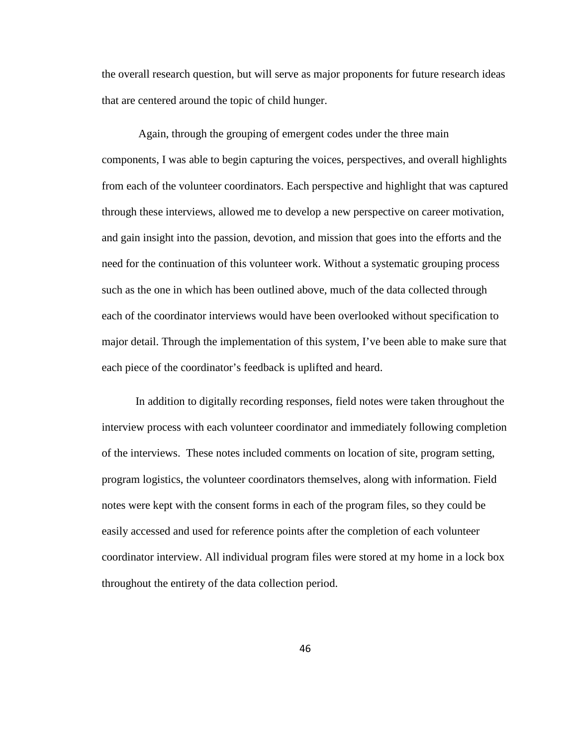the overall research question, but will serve as major proponents for future research ideas that are centered around the topic of child hunger.

Again, through the grouping of emergent codes under the three main components, I was able to begin capturing the voices, perspectives, and overall highlights from each of the volunteer coordinators. Each perspective and highlight that was captured through these interviews, allowed me to develop a new perspective on career motivation, and gain insight into the passion, devotion, and mission that goes into the efforts and the need for the continuation of this volunteer work. Without a systematic grouping process such as the one in which has been outlined above, much of the data collected through each of the coordinator interviews would have been overlooked without specification to major detail. Through the implementation of this system, I've been able to make sure that each piece of the coordinator's feedback is uplifted and heard.

In addition to digitally recording responses, field notes were taken throughout the interview process with each volunteer coordinator and immediately following completion of the interviews. These notes included comments on location of site, program setting, program logistics, the volunteer coordinators themselves, along with information. Field notes were kept with the consent forms in each of the program files, so they could be easily accessed and used for reference points after the completion of each volunteer coordinator interview. All individual program files were stored at my home in a lock box throughout the entirety of the data collection period.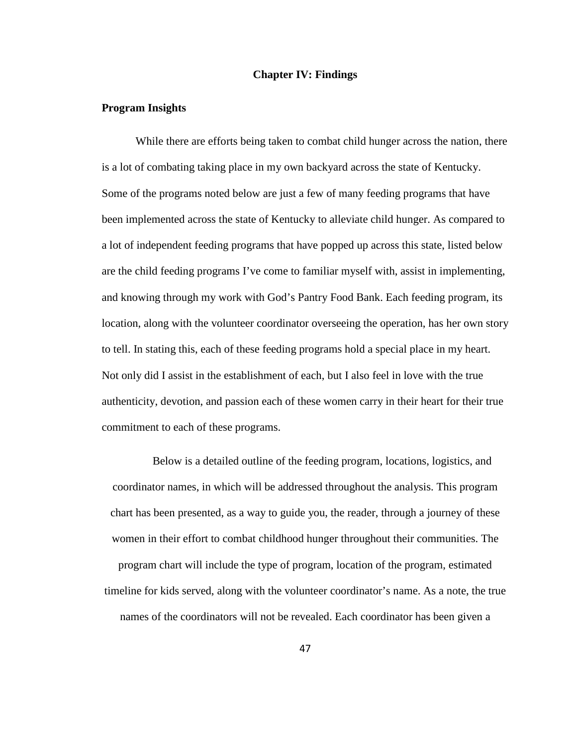## **Chapter IV: Findings**

# **Program Insights**

While there are efforts being taken to combat child hunger across the nation, there is a lot of combating taking place in my own backyard across the state of Kentucky. Some of the programs noted below are just a few of many feeding programs that have been implemented across the state of Kentucky to alleviate child hunger. As compared to a lot of independent feeding programs that have popped up across this state, listed below are the child feeding programs I've come to familiar myself with, assist in implementing, and knowing through my work with God's Pantry Food Bank. Each feeding program, its location, along with the volunteer coordinator overseeing the operation, has her own story to tell. In stating this, each of these feeding programs hold a special place in my heart. Not only did I assist in the establishment of each, but I also feel in love with the true authenticity, devotion, and passion each of these women carry in their heart for their true commitment to each of these programs.

Below is a detailed outline of the feeding program, locations, logistics, and coordinator names, in which will be addressed throughout the analysis. This program chart has been presented, as a way to guide you, the reader, through a journey of these women in their effort to combat childhood hunger throughout their communities. The program chart will include the type of program, location of the program, estimated timeline for kids served, along with the volunteer coordinator's name. As a note, the true names of the coordinators will not be revealed. Each coordinator has been given a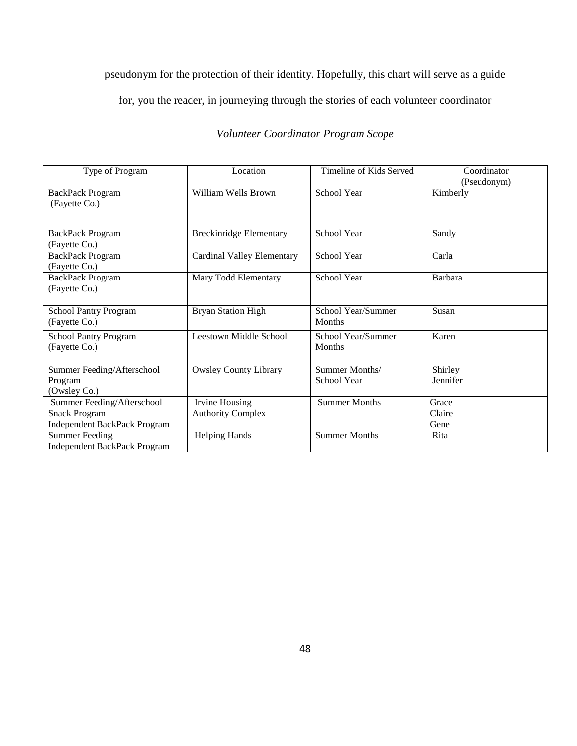# pseudonym for the protection of their identity. Hopefully, this chart will serve as a guide

for, you the reader, in journeying through the stories of each volunteer coordinator

# *Volunteer Coordinator Program Scope*

| Type of Program                     | Location                          | Timeline of Kids Served | Coordinator |
|-------------------------------------|-----------------------------------|-------------------------|-------------|
|                                     |                                   |                         | (Pseudonym) |
| <b>BackPack Program</b>             | William Wells Brown               | School Year             | Kimberly    |
| (Fayette Co.)                       |                                   |                         |             |
|                                     |                                   |                         |             |
| <b>BackPack Program</b>             | <b>Breckinridge Elementary</b>    | School Year             | Sandy       |
| (Fayette Co.)                       |                                   |                         |             |
| <b>BackPack Program</b>             | <b>Cardinal Valley Elementary</b> | School Year             | Carla       |
| (Fayette Co.)                       |                                   |                         |             |
| <b>BackPack Program</b>             | Mary Todd Elementary              | School Year             | Barbara     |
| (Fayette Co.)                       |                                   |                         |             |
|                                     |                                   |                         |             |
| <b>School Pantry Program</b>        | <b>Bryan Station High</b>         | School Year/Summer      | Susan       |
| (Fayette Co.)                       |                                   | <b>Months</b>           |             |
| <b>School Pantry Program</b>        | <b>Leestown Middle School</b>     | School Year/Summer      | Karen       |
| (Fayette Co.)                       |                                   | <b>Months</b>           |             |
|                                     |                                   |                         |             |
| Summer Feeding/Afterschool          | <b>Owsley County Library</b>      | Summer Months/          | Shirley     |
| Program                             |                                   | School Year             | Jennifer    |
| (Owsley Co.)                        |                                   |                         |             |
| Summer Feeding/Afterschool          | Irvine Housing                    | <b>Summer Months</b>    | Grace       |
| <b>Snack Program</b>                | <b>Authority Complex</b>          |                         | Claire      |
| <b>Independent BackPack Program</b> |                                   |                         | Gene        |
| <b>Summer Feeding</b>               | <b>Helping Hands</b>              | <b>Summer Months</b>    | Rita        |
| <b>Independent BackPack Program</b> |                                   |                         |             |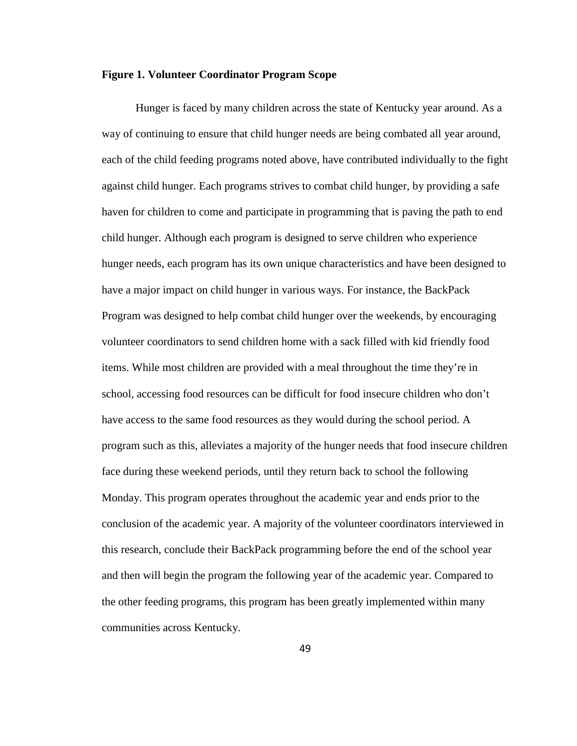## **Figure 1. Volunteer Coordinator Program Scope**

Hunger is faced by many children across the state of Kentucky year around. As a way of continuing to ensure that child hunger needs are being combated all year around, each of the child feeding programs noted above, have contributed individually to the fight against child hunger. Each programs strives to combat child hunger, by providing a safe haven for children to come and participate in programming that is paving the path to end child hunger. Although each program is designed to serve children who experience hunger needs, each program has its own unique characteristics and have been designed to have a major impact on child hunger in various ways. For instance, the BackPack Program was designed to help combat child hunger over the weekends, by encouraging volunteer coordinators to send children home with a sack filled with kid friendly food items. While most children are provided with a meal throughout the time they're in school, accessing food resources can be difficult for food insecure children who don't have access to the same food resources as they would during the school period. A program such as this, alleviates a majority of the hunger needs that food insecure children face during these weekend periods, until they return back to school the following Monday. This program operates throughout the academic year and ends prior to the conclusion of the academic year. A majority of the volunteer coordinators interviewed in this research, conclude their BackPack programming before the end of the school year and then will begin the program the following year of the academic year. Compared to the other feeding programs, this program has been greatly implemented within many communities across Kentucky.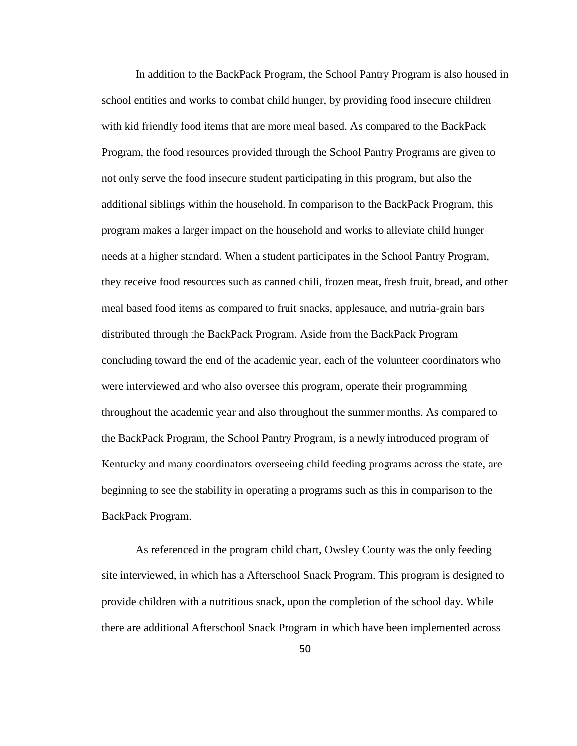In addition to the BackPack Program, the School Pantry Program is also housed in school entities and works to combat child hunger, by providing food insecure children with kid friendly food items that are more meal based. As compared to the BackPack Program, the food resources provided through the School Pantry Programs are given to not only serve the food insecure student participating in this program, but also the additional siblings within the household. In comparison to the BackPack Program, this program makes a larger impact on the household and works to alleviate child hunger needs at a higher standard. When a student participates in the School Pantry Program, they receive food resources such as canned chili, frozen meat, fresh fruit, bread, and other meal based food items as compared to fruit snacks, applesauce, and nutria-grain bars distributed through the BackPack Program. Aside from the BackPack Program concluding toward the end of the academic year, each of the volunteer coordinators who were interviewed and who also oversee this program, operate their programming throughout the academic year and also throughout the summer months. As compared to the BackPack Program, the School Pantry Program, is a newly introduced program of Kentucky and many coordinators overseeing child feeding programs across the state, are beginning to see the stability in operating a programs such as this in comparison to the BackPack Program.

As referenced in the program child chart, Owsley County was the only feeding site interviewed, in which has a Afterschool Snack Program. This program is designed to provide children with a nutritious snack, upon the completion of the school day. While there are additional Afterschool Snack Program in which have been implemented across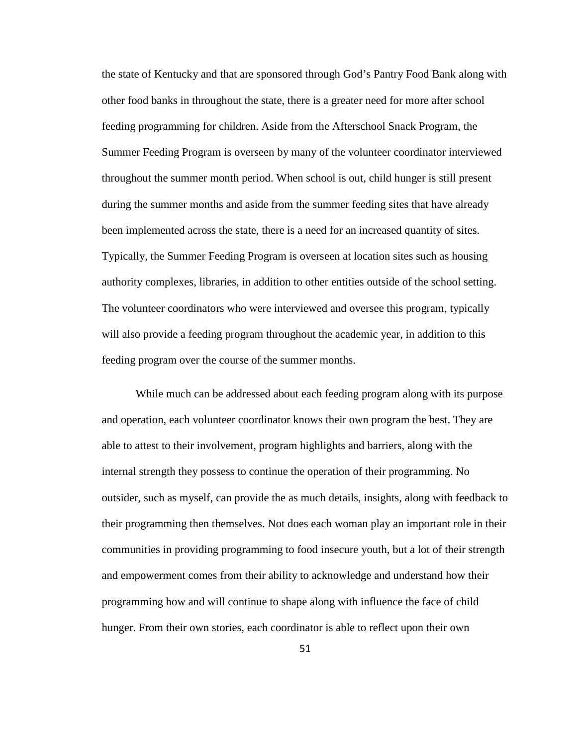the state of Kentucky and that are sponsored through God's Pantry Food Bank along with other food banks in throughout the state, there is a greater need for more after school feeding programming for children. Aside from the Afterschool Snack Program, the Summer Feeding Program is overseen by many of the volunteer coordinator interviewed throughout the summer month period. When school is out, child hunger is still present during the summer months and aside from the summer feeding sites that have already been implemented across the state, there is a need for an increased quantity of sites. Typically, the Summer Feeding Program is overseen at location sites such as housing authority complexes, libraries, in addition to other entities outside of the school setting. The volunteer coordinators who were interviewed and oversee this program, typically will also provide a feeding program throughout the academic year, in addition to this feeding program over the course of the summer months.

While much can be addressed about each feeding program along with its purpose and operation, each volunteer coordinator knows their own program the best. They are able to attest to their involvement, program highlights and barriers, along with the internal strength they possess to continue the operation of their programming. No outsider, such as myself, can provide the as much details, insights, along with feedback to their programming then themselves. Not does each woman play an important role in their communities in providing programming to food insecure youth, but a lot of their strength and empowerment comes from their ability to acknowledge and understand how their programming how and will continue to shape along with influence the face of child hunger. From their own stories, each coordinator is able to reflect upon their own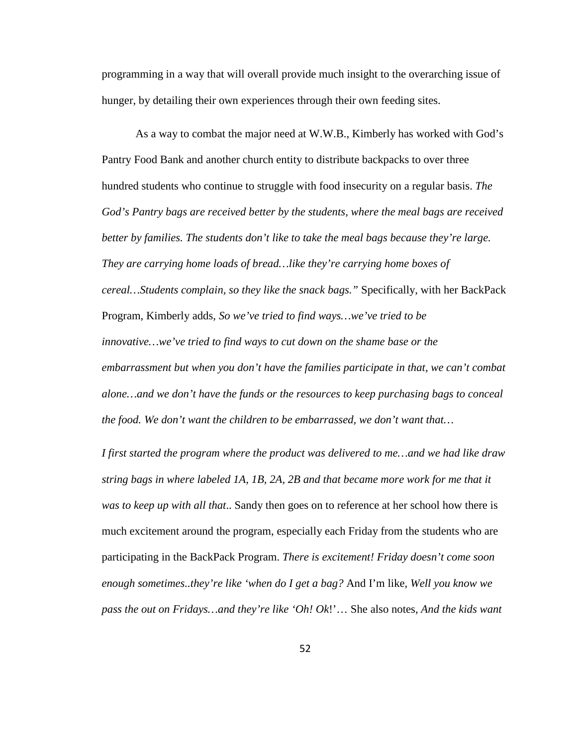programming in a way that will overall provide much insight to the overarching issue of hunger, by detailing their own experiences through their own feeding sites.

As a way to combat the major need at W.W.B., Kimberly has worked with God's Pantry Food Bank and another church entity to distribute backpacks to over three hundred students who continue to struggle with food insecurity on a regular basis. *The God's Pantry bags are received better by the students, where the meal bags are received better by families. The students don't like to take the meal bags because they're large. They are carrying home loads of bread…like they're carrying home boxes of cereal…Students complain, so they like the snack bags."* Specifically, with her BackPack Program, Kimberly adds, *So we've tried to find ways…we've tried to be innovative…we've tried to find ways to cut down on the shame base or the embarrassment but when you don't have the families participate in that, we can't combat alone…and we don't have the funds or the resources to keep purchasing bags to conceal the food. We don't want the children to be embarrassed, we don't want that…*

*I first started the program where the product was delivered to me…and we had like draw string bags in where labeled 1A, 1B, 2A, 2B and that became more work for me that it was to keep up with all that*.. Sandy then goes on to reference at her school how there is much excitement around the program, especially each Friday from the students who are participating in the BackPack Program. *There is excitement! Friday doesn't come soon enough sometimes..they're like 'when do I get a bag?* And I'm like, *Well you know we pass the out on Fridays…and they're like 'Oh! Ok*!'… She also notes, *And the kids want*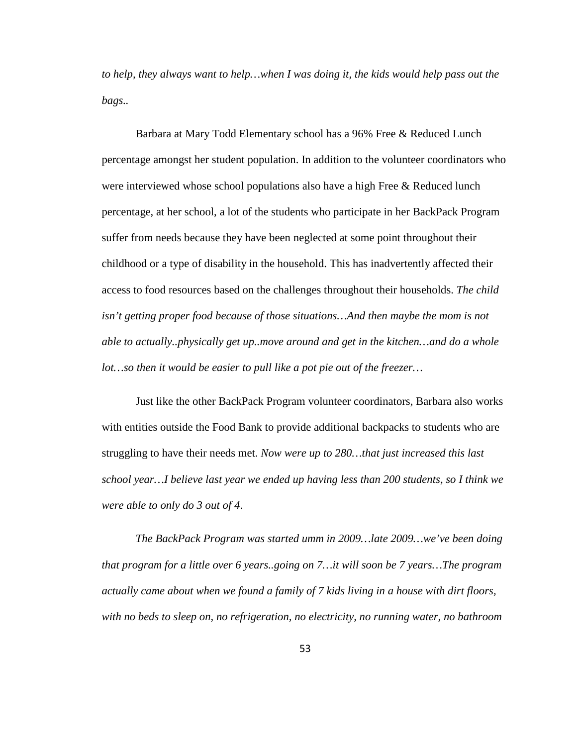*to help, they always want to help…when I was doing it, the kids would help pass out the bags..*

Barbara at Mary Todd Elementary school has a 96% Free & Reduced Lunch percentage amongst her student population. In addition to the volunteer coordinators who were interviewed whose school populations also have a high Free & Reduced lunch percentage, at her school, a lot of the students who participate in her BackPack Program suffer from needs because they have been neglected at some point throughout their childhood or a type of disability in the household. This has inadvertently affected their access to food resources based on the challenges throughout their households. *The child isn't getting proper food because of those situations...And then maybe the mom is not able to actually..physically get up..move around and get in the kitchen…and do a whole lot…so then it would be easier to pull like a pot pie out of the freezer…*

Just like the other BackPack Program volunteer coordinators, Barbara also works with entities outside the Food Bank to provide additional backpacks to students who are struggling to have their needs met. *Now were up to 280…that just increased this last school year…I believe last year we ended up having less than 200 students, so I think we were able to only do 3 out of 4*.

*The BackPack Program was started umm in 2009…late 2009…we've been doing that program for a little over 6 years..going on 7…it will soon be 7 years…The program actually came about when we found a family of 7 kids living in a house with dirt floors, with no beds to sleep on, no refrigeration, no electricity, no running water, no bathroom*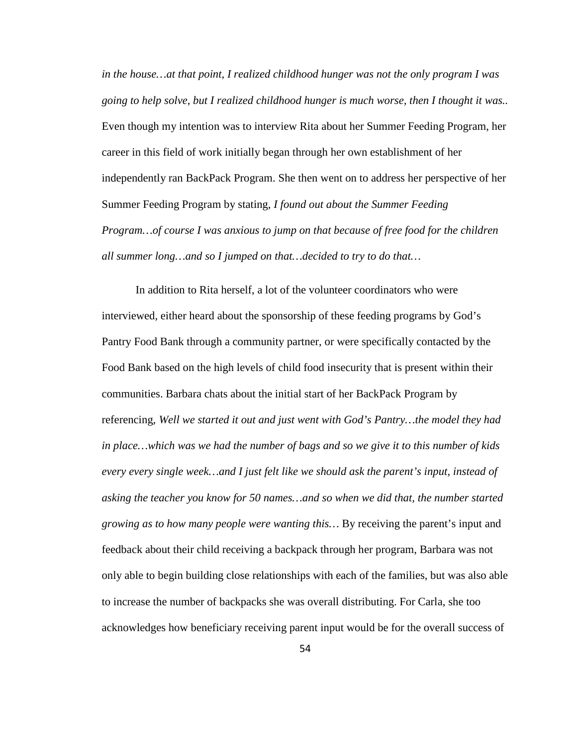*in the house…at that point, I realized childhood hunger was not the only program I was going to help solve, but I realized childhood hunger is much worse, then I thought it was..*  Even though my intention was to interview Rita about her Summer Feeding Program, her career in this field of work initially began through her own establishment of her independently ran BackPack Program. She then went on to address her perspective of her Summer Feeding Program by stating, *I found out about the Summer Feeding Program…of course I was anxious to jump on that because of free food for the children all summer long…and so I jumped on that…decided to try to do that…* 

In addition to Rita herself, a lot of the volunteer coordinators who were interviewed, either heard about the sponsorship of these feeding programs by God's Pantry Food Bank through a community partner, or were specifically contacted by the Food Bank based on the high levels of child food insecurity that is present within their communities. Barbara chats about the initial start of her BackPack Program by referencing, *Well we started it out and just went with God's Pantry…the model they had in place…which was we had the number of bags and so we give it to this number of kids every every single week…and I just felt like we should ask the parent's input, instead of asking the teacher you know for 50 names…and so when we did that, the number started growing as to how many people were wanting this…* By receiving the parent's input and feedback about their child receiving a backpack through her program, Barbara was not only able to begin building close relationships with each of the families, but was also able to increase the number of backpacks she was overall distributing. For Carla, she too acknowledges how beneficiary receiving parent input would be for the overall success of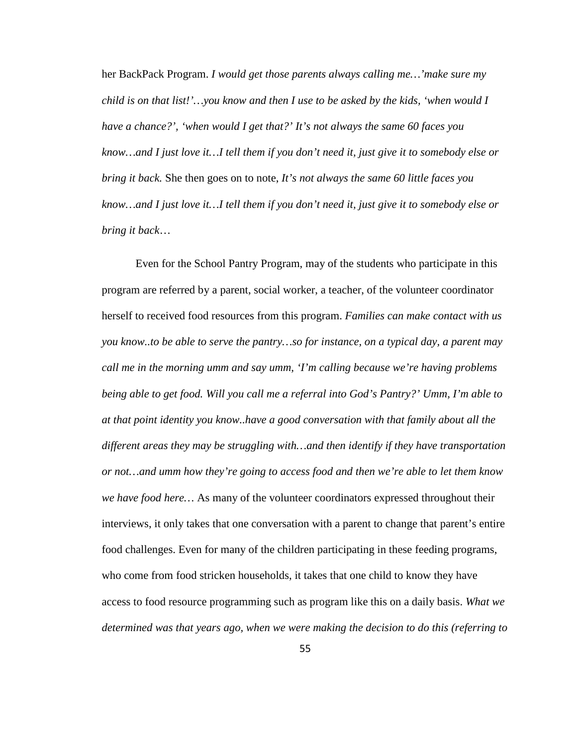her BackPack Program. *I would get those parents always calling me…'make sure my child is on that list!'…you know and then I use to be asked by the kids, 'when would I have a chance?', 'when would I get that?' It's not always the same 60 faces you know…and I just love it…I tell them if you don't need it, just give it to somebody else or bring it back.* She then goes on to note, *It's not always the same 60 little faces you know…and I just love it…I tell them if you don't need it, just give it to somebody else or bring it back*…

Even for the School Pantry Program, may of the students who participate in this program are referred by a parent, social worker, a teacher, of the volunteer coordinator herself to received food resources from this program. *Families can make contact with us you know..to be able to serve the pantry…so for instance, on a typical day, a parent may call me in the morning umm and say umm, 'I'm calling because we're having problems being able to get food. Will you call me a referral into God's Pantry?' Umm, I'm able to at that point identity you know..have a good conversation with that family about all the different areas they may be struggling with…and then identify if they have transportation or not…and umm how they're going to access food and then we're able to let them know we have food here…* As many of the volunteer coordinators expressed throughout their interviews, it only takes that one conversation with a parent to change that parent's entire food challenges. Even for many of the children participating in these feeding programs, who come from food stricken households, it takes that one child to know they have access to food resource programming such as program like this on a daily basis. *What we determined was that years ago, when we were making the decision to do this (referring to*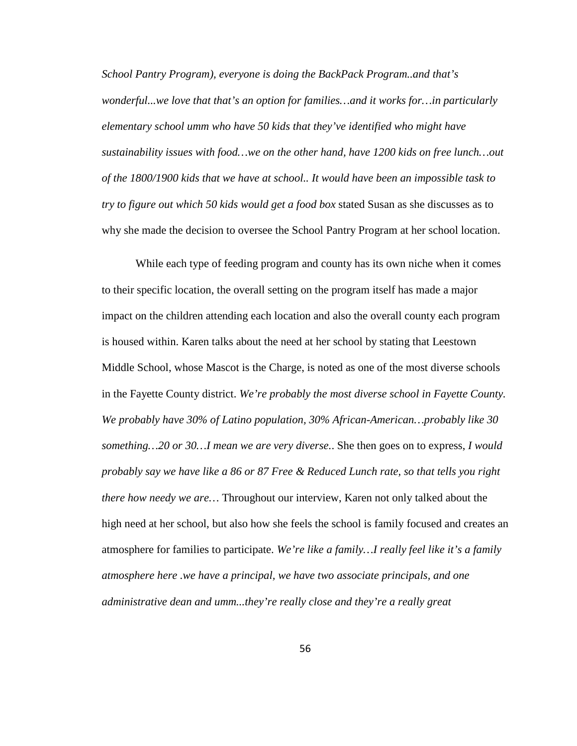*School Pantry Program), everyone is doing the BackPack Program..and that's wonderful...we love that that's an option for families…and it works for…in particularly elementary school umm who have 50 kids that they've identified who might have sustainability issues with food…we on the other hand, have 1200 kids on free lunch…out of the 1800/1900 kids that we have at school.. It would have been an impossible task to try to figure out which 50 kids would get a food box* stated Susan as she discusses as to why she made the decision to oversee the School Pantry Program at her school location.

While each type of feeding program and county has its own niche when it comes to their specific location, the overall setting on the program itself has made a major impact on the children attending each location and also the overall county each program is housed within. Karen talks about the need at her school by stating that Leestown Middle School, whose Mascot is the Charge, is noted as one of the most diverse schools in the Fayette County district. *We're probably the most diverse school in Fayette County. We probably have 30% of Latino population, 30% African-American…probably like 30 something…20 or 30…I mean we are very diverse.*. She then goes on to express, *I would probably say we have like a 86 or 87 Free & Reduced Lunch rate, so that tells you right there how needy we are…* Throughout our interview, Karen not only talked about the high need at her school, but also how she feels the school is family focused and creates an atmosphere for families to participate. *We're like a family…I really feel like it's a family atmosphere here .we have a principal, we have two associate principals, and one administrative dean and umm...they're really close and they're a really great*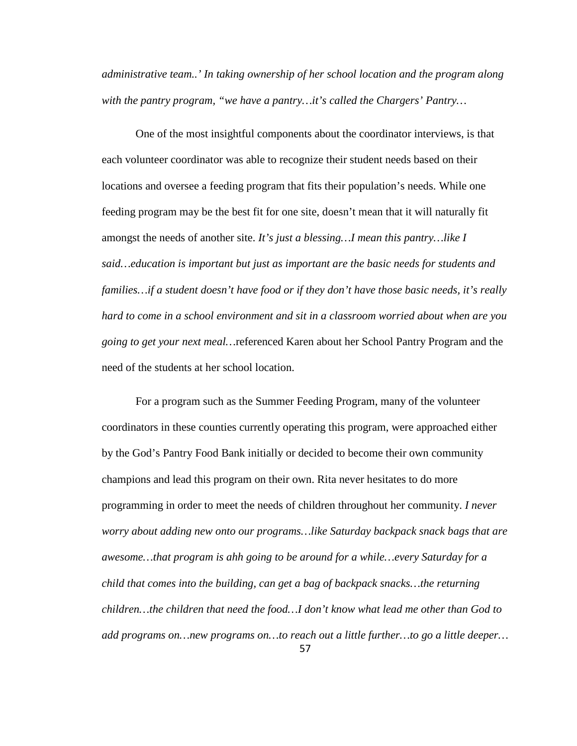*administrative team..' In taking ownership of her school location and the program along with the pantry program, "we have a pantry…it's called the Chargers' Pantry…*

One of the most insightful components about the coordinator interviews, is that each volunteer coordinator was able to recognize their student needs based on their locations and oversee a feeding program that fits their population's needs. While one feeding program may be the best fit for one site, doesn't mean that it will naturally fit amongst the needs of another site. *It's just a blessing…I mean this pantry…like I said…education is important but just as important are the basic needs for students and families…if a student doesn't have food or if they don't have those basic needs, it's really hard to come in a school environment and sit in a classroom worried about when are you going to get your next meal…*referenced Karen about her School Pantry Program and the need of the students at her school location.

57 For a program such as the Summer Feeding Program, many of the volunteer coordinators in these counties currently operating this program, were approached either by the God's Pantry Food Bank initially or decided to become their own community champions and lead this program on their own. Rita never hesitates to do more programming in order to meet the needs of children throughout her community. *I never worry about adding new onto our programs…like Saturday backpack snack bags that are awesome…that program is ahh going to be around for a while…every Saturday for a child that comes into the building, can get a bag of backpack snacks…the returning children…the children that need the food…I don't know what lead me other than God to add programs on…new programs on…to reach out a little further…to go a little deeper…*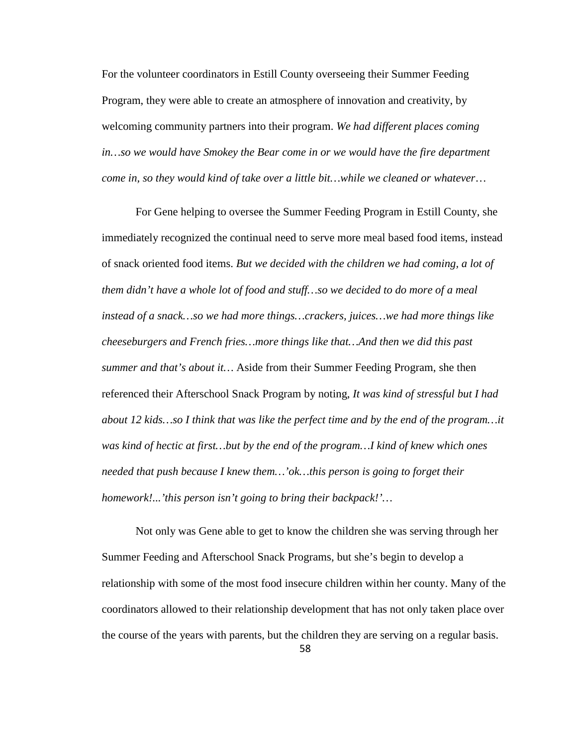For the volunteer coordinators in Estill County overseeing their Summer Feeding Program, they were able to create an atmosphere of innovation and creativity, by welcoming community partners into their program. *We had different places coming*  in...so we would have Smokey the Bear come in or we would have the fire department *come in, so they would kind of take over a little bit…while we cleaned or whatever*…

For Gene helping to oversee the Summer Feeding Program in Estill County, she immediately recognized the continual need to serve more meal based food items, instead of snack oriented food items. *But we decided with the children we had coming, a lot of them didn't have a whole lot of food and stuff…so we decided to do more of a meal instead of a snack…so we had more things…crackers, juices…we had more things like cheeseburgers and French fries…more things like that…And then we did this past summer and that's about it…* Aside from their Summer Feeding Program, she then referenced their Afterschool Snack Program by noting, *It was kind of stressful but I had about 12 kids…so I think that was like the perfect time and by the end of the program…it was kind of hectic at first…but by the end of the program…I kind of knew which ones needed that push because I knew them…'ok…this person is going to forget their homework!...'this person isn't going to bring their backpack!'…*

Not only was Gene able to get to know the children she was serving through her Summer Feeding and Afterschool Snack Programs, but she's begin to develop a relationship with some of the most food insecure children within her county. Many of the coordinators allowed to their relationship development that has not only taken place over the course of the years with parents, but the children they are serving on a regular basis.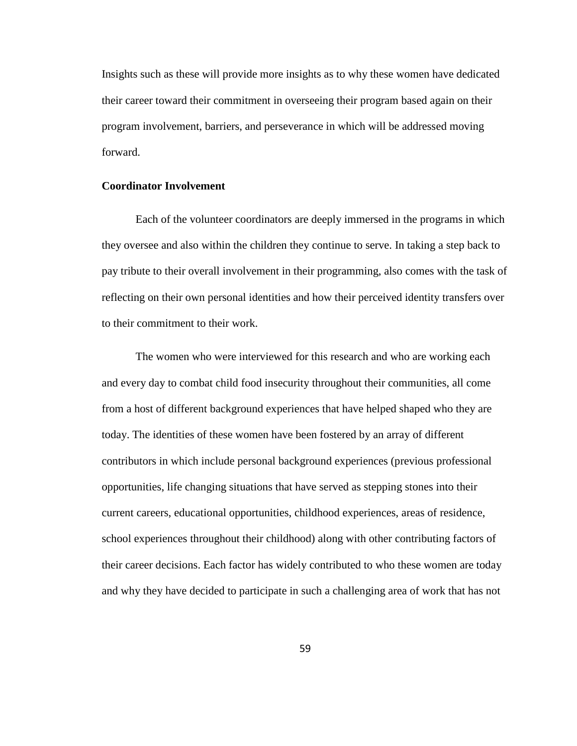Insights such as these will provide more insights as to why these women have dedicated their career toward their commitment in overseeing their program based again on their program involvement, barriers, and perseverance in which will be addressed moving forward.

## **Coordinator Involvement**

Each of the volunteer coordinators are deeply immersed in the programs in which they oversee and also within the children they continue to serve. In taking a step back to pay tribute to their overall involvement in their programming, also comes with the task of reflecting on their own personal identities and how their perceived identity transfers over to their commitment to their work.

The women who were interviewed for this research and who are working each and every day to combat child food insecurity throughout their communities, all come from a host of different background experiences that have helped shaped who they are today. The identities of these women have been fostered by an array of different contributors in which include personal background experiences (previous professional opportunities, life changing situations that have served as stepping stones into their current careers, educational opportunities, childhood experiences, areas of residence, school experiences throughout their childhood) along with other contributing factors of their career decisions. Each factor has widely contributed to who these women are today and why they have decided to participate in such a challenging area of work that has not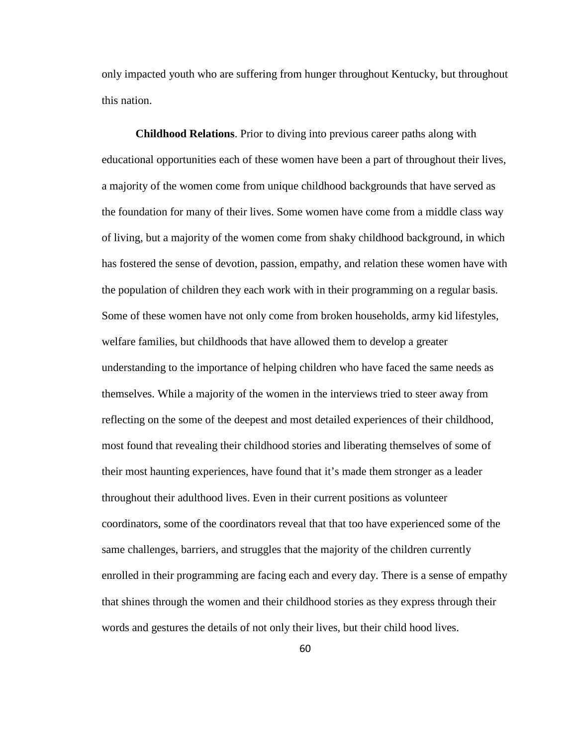only impacted youth who are suffering from hunger throughout Kentucky, but throughout this nation.

**Childhood Relations**. Prior to diving into previous career paths along with educational opportunities each of these women have been a part of throughout their lives, a majority of the women come from unique childhood backgrounds that have served as the foundation for many of their lives. Some women have come from a middle class way of living, but a majority of the women come from shaky childhood background, in which has fostered the sense of devotion, passion, empathy, and relation these women have with the population of children they each work with in their programming on a regular basis. Some of these women have not only come from broken households, army kid lifestyles, welfare families, but childhoods that have allowed them to develop a greater understanding to the importance of helping children who have faced the same needs as themselves. While a majority of the women in the interviews tried to steer away from reflecting on the some of the deepest and most detailed experiences of their childhood, most found that revealing their childhood stories and liberating themselves of some of their most haunting experiences, have found that it's made them stronger as a leader throughout their adulthood lives. Even in their current positions as volunteer coordinators, some of the coordinators reveal that that too have experienced some of the same challenges, barriers, and struggles that the majority of the children currently enrolled in their programming are facing each and every day. There is a sense of empathy that shines through the women and their childhood stories as they express through their words and gestures the details of not only their lives, but their child hood lives.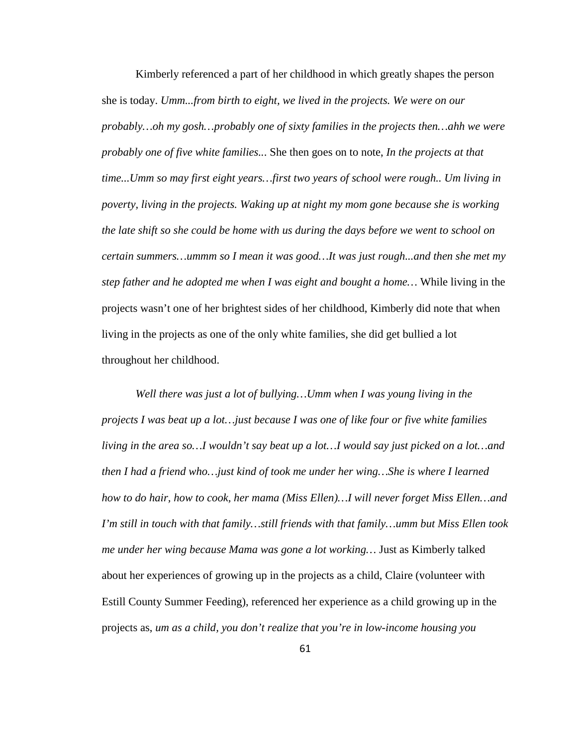Kimberly referenced a part of her childhood in which greatly shapes the person she is today. *Umm...from birth to eight, we lived in the projects. We were on our probably…oh my gosh…probably one of sixty families in the projects then…ahh we were probably one of five white families..*. She then goes on to note, *In the projects at that time...Umm so may first eight years…first two years of school were rough.. Um living in poverty, living in the projects. Waking up at night my mom gone because she is working the late shift so she could be home with us during the days before we went to school on certain summers…ummm so I mean it was good…It was just rough...and then she met my step father and he adopted me when I was eight and bought a home…* While living in the projects wasn't one of her brightest sides of her childhood, Kimberly did note that when living in the projects as one of the only white families, she did get bullied a lot throughout her childhood.

*Well there was just a lot of bullying…Umm when I was young living in the projects I was beat up a lot…just because I was one of like four or five white families living in the area so…I wouldn't say beat up a lot…I would say just picked on a lot…and then I had a friend who…just kind of took me under her wing…She is where I learned how to do hair, how to cook, her mama (Miss Ellen)…I will never forget Miss Ellen…and I'm still in touch with that family…still friends with that family…umm but Miss Ellen took me under her wing because Mama was gone a lot working…* Just as Kimberly talked about her experiences of growing up in the projects as a child, Claire (volunteer with Estill County Summer Feeding), referenced her experience as a child growing up in the projects as, *um as a child, you don't realize that you're in low-income housing you*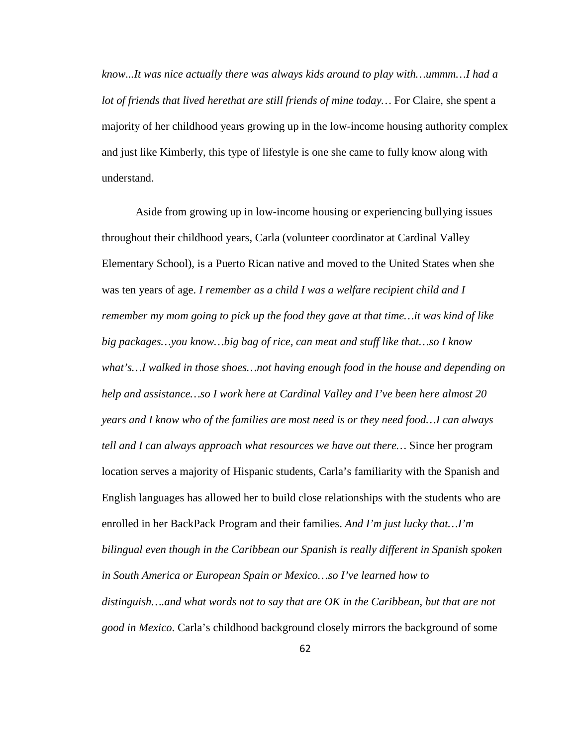*know...It was nice actually there was always kids around to play with…ummm…I had a lot of friends that lived herethat are still friends of mine today…* For Claire, she spent a majority of her childhood years growing up in the low-income housing authority complex and just like Kimberly, this type of lifestyle is one she came to fully know along with understand.

Aside from growing up in low-income housing or experiencing bullying issues throughout their childhood years, Carla (volunteer coordinator at Cardinal Valley Elementary School), is a Puerto Rican native and moved to the United States when she was ten years of age. *I remember as a child I was a welfare recipient child and I remember my mom going to pick up the food they gave at that time…it was kind of like big packages…you know…big bag of rice, can meat and stuff like that…so I know what's…I walked in those shoes…not having enough food in the house and depending on help and assistance…so I work here at Cardinal Valley and I've been here almost 20 years and I know who of the families are most need is or they need food…I can always tell and I can always approach what resources we have out there…* Since her program location serves a majority of Hispanic students, Carla's familiarity with the Spanish and English languages has allowed her to build close relationships with the students who are enrolled in her BackPack Program and their families. *And I'm just lucky that…I'm bilingual even though in the Caribbean our Spanish is really different in Spanish spoken in South America or European Spain or Mexico…so I've learned how to distinguish….and what words not to say that are OK in the Caribbean, but that are not good in Mexico*. Carla's childhood background closely mirrors the background of some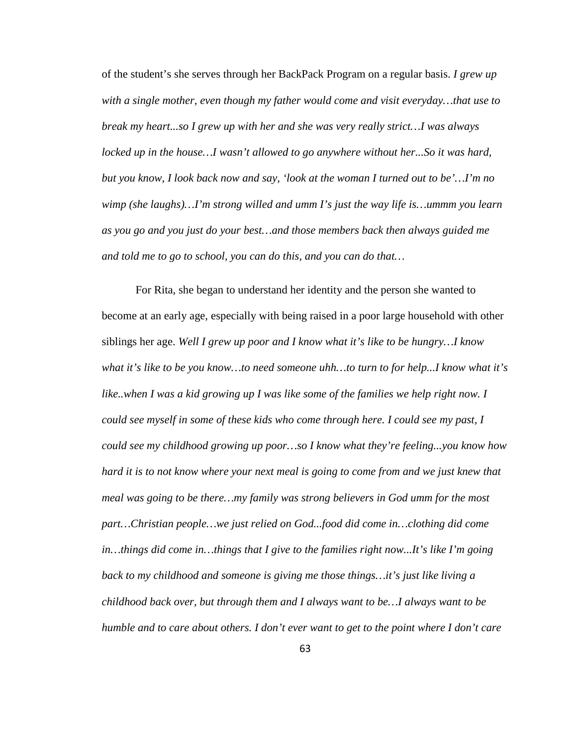of the student's she serves through her BackPack Program on a regular basis. *I grew up with a single mother, even though my father would come and visit everyday…that use to break my heart...so I grew up with her and she was very really strict…I was always locked up in the house…I wasn't allowed to go anywhere without her...So it was hard, but you know, I look back now and say, 'look at the woman I turned out to be'…I'm no wimp (she laughs)…I'm strong willed and umm I's just the way life is…ummm you learn as you go and you just do your best…and those members back then always guided me and told me to go to school, you can do this, and you can do that…*

For Rita, she began to understand her identity and the person she wanted to become at an early age, especially with being raised in a poor large household with other siblings her age. *Well I grew up poor and I know what it's like to be hungry…I know what it's like to be you know…to need someone uhh…to turn to for help...I know what it's*  like.when I was a kid growing up I was like some of the families we help right now. I *could see myself in some of these kids who come through here. I could see my past, I could see my childhood growing up poor…so I know what they're feeling...you know how hard it is to not know where your next meal is going to come from and we just knew that meal was going to be there…my family was strong believers in God umm for the most part…Christian people…we just relied on God...food did come in…clothing did come in…things did come in…things that I give to the families right now...It's like I'm going back to my childhood and someone is giving me those things…it's just like living a childhood back over, but through them and I always want to be…I always want to be humble and to care about others. I don't ever want to get to the point where I don't care*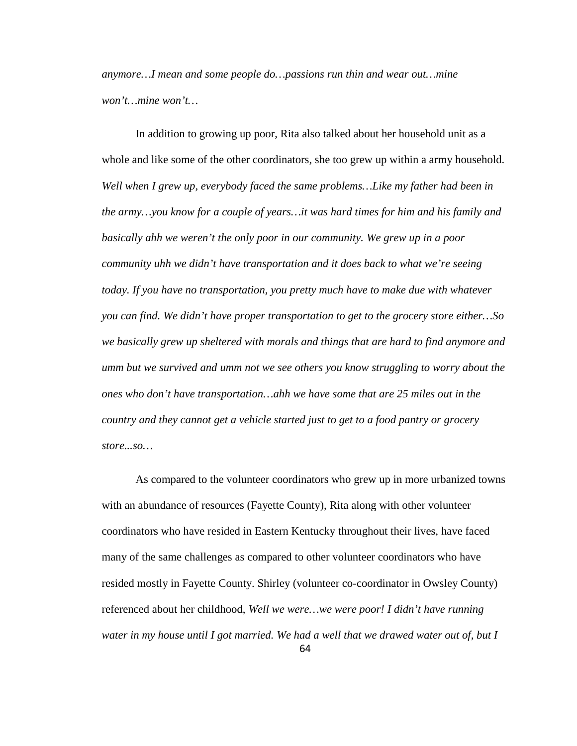*anymore…I mean and some people do…passions run thin and wear out…mine won't…mine won't…*

In addition to growing up poor, Rita also talked about her household unit as a whole and like some of the other coordinators, she too grew up within a army household. *Well when I grew up, everybody faced the same problems…Like my father had been in the army…you know for a couple of years…it was hard times for him and his family and basically ahh we weren't the only poor in our community. We grew up in a poor community uhh we didn't have transportation and it does back to what we're seeing today. If you have no transportation, you pretty much have to make due with whatever you can find. We didn't have proper transportation to get to the grocery store either…So we basically grew up sheltered with morals and things that are hard to find anymore and umm but we survived and umm not we see others you know struggling to worry about the ones who don't have transportation…ahh we have some that are 25 miles out in the country and they cannot get a vehicle started just to get to a food pantry or grocery store...so…*

As compared to the volunteer coordinators who grew up in more urbanized towns with an abundance of resources (Fayette County), Rita along with other volunteer coordinators who have resided in Eastern Kentucky throughout their lives, have faced many of the same challenges as compared to other volunteer coordinators who have resided mostly in Fayette County. Shirley (volunteer co-coordinator in Owsley County) referenced about her childhood, *Well we were…we were poor! I didn't have running water in my house until I got married. We had a well that we drawed water out of, but I*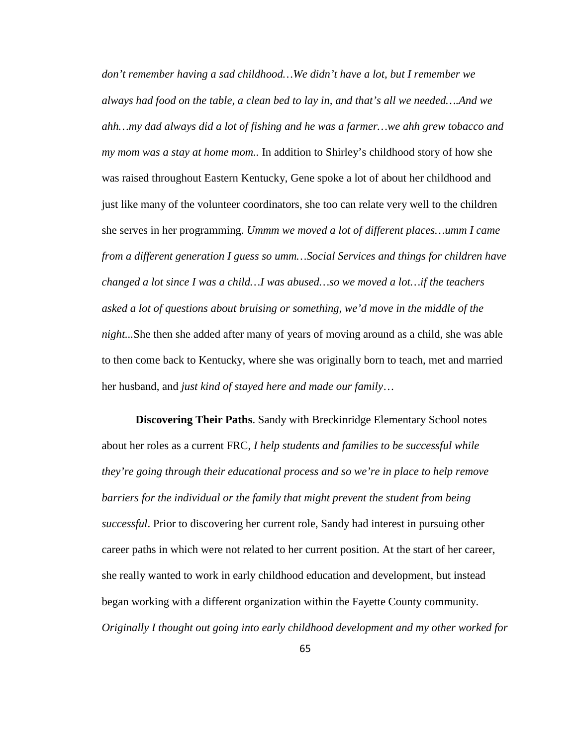*don't remember having a sad childhood…We didn't have a lot, but I remember we always had food on the table, a clean bed to lay in, and that's all we needed….And we ahh…my dad always did a lot of fishing and he was a farmer…we ahh grew tobacco and my mom was a stay at home mom..* In addition to Shirley's childhood story of how she was raised throughout Eastern Kentucky, Gene spoke a lot of about her childhood and just like many of the volunteer coordinators, she too can relate very well to the children she serves in her programming. *Ummm we moved a lot of different places…umm I came from a different generation I guess so umm…Social Services and things for children have changed a lot since I was a child…I was abused…so we moved a lot…if the teachers asked a lot of questions about bruising or something, we'd move in the middle of the night...*She then she added after many of years of moving around as a child, she was able to then come back to Kentucky, where she was originally born to teach, met and married her husband, and *just kind of stayed here and made our family*…

**Discovering Their Paths**. Sandy with Breckinridge Elementary School notes about her roles as a current FRC, *I help students and families to be successful while they're going through their educational process and so we're in place to help remove barriers for the individual or the family that might prevent the student from being successful*. Prior to discovering her current role, Sandy had interest in pursuing other career paths in which were not related to her current position. At the start of her career, she really wanted to work in early childhood education and development, but instead began working with a different organization within the Fayette County community. *Originally I thought out going into early childhood development and my other worked for*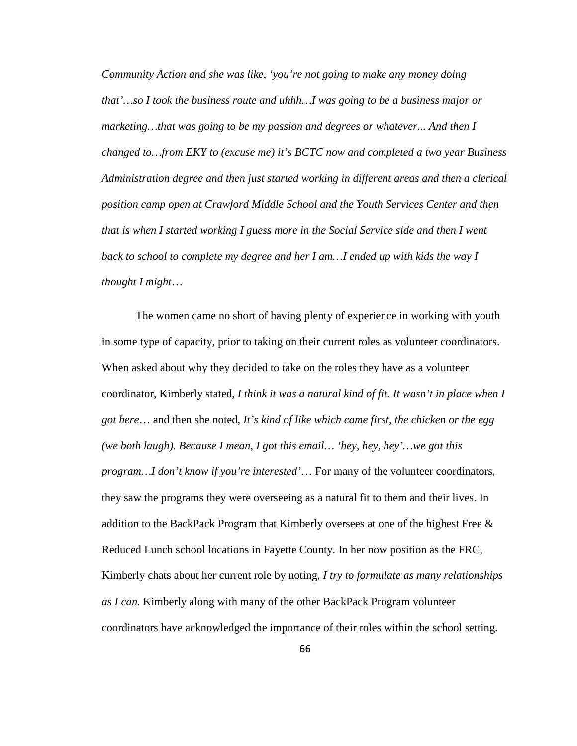*Community Action and she was like, 'you're not going to make any money doing that'…so I took the business route and uhhh…I was going to be a business major or marketing…that was going to be my passion and degrees or whatever... And then I changed to…from EKY to (excuse me) it's BCTC now and completed a two year Business Administration degree and then just started working in different areas and then a clerical position camp open at Crawford Middle School and the Youth Services Center and then that is when I started working I guess more in the Social Service side and then I went back to school to complete my degree and her I am…I ended up with kids the way I thought I might*…

The women came no short of having plenty of experience in working with youth in some type of capacity, prior to taking on their current roles as volunteer coordinators. When asked about why they decided to take on the roles they have as a volunteer coordinator, Kimberly stated, *I think it was a natural kind of fit. It wasn't in place when I got here*… and then she noted, *It's kind of like which came first, the chicken or the egg (we both laugh). Because I mean, I got this email… 'hey, hey, hey'…we got this program…I don't know if you're interested'*… For many of the volunteer coordinators, they saw the programs they were overseeing as a natural fit to them and their lives. In addition to the BackPack Program that Kimberly oversees at one of the highest Free & Reduced Lunch school locations in Fayette County. In her now position as the FRC, Kimberly chats about her current role by noting, *I try to formulate as many relationships as I can.* Kimberly along with many of the other BackPack Program volunteer coordinators have acknowledged the importance of their roles within the school setting.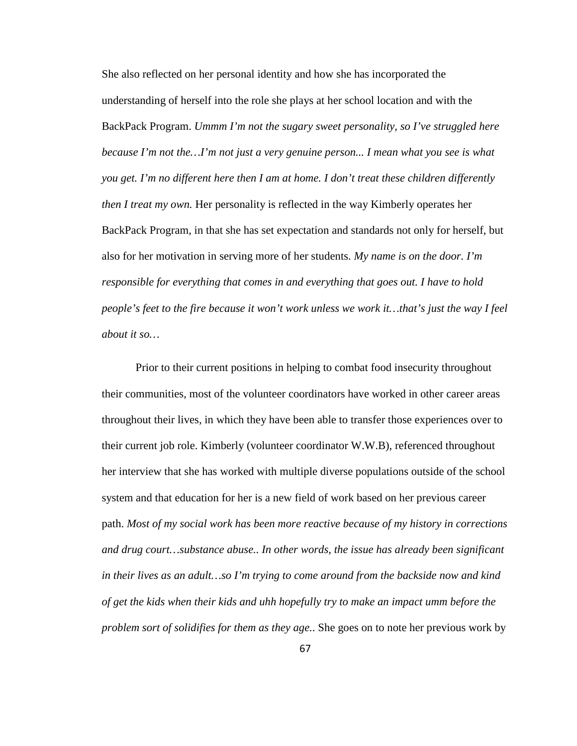She also reflected on her personal identity and how she has incorporated the understanding of herself into the role she plays at her school location and with the BackPack Program. *Ummm I'm not the sugary sweet personality, so I've struggled here because I'm not the…I'm not just a very genuine person... I mean what you see is what you get. I'm no different here then I am at home. I don't treat these children differently then I treat my own.* Her personality is reflected in the way Kimberly operates her BackPack Program, in that she has set expectation and standards not only for herself, but also for her motivation in serving more of her students. *My name is on the door. I'm responsible for everything that comes in and everything that goes out. I have to hold people's feet to the fire because it won't work unless we work it…that's just the way I feel about it so…*

Prior to their current positions in helping to combat food insecurity throughout their communities, most of the volunteer coordinators have worked in other career areas throughout their lives, in which they have been able to transfer those experiences over to their current job role. Kimberly (volunteer coordinator W.W.B), referenced throughout her interview that she has worked with multiple diverse populations outside of the school system and that education for her is a new field of work based on her previous career path. *Most of my social work has been more reactive because of my history in corrections and drug court…substance abuse.. In other words, the issue has already been significant in their lives as an adult…so I'm trying to come around from the backside now and kind of get the kids when their kids and uhh hopefully try to make an impact umm before the problem sort of solidifies for them as they age.*. She goes on to note her previous work by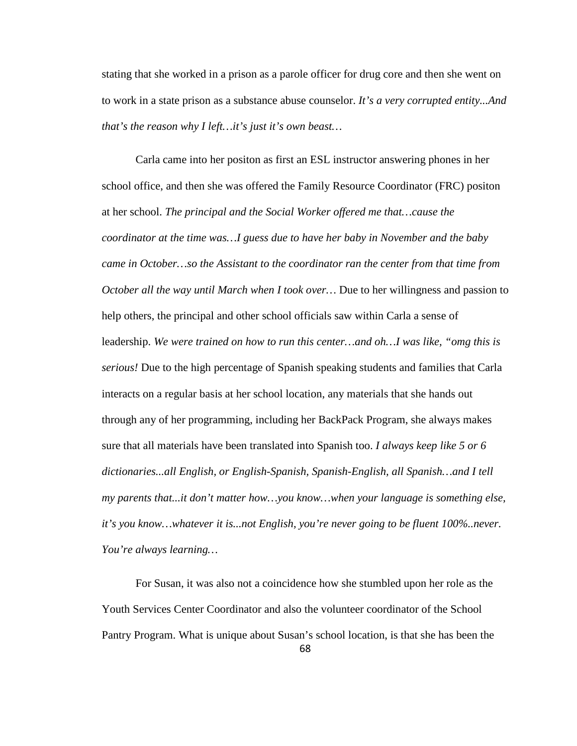stating that she worked in a prison as a parole officer for drug core and then she went on to work in a state prison as a substance abuse counselor. *It's a very corrupted entity...And that's the reason why I left…it's just it's own beast…*

Carla came into her positon as first an ESL instructor answering phones in her school office, and then she was offered the Family Resource Coordinator (FRC) positon at her school. *The principal and the Social Worker offered me that…cause the coordinator at the time was…I guess due to have her baby in November and the baby came in October…so the Assistant to the coordinator ran the center from that time from October all the way until March when I took over…* Due to her willingness and passion to help others, the principal and other school officials saw within Carla a sense of leadership. *We were trained on how to run this center…and oh…I was like, "omg this is serious!* Due to the high percentage of Spanish speaking students and families that Carla interacts on a regular basis at her school location, any materials that she hands out through any of her programming, including her BackPack Program, she always makes sure that all materials have been translated into Spanish too. *I always keep like 5 or 6 dictionaries...all English, or English-Spanish, Spanish-English, all Spanish…and I tell my parents that...it don't matter how…you know…when your language is something else, it's you know…whatever it is...not English, you're never going to be fluent 100%..never. You're always learning…*

For Susan, it was also not a coincidence how she stumbled upon her role as the Youth Services Center Coordinator and also the volunteer coordinator of the School Pantry Program. What is unique about Susan's school location, is that she has been the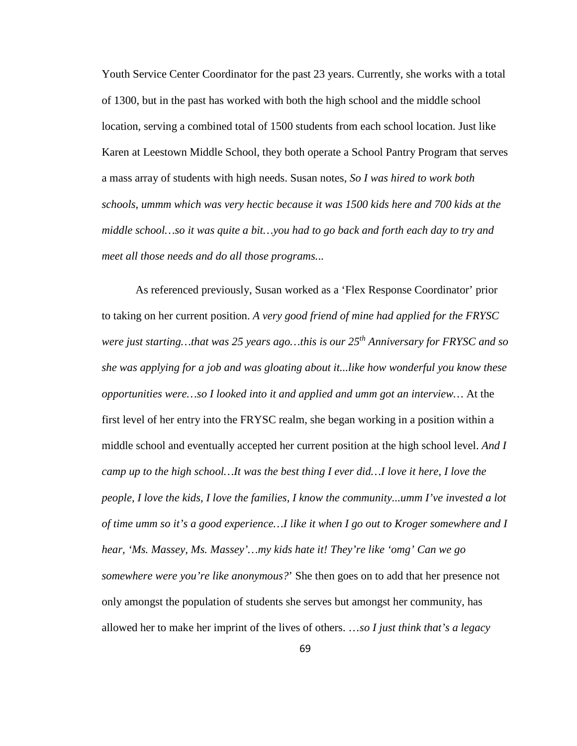Youth Service Center Coordinator for the past 23 years. Currently, she works with a total of 1300, but in the past has worked with both the high school and the middle school location, serving a combined total of 1500 students from each school location. Just like Karen at Leestown Middle School, they both operate a School Pantry Program that serves a mass array of students with high needs. Susan notes, *So I was hired to work both schools, ummm which was very hectic because it was 1500 kids here and 700 kids at the middle school…so it was quite a bit…you had to go back and forth each day to try and meet all those needs and do all those programs.*..

As referenced previously, Susan worked as a 'Flex Response Coordinator' prior to taking on her current position. *A very good friend of mine had applied for the FRYSC were just starting…that was 25 years ago…this is our 25th Anniversary for FRYSC and so she was applying for a job and was gloating about it...like how wonderful you know these opportunities were…so I looked into it and applied and umm got an interview…* At the first level of her entry into the FRYSC realm, she began working in a position within a middle school and eventually accepted her current position at the high school level. *And I camp up to the high school…It was the best thing I ever did…I love it here, I love the people, I love the kids, I love the families, I know the community...umm I've invested a lot of time umm so it's a good experience…I like it when I go out to Kroger somewhere and I hear, 'Ms. Massey, Ms. Massey'…my kids hate it! They're like 'omg' Can we go somewhere were you're like anonymous?*' She then goes on to add that her presence not only amongst the population of students she serves but amongst her community, has allowed her to make her imprint of the lives of others. …*so I just think that's a legacy*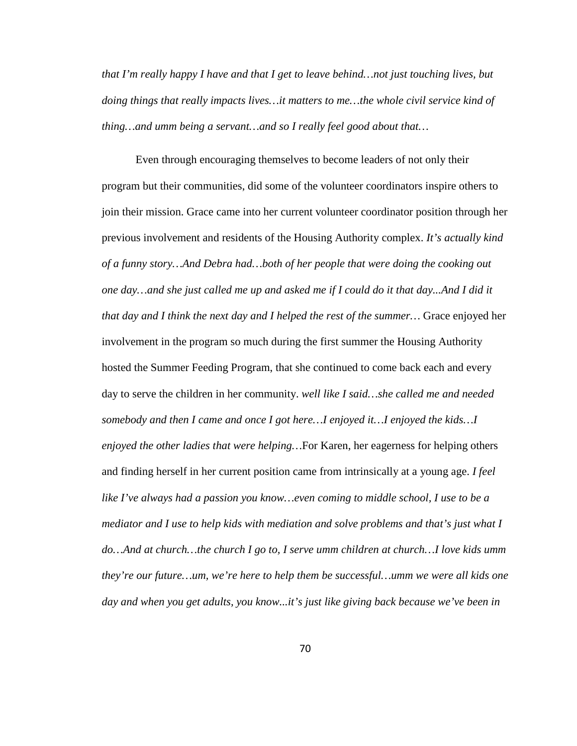*that I'm really happy I have and that I get to leave behind…not just touching lives, but doing things that really impacts lives…it matters to me…the whole civil service kind of thing…and umm being a servant…and so I really feel good about that…*

Even through encouraging themselves to become leaders of not only their program but their communities, did some of the volunteer coordinators inspire others to join their mission. Grace came into her current volunteer coordinator position through her previous involvement and residents of the Housing Authority complex. *It's actually kind of a funny story…And Debra had…both of her people that were doing the cooking out one day…and she just called me up and asked me if I could do it that day...And I did it that day and I think the next day and I helped the rest of the summer…* Grace enjoyed her involvement in the program so much during the first summer the Housing Authority hosted the Summer Feeding Program, that she continued to come back each and every day to serve the children in her community. *well like I said…she called me and needed somebody and then I came and once I got here…I enjoyed it…I enjoyed the kids…I enjoyed the other ladies that were helping…*For Karen, her eagerness for helping others and finding herself in her current position came from intrinsically at a young age. *I feel like I've always had a passion you know…even coming to middle school, I use to be a mediator and I use to help kids with mediation and solve problems and that's just what I do…And at church…the church I go to, I serve umm children at church…I love kids umm they're our future…um, we're here to help them be successful…umm we were all kids one day and when you get adults, you know...it's just like giving back because we've been in*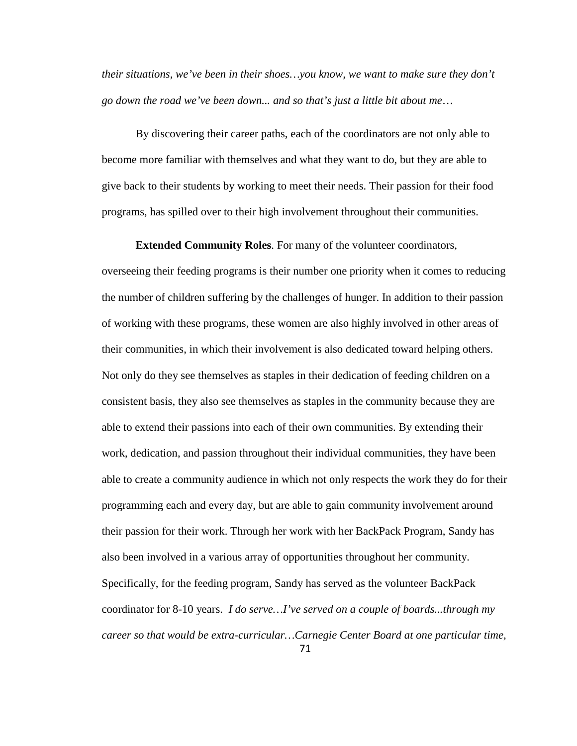*their situations, we've been in their shoes…you know, we want to make sure they don't go down the road we've been down... and so that's just a little bit about me*…

By discovering their career paths, each of the coordinators are not only able to become more familiar with themselves and what they want to do, but they are able to give back to their students by working to meet their needs. Their passion for their food programs, has spilled over to their high involvement throughout their communities.

**Extended Community Roles**. For many of the volunteer coordinators,

71 overseeing their feeding programs is their number one priority when it comes to reducing the number of children suffering by the challenges of hunger. In addition to their passion of working with these programs, these women are also highly involved in other areas of their communities, in which their involvement is also dedicated toward helping others. Not only do they see themselves as staples in their dedication of feeding children on a consistent basis, they also see themselves as staples in the community because they are able to extend their passions into each of their own communities. By extending their work, dedication, and passion throughout their individual communities, they have been able to create a community audience in which not only respects the work they do for their programming each and every day, but are able to gain community involvement around their passion for their work. Through her work with her BackPack Program, Sandy has also been involved in a various array of opportunities throughout her community. Specifically, for the feeding program, Sandy has served as the volunteer BackPack coordinator for 8-10 years. *I do serve…I've served on a couple of boards...through my career so that would be extra-curricular…Carnegie Center Board at one particular time,*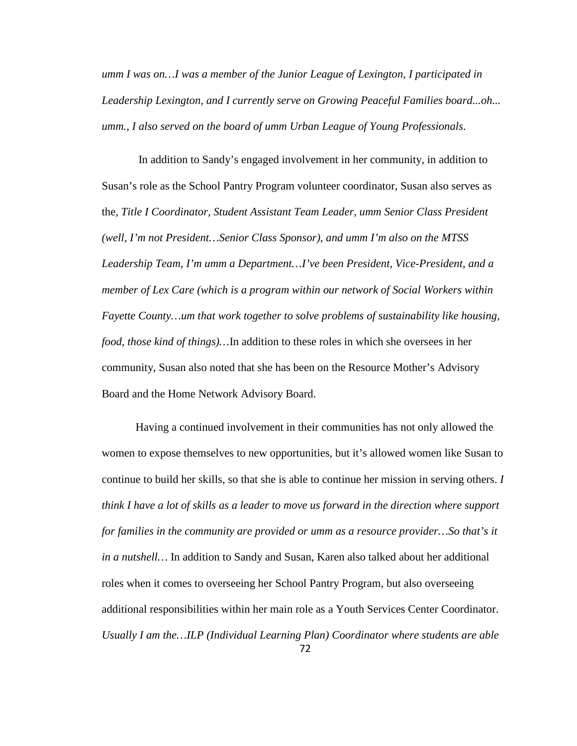*umm I was on…I was a member of the Junior League of Lexington, I participated in Leadership Lexington, and I currently serve on Growing Peaceful Families board...oh... umm., I also served on the board of umm Urban League of Young Professionals*.

In addition to Sandy's engaged involvement in her community, in addition to Susan's role as the School Pantry Program volunteer coordinator, Susan also serves as the, *Title I Coordinator, Student Assistant Team Leader, umm Senior Class President (well, I'm not President…Senior Class Sponsor), and umm I'm also on the MTSS Leadership Team, I'm umm a Department…I've been President, Vice-President, and a member of Lex Care (which is a program within our network of Social Workers within Fayette County…um that work together to solve problems of sustainability like housing, food, those kind of things)…*In addition to these roles in which she oversees in her community, Susan also noted that she has been on the Resource Mother's Advisory Board and the Home Network Advisory Board.

72 Having a continued involvement in their communities has not only allowed the women to expose themselves to new opportunities, but it's allowed women like Susan to continue to build her skills, so that she is able to continue her mission in serving others. *I think I have a lot of skills as a leader to move us forward in the direction where support for families in the community are provided or umm as a resource provider…So that's it in a nutshell…* In addition to Sandy and Susan, Karen also talked about her additional roles when it comes to overseeing her School Pantry Program, but also overseeing additional responsibilities within her main role as a Youth Services Center Coordinator. *Usually I am the…ILP (Individual Learning Plan) Coordinator where students are able*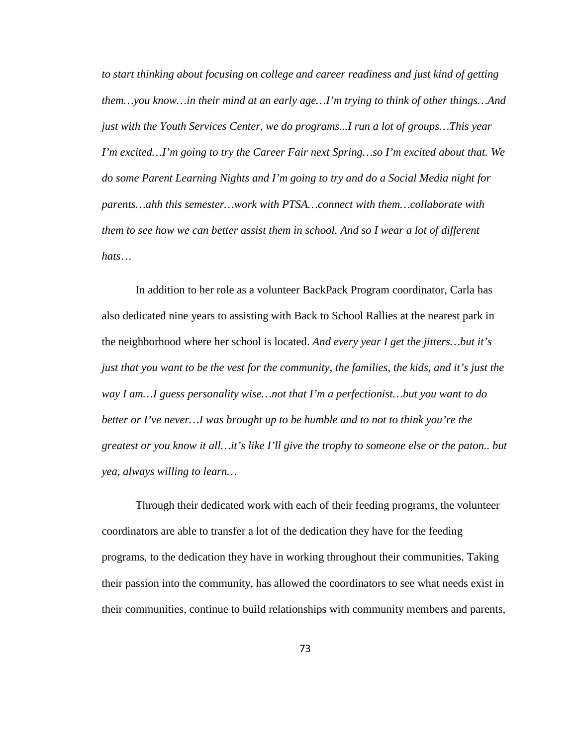*to start thinking about focusing on college and career readiness and just kind of getting them…you know…in their mind at an early age…I'm trying to think of other things…And just with the Youth Services Center, we do programs...I run a lot of groups…This year I'm excited…I'm going to try the Career Fair next Spring…so I'm excited about that. We do some Parent Learning Nights and I'm going to try and do a Social Media night for parents…ahh this semester…work with PTSA…connect with them…collaborate with them to see how we can better assist them in school. And so I wear a lot of different hats*…

In addition to her role as a volunteer BackPack Program coordinator, Carla has also dedicated nine years to assisting with Back to School Rallies at the nearest park in the neighborhood where her school is located. *And every year I get the jitters…but it's just that you want to be the vest for the community, the families, the kids, and it's just the way I am…I guess personality wise…not that I'm a perfectionist…but you want to do better or I've never…I was brought up to be humble and to not to think you're the greatest or you know it all…it's like I'll give the trophy to someone else or the paton.. but yea, always willing to learn…*

Through their dedicated work with each of their feeding programs, the volunteer coordinators are able to transfer a lot of the dedication they have for the feeding programs, to the dedication they have in working throughout their communities. Taking their passion into the community, has allowed the coordinators to see what needs exist in their communities, continue to build relationships with community members and parents,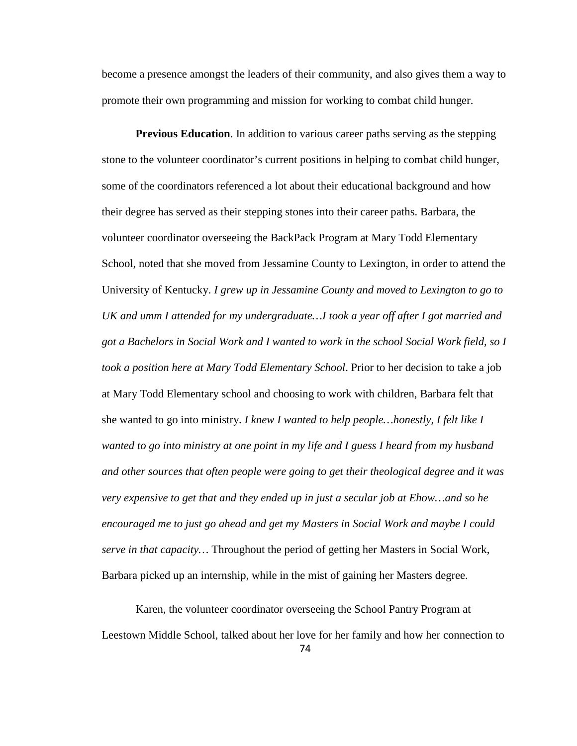become a presence amongst the leaders of their community, and also gives them a way to promote their own programming and mission for working to combat child hunger.

**Previous Education**. In addition to various career paths serving as the stepping stone to the volunteer coordinator's current positions in helping to combat child hunger, some of the coordinators referenced a lot about their educational background and how their degree has served as their stepping stones into their career paths. Barbara, the volunteer coordinator overseeing the BackPack Program at Mary Todd Elementary School, noted that she moved from Jessamine County to Lexington, in order to attend the University of Kentucky. *I grew up in Jessamine County and moved to Lexington to go to UK and umm I attended for my undergraduate…I took a year off after I got married and got a Bachelors in Social Work and I wanted to work in the school Social Work field, so I took a position here at Mary Todd Elementary School*. Prior to her decision to take a job at Mary Todd Elementary school and choosing to work with children, Barbara felt that she wanted to go into ministry. *I knew I wanted to help people…honestly, I felt like I wanted to go into ministry at one point in my life and I guess I heard from my husband and other sources that often people were going to get their theological degree and it was very expensive to get that and they ended up in just a secular job at Ehow…and so he encouraged me to just go ahead and get my Masters in Social Work and maybe I could serve in that capacity…* Throughout the period of getting her Masters in Social Work, Barbara picked up an internship, while in the mist of gaining her Masters degree.

Karen, the volunteer coordinator overseeing the School Pantry Program at Leestown Middle School, talked about her love for her family and how her connection to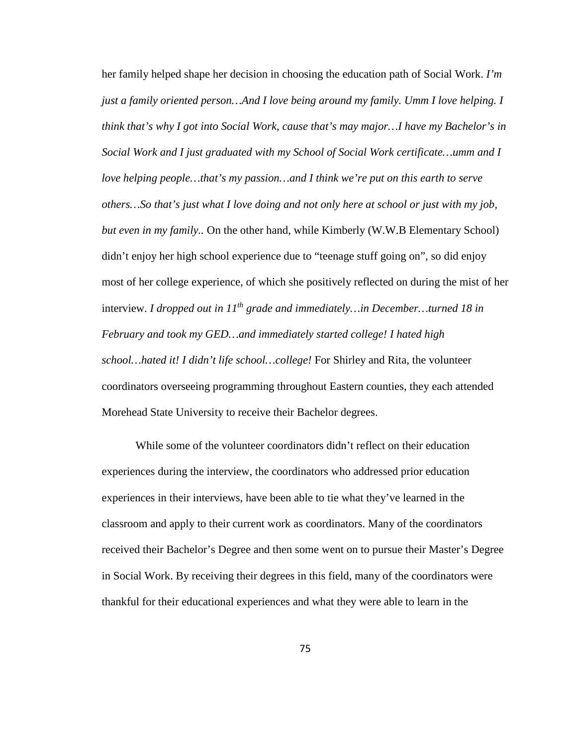her family helped shape her decision in choosing the education path of Social Work. *I'm just a family oriented person…And I love being around my family. Umm I love helping. I think that's why I got into Social Work, cause that's may major…I have my Bachelor's in Social Work and I just graduated with my School of Social Work certificate…umm and I love helping people…that's my passion…and I think we're put on this earth to serve others…So that's just what I love doing and not only here at school or just with my job, but even in my family..* On the other hand, while Kimberly (W.W.B Elementary School) didn't enjoy her high school experience due to "teenage stuff going on", so did enjoy most of her college experience, of which she positively reflected on during the mist of her interview. *I dropped out in 11th grade and immediately…in December…turned 18 in February and took my GED…and immediately started college! I hated high school…hated it! I didn't life school…college!* For Shirley and Rita, the volunteer coordinators overseeing programming throughout Eastern counties, they each attended Morehead State University to receive their Bachelor degrees.

While some of the volunteer coordinators didn't reflect on their education experiences during the interview, the coordinators who addressed prior education experiences in their interviews, have been able to tie what they've learned in the classroom and apply to their current work as coordinators. Many of the coordinators received their Bachelor's Degree and then some went on to pursue their Master's Degree in Social Work. By receiving their degrees in this field, many of the coordinators were thankful for their educational experiences and what they were able to learn in the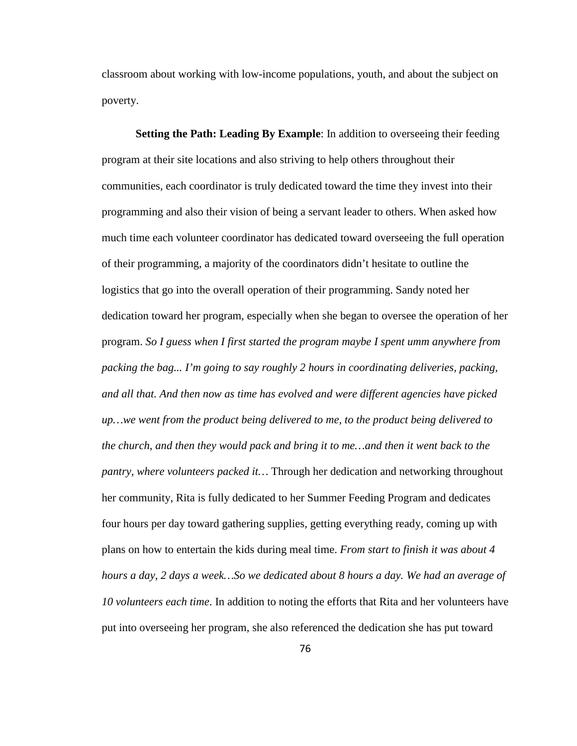classroom about working with low-income populations, youth, and about the subject on poverty.

**Setting the Path: Leading By Example**: In addition to overseeing their feeding program at their site locations and also striving to help others throughout their communities, each coordinator is truly dedicated toward the time they invest into their programming and also their vision of being a servant leader to others. When asked how much time each volunteer coordinator has dedicated toward overseeing the full operation of their programming, a majority of the coordinators didn't hesitate to outline the logistics that go into the overall operation of their programming. Sandy noted her dedication toward her program, especially when she began to oversee the operation of her program. *So I guess when I first started the program maybe I spent umm anywhere from packing the bag... I'm going to say roughly 2 hours in coordinating deliveries, packing, and all that. And then now as time has evolved and were different agencies have picked up…we went from the product being delivered to me, to the product being delivered to the church, and then they would pack and bring it to me…and then it went back to the pantry, where volunteers packed it…* Through her dedication and networking throughout her community, Rita is fully dedicated to her Summer Feeding Program and dedicates four hours per day toward gathering supplies, getting everything ready, coming up with plans on how to entertain the kids during meal time. *From start to finish it was about 4 hours a day, 2 days a week…So we dedicated about 8 hours a day. We had an average of 10 volunteers each time*. In addition to noting the efforts that Rita and her volunteers have put into overseeing her program, she also referenced the dedication she has put toward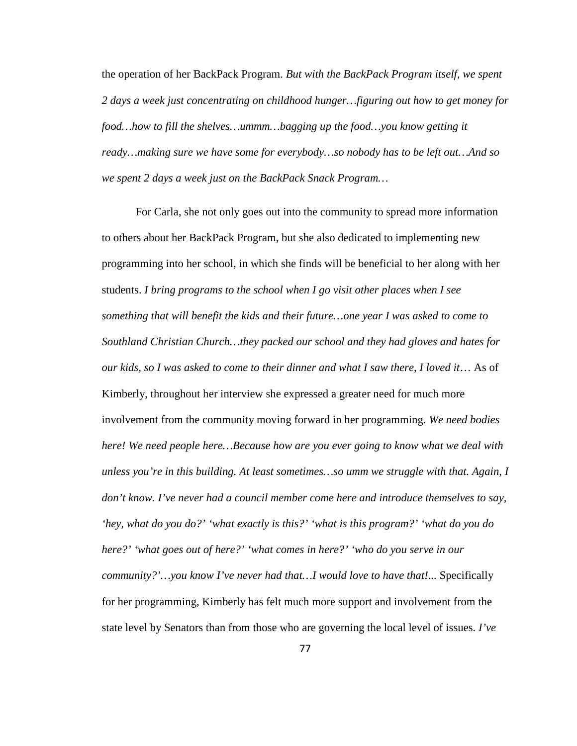the operation of her BackPack Program. *But with the BackPack Program itself, we spent 2 days a week just concentrating on childhood hunger…figuring out how to get money for food…how to fill the shelves…ummm…bagging up the food…you know getting it ready…making sure we have some for everybody…so nobody has to be left out…And so we spent 2 days a week just on the BackPack Snack Program…*

For Carla, she not only goes out into the community to spread more information to others about her BackPack Program, but she also dedicated to implementing new programming into her school, in which she finds will be beneficial to her along with her students. *I bring programs to the school when I go visit other places when I see something that will benefit the kids and their future…one year I was asked to come to Southland Christian Church…they packed our school and they had gloves and hates for our kids, so I was asked to come to their dinner and what I saw there, I loved it*… As of Kimberly, throughout her interview she expressed a greater need for much more involvement from the community moving forward in her programming. *We need bodies here! We need people here…Because how are you ever going to know what we deal with unless you're in this building. At least sometimes…so umm we struggle with that. Again, I don't know. I've never had a council member come here and introduce themselves to say, 'hey, what do you do?' 'what exactly is this?' 'what is this program?' 'what do you do here?' 'what goes out of here?' 'what comes in here?' 'who do you serve in our community?'…you know I've never had that…I would love to have that!...* Specifically for her programming, Kimberly has felt much more support and involvement from the state level by Senators than from those who are governing the local level of issues. *I've*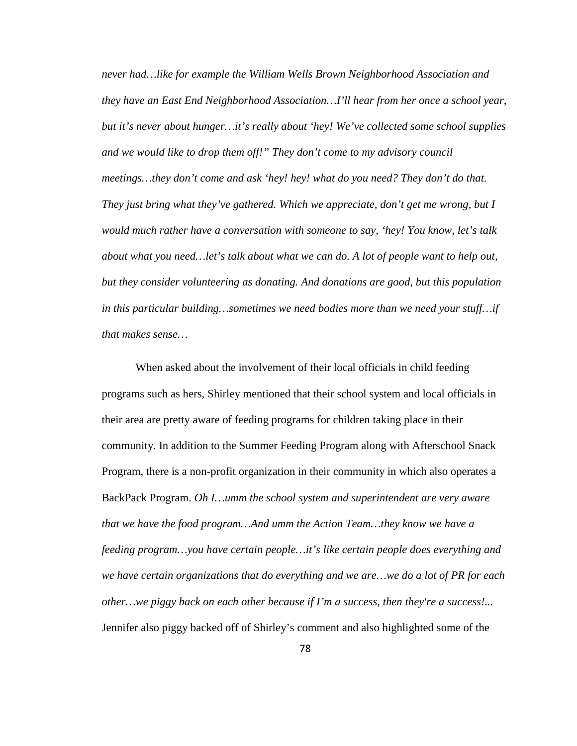*never had…like for example the William Wells Brown Neighborhood Association and they have an East End Neighborhood Association…I'll hear from her once a school year, but it's never about hunger…it's really about 'hey! We've collected some school supplies and we would like to drop them off!" They don't come to my advisory council meetings…they don't come and ask 'hey! hey! what do you need? They don't do that. They just bring what they've gathered. Which we appreciate, don't get me wrong, but I would much rather have a conversation with someone to say, 'hey! You know, let's talk about what you need…let's talk about what we can do. A lot of people want to help out, but they consider volunteering as donating. And donations are good, but this population in this particular building…sometimes we need bodies more than we need your stuff…if that makes sense…*

When asked about the involvement of their local officials in child feeding programs such as hers, Shirley mentioned that their school system and local officials in their area are pretty aware of feeding programs for children taking place in their community. In addition to the Summer Feeding Program along with Afterschool Snack Program, there is a non-profit organization in their community in which also operates a BackPack Program. *Oh I…umm the school system and superintendent are very aware that we have the food program…And umm the Action Team…they know we have a feeding program…you have certain people…it's like certain people does everything and we have certain organizations that do everything and we are…we do a lot of PR for each other…we piggy back on each other because if I'm a success, then they're a success!...* Jennifer also piggy backed off of Shirley's comment and also highlighted some of the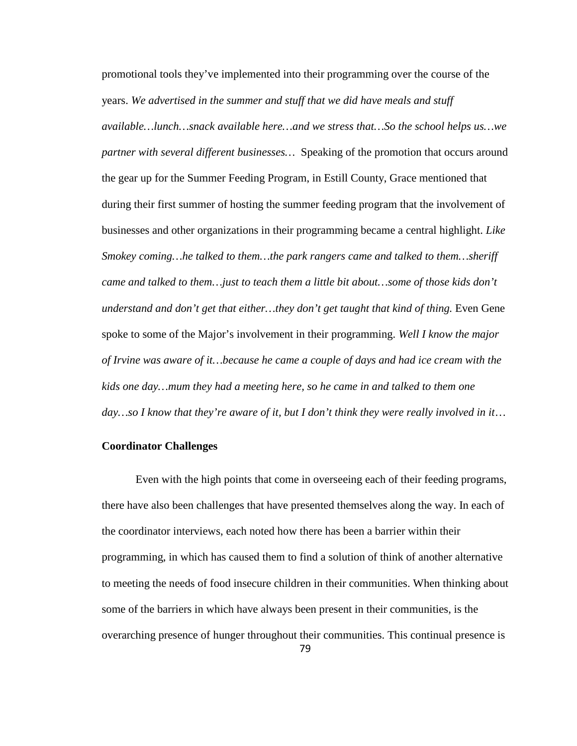promotional tools they've implemented into their programming over the course of the years. *We advertised in the summer and stuff that we did have meals and stuff available…lunch…snack available here…and we stress that…So the school helps us…we partner with several different businesses…* Speaking of the promotion that occurs around the gear up for the Summer Feeding Program, in Estill County, Grace mentioned that during their first summer of hosting the summer feeding program that the involvement of businesses and other organizations in their programming became a central highlight. *Like Smokey coming…he talked to them…the park rangers came and talked to them…sheriff came and talked to them…just to teach them a little bit about…some of those kids don't understand and don't get that either…they don't get taught that kind of thing.* Even Gene spoke to some of the Major's involvement in their programming. *Well I know the major of Irvine was aware of it…because he came a couple of days and had ice cream with the kids one day…mum they had a meeting here, so he came in and talked to them one day…so I know that they're aware of it, but I don't think they were really involved in it*…

## **Coordinator Challenges**

Even with the high points that come in overseeing each of their feeding programs, there have also been challenges that have presented themselves along the way. In each of the coordinator interviews, each noted how there has been a barrier within their programming, in which has caused them to find a solution of think of another alternative to meeting the needs of food insecure children in their communities. When thinking about some of the barriers in which have always been present in their communities, is the overarching presence of hunger throughout their communities. This continual presence is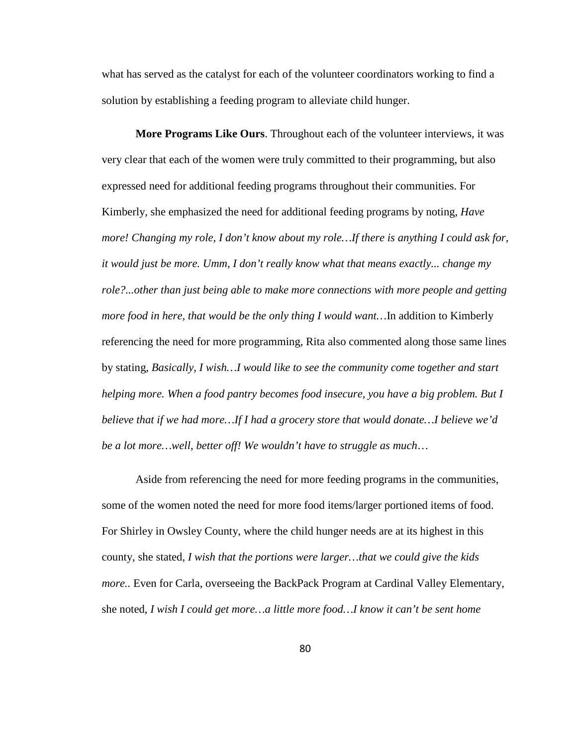what has served as the catalyst for each of the volunteer coordinators working to find a solution by establishing a feeding program to alleviate child hunger.

**More Programs Like Ours**. Throughout each of the volunteer interviews, it was very clear that each of the women were truly committed to their programming, but also expressed need for additional feeding programs throughout their communities. For Kimberly, she emphasized the need for additional feeding programs by noting, *Have more! Changing my role, I don't know about my role…If there is anything I could ask for, it would just be more. Umm, I don't really know what that means exactly... change my role?...other than just being able to make more connections with more people and getting more food in here, that would be the only thing I would want…*In addition to Kimberly referencing the need for more programming, Rita also commented along those same lines by stating, *Basically, I wish…I would like to see the community come together and start helping more. When a food pantry becomes food insecure, you have a big problem. But I believe that if we had more…If I had a grocery store that would donate…I believe we'd be a lot more…well, better off! We wouldn't have to struggle as much*…

Aside from referencing the need for more feeding programs in the communities, some of the women noted the need for more food items/larger portioned items of food. For Shirley in Owsley County, where the child hunger needs are at its highest in this county, she stated, *I wish that the portions were larger…that we could give the kids more..* Even for Carla, overseeing the BackPack Program at Cardinal Valley Elementary, she noted, *I wish I could get more…a little more food…I know it can't be sent home*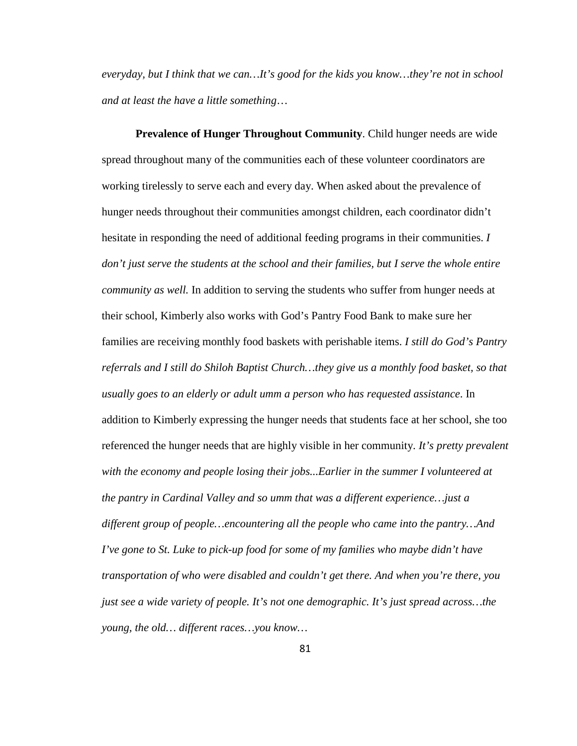*everyday, but I think that we can…It's good for the kids you know…they're not in school and at least the have a little something*…

**Prevalence of Hunger Throughout Community**. Child hunger needs are wide spread throughout many of the communities each of these volunteer coordinators are working tirelessly to serve each and every day. When asked about the prevalence of hunger needs throughout their communities amongst children, each coordinator didn't hesitate in responding the need of additional feeding programs in their communities. *I don't just serve the students at the school and their families, but I serve the whole entire community as well.* In addition to serving the students who suffer from hunger needs at their school, Kimberly also works with God's Pantry Food Bank to make sure her families are receiving monthly food baskets with perishable items. *I still do God's Pantry referrals and I still do Shiloh Baptist Church…they give us a monthly food basket, so that usually goes to an elderly or adult umm a person who has requested assistance*. In addition to Kimberly expressing the hunger needs that students face at her school, she too referenced the hunger needs that are highly visible in her community. *It's pretty prevalent with the economy and people losing their jobs...Earlier in the summer I volunteered at the pantry in Cardinal Valley and so umm that was a different experience…just a different group of people…encountering all the people who came into the pantry…And I've gone to St. Luke to pick-up food for some of my families who maybe didn't have transportation of who were disabled and couldn't get there. And when you're there, you just see a wide variety of people. It's not one demographic. It's just spread across…the young, the old… different races…you know…*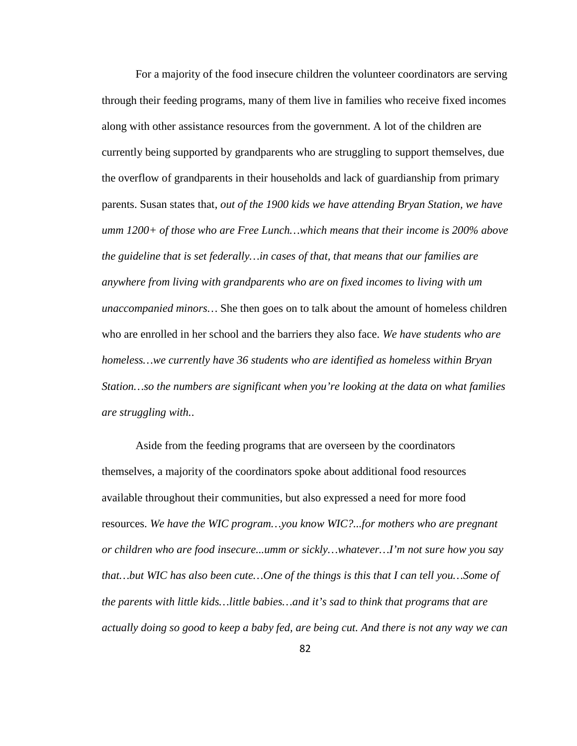For a majority of the food insecure children the volunteer coordinators are serving through their feeding programs, many of them live in families who receive fixed incomes along with other assistance resources from the government. A lot of the children are currently being supported by grandparents who are struggling to support themselves, due the overflow of grandparents in their households and lack of guardianship from primary parents. Susan states that, *out of the 1900 kids we have attending Bryan Station, we have umm 1200+ of those who are Free Lunch…which means that their income is 200% above the guideline that is set federally…in cases of that, that means that our families are anywhere from living with grandparents who are on fixed incomes to living with um unaccompanied minors…* She then goes on to talk about the amount of homeless children who are enrolled in her school and the barriers they also face. *We have students who are homeless…we currently have 36 students who are identified as homeless within Bryan Station…so the numbers are significant when you're looking at the data on what families are struggling with.*.

Aside from the feeding programs that are overseen by the coordinators themselves, a majority of the coordinators spoke about additional food resources available throughout their communities, but also expressed a need for more food resources. *We have the WIC program…you know WIC?...for mothers who are pregnant or children who are food insecure...umm or sickly…whatever…I'm not sure how you say that…but WIC has also been cute…One of the things is this that I can tell you…Some of the parents with little kids…little babies…and it's sad to think that programs that are actually doing so good to keep a baby fed, are being cut. And there is not any way we can*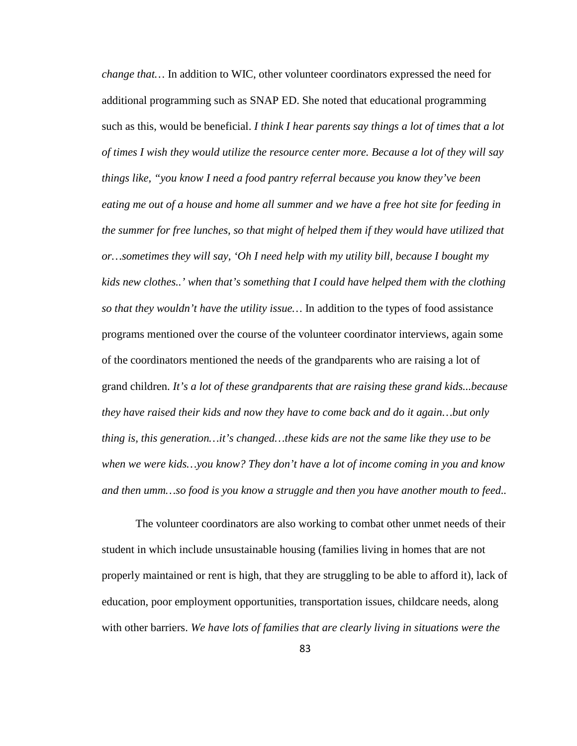*change that...* In addition to WIC, other volunteer coordinators expressed the need for additional programming such as SNAP ED. She noted that educational programming such as this, would be beneficial. *I think I hear parents say things a lot of times that a lot of times I wish they would utilize the resource center more. Because a lot of they will say things like, "you know I need a food pantry referral because you know they've been eating me out of a house and home all summer and we have a free hot site for feeding in the summer for free lunches, so that might of helped them if they would have utilized that or…sometimes they will say, 'Oh I need help with my utility bill, because I bought my kids new clothes..' when that's something that I could have helped them with the clothing so that they wouldn't have the utility issue…* In addition to the types of food assistance programs mentioned over the course of the volunteer coordinator interviews, again some of the coordinators mentioned the needs of the grandparents who are raising a lot of grand children. *It's a lot of these grandparents that are raising these grand kids...because they have raised their kids and now they have to come back and do it again…but only thing is, this generation…it's changed…these kids are not the same like they use to be when we were kids…you know? They don't have a lot of income coming in you and know and then umm…so food is you know a struggle and then you have another mouth to feed..*

The volunteer coordinators are also working to combat other unmet needs of their student in which include unsustainable housing (families living in homes that are not properly maintained or rent is high, that they are struggling to be able to afford it), lack of education, poor employment opportunities, transportation issues, childcare needs, along with other barriers. *We have lots of families that are clearly living in situations were the*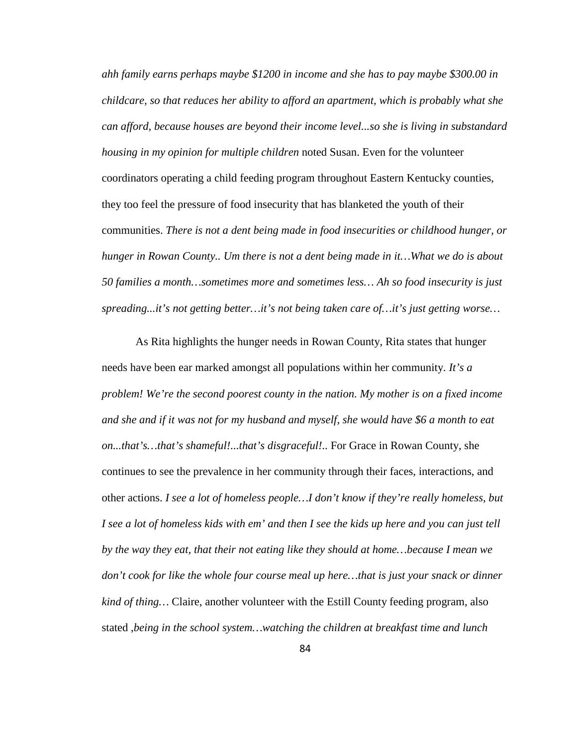*ahh family earns perhaps maybe \$1200 in income and she has to pay maybe \$300.00 in childcare, so that reduces her ability to afford an apartment, which is probably what she can afford, because houses are beyond their income level...so she is living in substandard housing in my opinion for multiple children* noted Susan. Even for the volunteer coordinators operating a child feeding program throughout Eastern Kentucky counties, they too feel the pressure of food insecurity that has blanketed the youth of their communities. *There is not a dent being made in food insecurities or childhood hunger, or hunger in Rowan County.. Um there is not a dent being made in it…What we do is about 50 families a month…sometimes more and sometimes less… Ah so food insecurity is just spreading...it's not getting better…it's not being taken care of…it's just getting worse…*

As Rita highlights the hunger needs in Rowan County, Rita states that hunger needs have been ear marked amongst all populations within her community. *It's a problem! We're the second poorest county in the nation. My mother is on a fixed income and she and if it was not for my husband and myself, she would have \$6 a month to eat on...that's…that's shameful!...that's disgraceful!..* For Grace in Rowan County, she continues to see the prevalence in her community through their faces, interactions, and other actions. *I see a lot of homeless people…I don't know if they're really homeless, but I see a lot of homeless kids with em' and then I see the kids up here and you can just tell by the way they eat, that their not eating like they should at home…because I mean we don't cook for like the whole four course meal up here…that is just your snack or dinner kind of thing…* Claire, another volunteer with the Estill County feeding program, also stated ,*being in the school system…watching the children at breakfast time and lunch*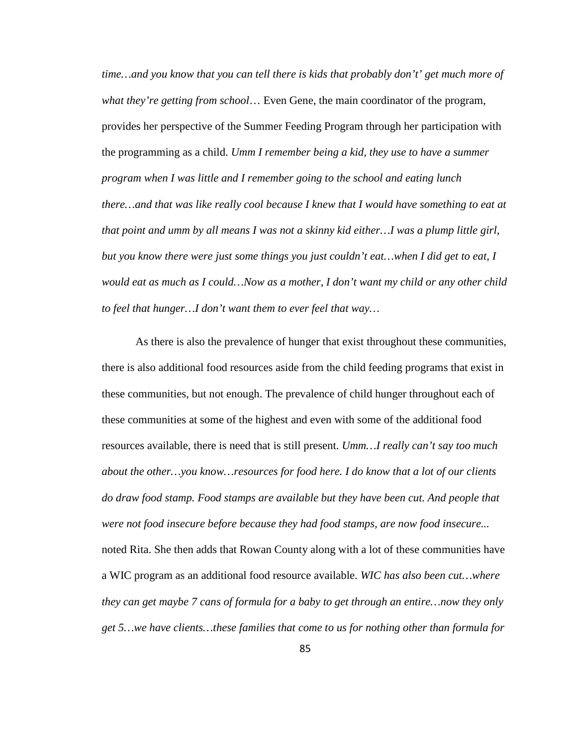*time…and you know that you can tell there is kids that probably don't' get much more of what they're getting from school*… Even Gene, the main coordinator of the program, provides her perspective of the Summer Feeding Program through her participation with the programming as a child. *Umm I remember being a kid, they use to have a summer program when I was little and I remember going to the school and eating lunch there…and that was like really cool because I knew that I would have something to eat at that point and umm by all means I was not a skinny kid either…I was a plump little girl, but you know there were just some things you just couldn't eat…when I did get to eat, I would eat as much as I could…Now as a mother, I don't want my child or any other child to feel that hunger…I don't want them to ever feel that way…*

As there is also the prevalence of hunger that exist throughout these communities, there is also additional food resources aside from the child feeding programs that exist in these communities, but not enough. The prevalence of child hunger throughout each of these communities at some of the highest and even with some of the additional food resources available, there is need that is still present. *Umm…I really can't say too much about the other…you know…resources for food here. I do know that a lot of our clients do draw food stamp. Food stamps are available but they have been cut. And people that were not food insecure before because they had food stamps, are now food insecure...* noted Rita. She then adds that Rowan County along with a lot of these communities have a WIC program as an additional food resource available. *WIC has also been cut…where they can get maybe 7 cans of formula for a baby to get through an entire…now they only get 5…we have clients…these families that come to us for nothing other than formula for*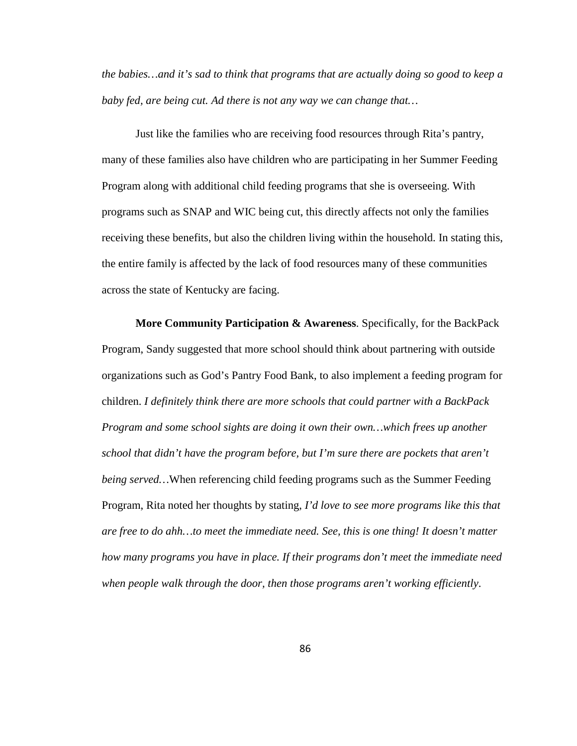*the babies…and it's sad to think that programs that are actually doing so good to keep a baby fed, are being cut. Ad there is not any way we can change that…* 

Just like the families who are receiving food resources through Rita's pantry, many of these families also have children who are participating in her Summer Feeding Program along with additional child feeding programs that she is overseeing. With programs such as SNAP and WIC being cut, this directly affects not only the families receiving these benefits, but also the children living within the household. In stating this, the entire family is affected by the lack of food resources many of these communities across the state of Kentucky are facing.

**More Community Participation & Awareness**. Specifically, for the BackPack Program, Sandy suggested that more school should think about partnering with outside organizations such as God's Pantry Food Bank, to also implement a feeding program for children. *I definitely think there are more schools that could partner with a BackPack Program and some school sights are doing it own their own…which frees up another school that didn't have the program before, but I'm sure there are pockets that aren't being served...* When referencing child feeding programs such as the Summer Feeding Program, Rita noted her thoughts by stating, *I'd love to see more programs like this that are free to do ahh…to meet the immediate need. See, this is one thing! It doesn't matter how many programs you have in place. If their programs don't meet the immediate need when people walk through the door, then those programs aren't working efficiently*.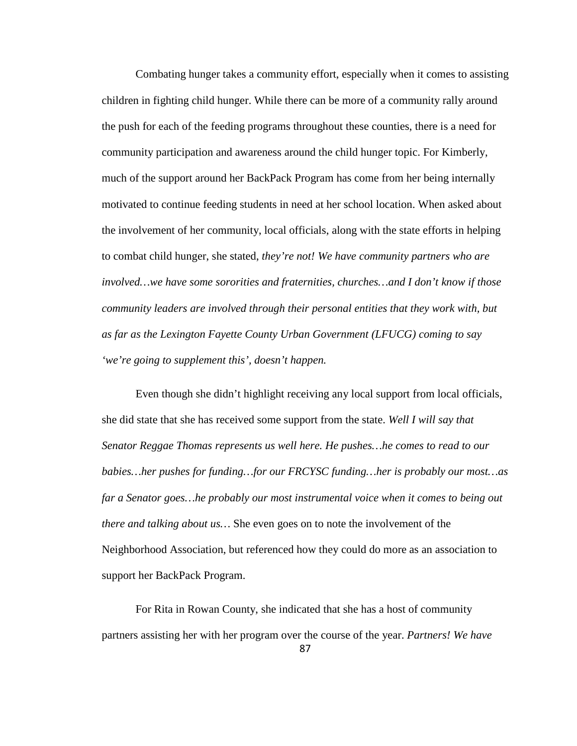Combating hunger takes a community effort, especially when it comes to assisting children in fighting child hunger. While there can be more of a community rally around the push for each of the feeding programs throughout these counties, there is a need for community participation and awareness around the child hunger topic. For Kimberly, much of the support around her BackPack Program has come from her being internally motivated to continue feeding students in need at her school location. When asked about the involvement of her community, local officials, along with the state efforts in helping to combat child hunger, she stated, *they're not! We have community partners who are involved…we have some sororities and fraternities, churches…and I don't know if those community leaders are involved through their personal entities that they work with, but as far as the Lexington Fayette County Urban Government (LFUCG) coming to say 'we're going to supplement this', doesn't happen.*

Even though she didn't highlight receiving any local support from local officials, she did state that she has received some support from the state. *Well I will say that Senator Reggae Thomas represents us well here. He pushes…he comes to read to our babies…her pushes for funding…for our FRCYSC funding…her is probably our most…as far a Senator goes…he probably our most instrumental voice when it comes to being out there and talking about us…* She even goes on to note the involvement of the Neighborhood Association, but referenced how they could do more as an association to support her BackPack Program.

For Rita in Rowan County, she indicated that she has a host of community partners assisting her with her program over the course of the year. *Partners! We have*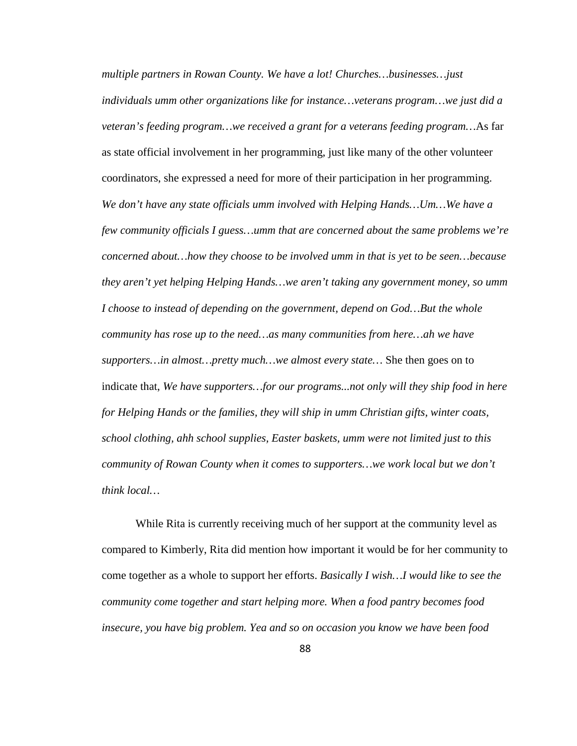*multiple partners in Rowan County. We have a lot! Churches…businesses…just individuals umm other organizations like for instance…veterans program…we just did a veteran's feeding program…we received a grant for a veterans feeding program…*As far as state official involvement in her programming, just like many of the other volunteer coordinators, she expressed a need for more of their participation in her programming. *We don't have any state officials umm involved with Helping Hands…Um…We have a few community officials I guess…umm that are concerned about the same problems we're concerned about…how they choose to be involved umm in that is yet to be seen…because they aren't yet helping Helping Hands…we aren't taking any government money, so umm I choose to instead of depending on the government, depend on God…But the whole community has rose up to the need…as many communities from here…ah we have supporters…in almost…pretty much…we almost every state…* She then goes on to indicate that, *We have supporters…for our programs...not only will they ship food in here for Helping Hands or the families, they will ship in umm Christian gifts, winter coats, school clothing, ahh school supplies, Easter baskets, umm were not limited just to this community of Rowan County when it comes to supporters…we work local but we don't think local…*

While Rita is currently receiving much of her support at the community level as compared to Kimberly, Rita did mention how important it would be for her community to come together as a whole to support her efforts. *Basically I wish…I would like to see the community come together and start helping more. When a food pantry becomes food insecure, you have big problem. Yea and so on occasion you know we have been food*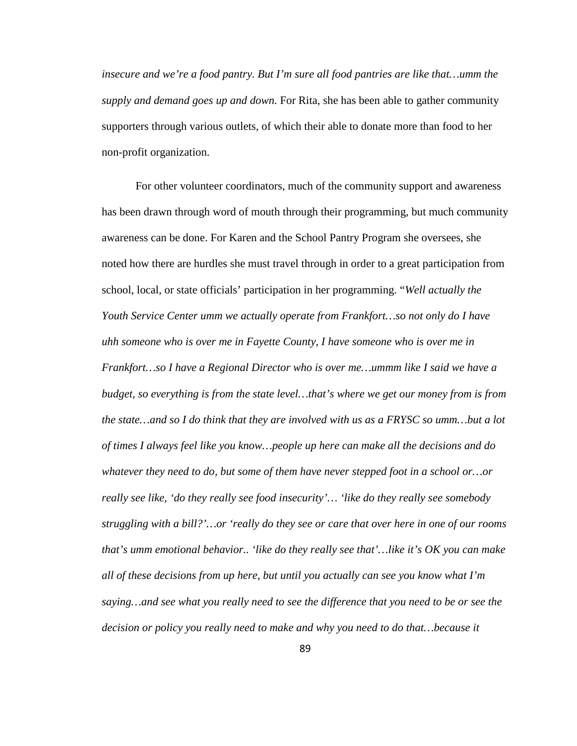*insecure and we're a food pantry. But I'm sure all food pantries are like that…umm the supply and demand goes up and down.* For Rita, she has been able to gather community supporters through various outlets, of which their able to donate more than food to her non-profit organization.

For other volunteer coordinators, much of the community support and awareness has been drawn through word of mouth through their programming, but much community awareness can be done. For Karen and the School Pantry Program she oversees, she noted how there are hurdles she must travel through in order to a great participation from school, local, or state officials' participation in her programming. "*Well actually the Youth Service Center umm we actually operate from Frankfort…so not only do I have uhh someone who is over me in Fayette County, I have someone who is over me in Frankfort…so I have a Regional Director who is over me…ummm like I said we have a budget, so everything is from the state level…that's where we get our money from is from the state…and so I do think that they are involved with us as a FRYSC so umm…but a lot of times I always feel like you know…people up here can make all the decisions and do whatever they need to do, but some of them have never stepped foot in a school or…or really see like, 'do they really see food insecurity'… 'like do they really see somebody struggling with a bill?'…or 'really do they see or care that over here in one of our rooms that's umm emotional behavior.. 'like do they really see that'…like it's OK you can make all of these decisions from up here, but until you actually can see you know what I'm saying…and see what you really need to see the difference that you need to be or see the decision or policy you really need to make and why you need to do that…because it*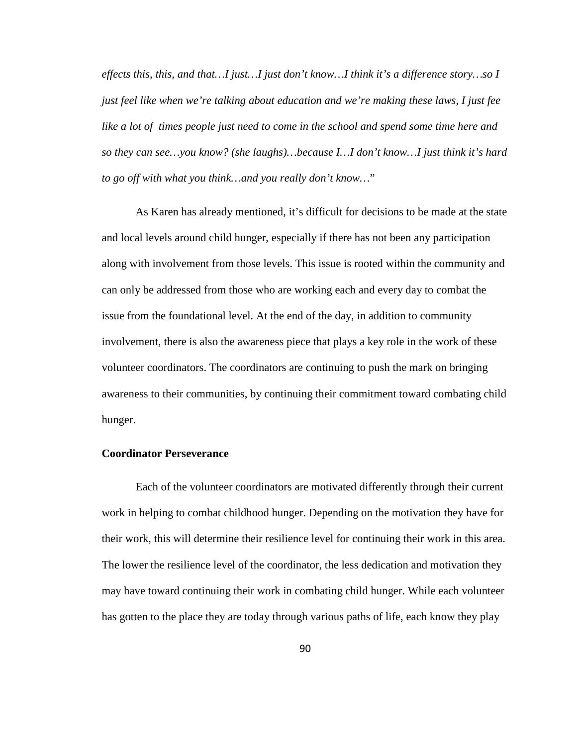*effects this, this, and that…I just…I just don't know…I think it's a difference story…so I just feel like when we're talking about education and we're making these laws, I just fee like a lot of times people just need to come in the school and spend some time here and so they can see…you know? (she laughs)…because I…I don't know…I just think it's hard to go off with what you think…and you really don't know…*"

As Karen has already mentioned, it's difficult for decisions to be made at the state and local levels around child hunger, especially if there has not been any participation along with involvement from those levels. This issue is rooted within the community and can only be addressed from those who are working each and every day to combat the issue from the foundational level. At the end of the day, in addition to community involvement, there is also the awareness piece that plays a key role in the work of these volunteer coordinators. The coordinators are continuing to push the mark on bringing awareness to their communities, by continuing their commitment toward combating child hunger.

## **Coordinator Perseverance**

Each of the volunteer coordinators are motivated differently through their current work in helping to combat childhood hunger. Depending on the motivation they have for their work, this will determine their resilience level for continuing their work in this area. The lower the resilience level of the coordinator, the less dedication and motivation they may have toward continuing their work in combating child hunger. While each volunteer has gotten to the place they are today through various paths of life, each know they play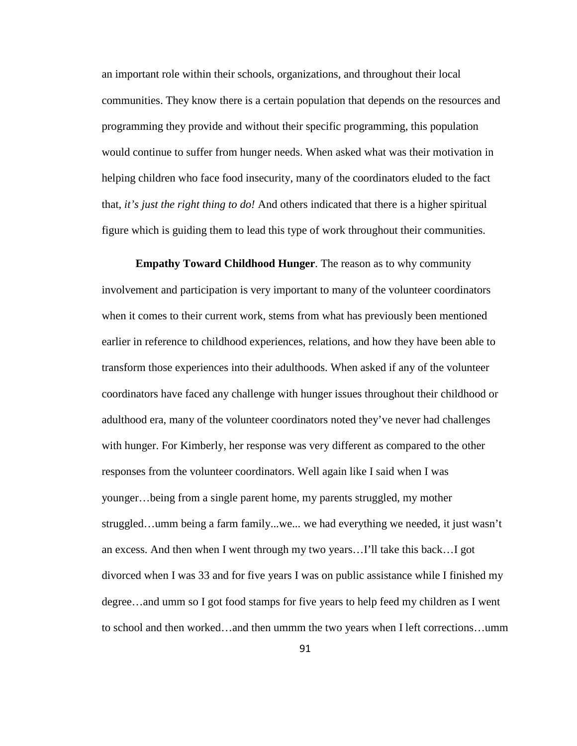an important role within their schools, organizations, and throughout their local communities. They know there is a certain population that depends on the resources and programming they provide and without their specific programming, this population would continue to suffer from hunger needs. When asked what was their motivation in helping children who face food insecurity, many of the coordinators eluded to the fact that, *it's just the right thing to do!* And others indicated that there is a higher spiritual figure which is guiding them to lead this type of work throughout their communities.

**Empathy Toward Childhood Hunger**. The reason as to why community involvement and participation is very important to many of the volunteer coordinators when it comes to their current work, stems from what has previously been mentioned earlier in reference to childhood experiences, relations, and how they have been able to transform those experiences into their adulthoods. When asked if any of the volunteer coordinators have faced any challenge with hunger issues throughout their childhood or adulthood era, many of the volunteer coordinators noted they've never had challenges with hunger. For Kimberly, her response was very different as compared to the other responses from the volunteer coordinators. Well again like I said when I was younger…being from a single parent home, my parents struggled, my mother struggled…umm being a farm family...we... we had everything we needed, it just wasn't an excess. And then when I went through my two years…I'll take this back…I got divorced when I was 33 and for five years I was on public assistance while I finished my degree…and umm so I got food stamps for five years to help feed my children as I went to school and then worked…and then ummm the two years when I left corrections…umm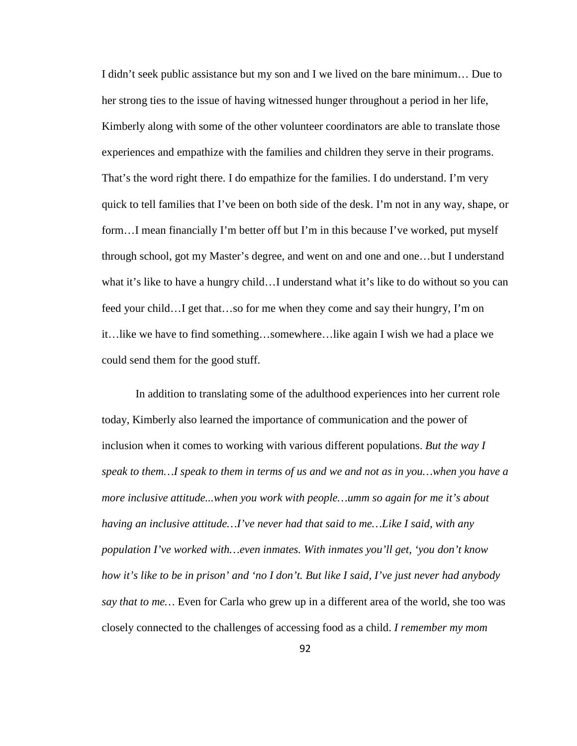I didn't seek public assistance but my son and I we lived on the bare minimum… Due to her strong ties to the issue of having witnessed hunger throughout a period in her life, Kimberly along with some of the other volunteer coordinators are able to translate those experiences and empathize with the families and children they serve in their programs. That's the word right there. I do empathize for the families. I do understand. I'm very quick to tell families that I've been on both side of the desk. I'm not in any way, shape, or form…I mean financially I'm better off but I'm in this because I've worked, put myself through school, got my Master's degree, and went on and one and one…but I understand what it's like to have a hungry child…I understand what it's like to do without so you can feed your child…I get that…so for me when they come and say their hungry, I'm on it…like we have to find something…somewhere…like again I wish we had a place we could send them for the good stuff.

In addition to translating some of the adulthood experiences into her current role today, Kimberly also learned the importance of communication and the power of inclusion when it comes to working with various different populations. *But the way I speak to them…I speak to them in terms of us and we and not as in you…when you have a more inclusive attitude...when you work with people…umm so again for me it's about having an inclusive attitude…I've never had that said to me…Like I said, with any population I've worked with…even inmates. With inmates you'll get, 'you don't know how it's like to be in prison' and 'no I don't. But like I said, I've just never had anybody say that to me…* Even for Carla who grew up in a different area of the world, she too was closely connected to the challenges of accessing food as a child. *I remember my mom*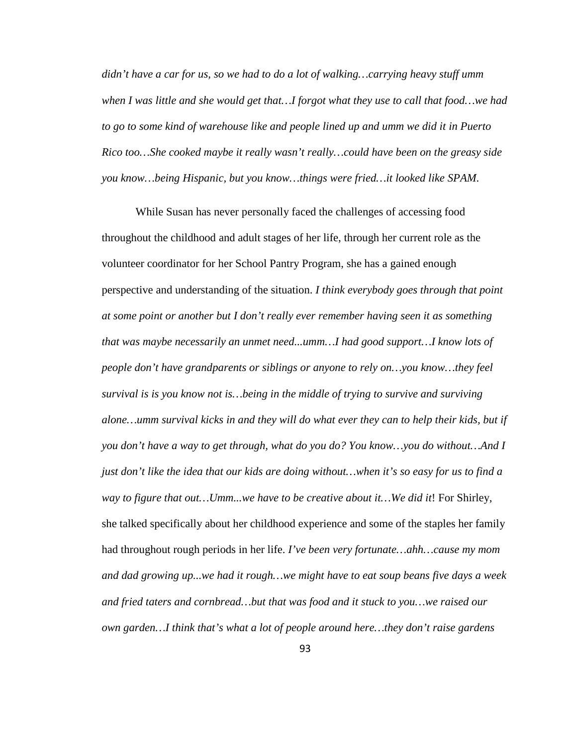*didn't have a car for us, so we had to do a lot of walking…carrying heavy stuff umm when I was little and she would get that…I forgot what they use to call that food…we had to go to some kind of warehouse like and people lined up and umm we did it in Puerto Rico too…She cooked maybe it really wasn't really…could have been on the greasy side you know…being Hispanic, but you know…things were fried…it looked like SPAM*.

While Susan has never personally faced the challenges of accessing food throughout the childhood and adult stages of her life, through her current role as the volunteer coordinator for her School Pantry Program, she has a gained enough perspective and understanding of the situation. *I think everybody goes through that point at some point or another but I don't really ever remember having seen it as something that was maybe necessarily an unmet need...umm…I had good support…I know lots of people don't have grandparents or siblings or anyone to rely on…you know…they feel survival is is you know not is…being in the middle of trying to survive and surviving alone…umm survival kicks in and they will do what ever they can to help their kids, but if you don't have a way to get through, what do you do? You know…you do without…And I just don't like the idea that our kids are doing without…when it's so easy for us to find a way to figure that out…Umm...we have to be creative about it…We did it*! For Shirley, she talked specifically about her childhood experience and some of the staples her family had throughout rough periods in her life. *I've been very fortunate…ahh…cause my mom and dad growing up...we had it rough…we might have to eat soup beans five days a week and fried taters and cornbread…but that was food and it stuck to you…we raised our own garden…I think that's what a lot of people around here…they don't raise gardens*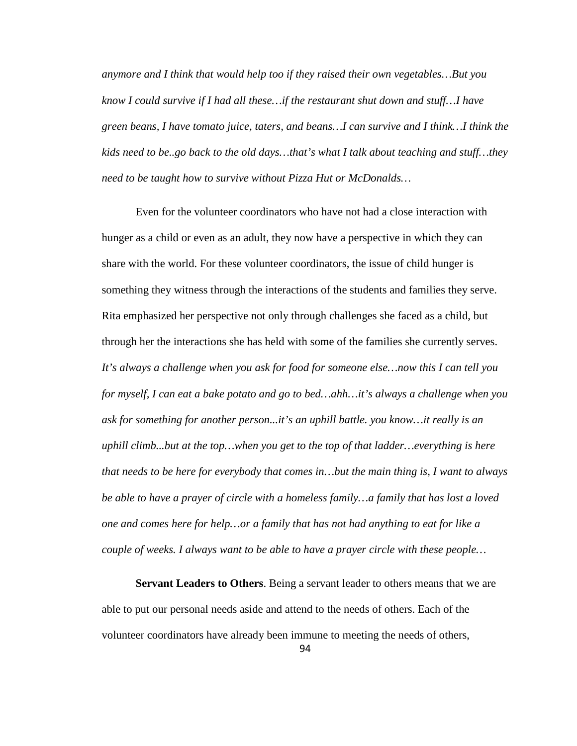*anymore and I think that would help too if they raised their own vegetables…But you know I could survive if I had all these…if the restaurant shut down and stuff…I have green beans, I have tomato juice, taters, and beans…I can survive and I think…I think the kids need to be..go back to the old days…that's what I talk about teaching and stuff…they need to be taught how to survive without Pizza Hut or McDonalds…*

Even for the volunteer coordinators who have not had a close interaction with hunger as a child or even as an adult, they now have a perspective in which they can share with the world. For these volunteer coordinators, the issue of child hunger is something they witness through the interactions of the students and families they serve. Rita emphasized her perspective not only through challenges she faced as a child, but through her the interactions she has held with some of the families she currently serves. *It's always a challenge when you ask for food for someone else…now this I can tell you for myself, I can eat a bake potato and go to bed…ahh…it's always a challenge when you ask for something for another person...it's an uphill battle. you know…it really is an uphill climb...but at the top…when you get to the top of that ladder…everything is here that needs to be here for everybody that comes in…but the main thing is, I want to always be able to have a prayer of circle with a homeless family…a family that has lost a loved one and comes here for help…or a family that has not had anything to eat for like a couple of weeks. I always want to be able to have a prayer circle with these people…*

**Servant Leaders to Others**. Being a servant leader to others means that we are able to put our personal needs aside and attend to the needs of others. Each of the volunteer coordinators have already been immune to meeting the needs of others,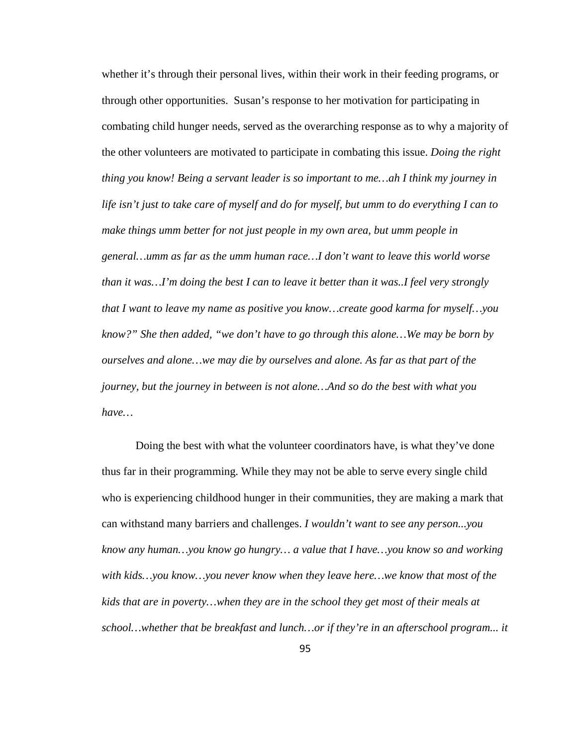whether it's through their personal lives, within their work in their feeding programs, or through other opportunities. Susan's response to her motivation for participating in combating child hunger needs, served as the overarching response as to why a majority of the other volunteers are motivated to participate in combating this issue. *Doing the right thing you know! Being a servant leader is so important to me…ah I think my journey in life isn't just to take care of myself and do for myself, but umm to do everything I can to make things umm better for not just people in my own area, but umm people in general…umm as far as the umm human race…I don't want to leave this world worse than it was…I'm doing the best I can to leave it better than it was..I feel very strongly that I want to leave my name as positive you know…create good karma for myself…you know?" She then added, "we don't have to go through this alone…We may be born by ourselves and alone…we may die by ourselves and alone. As far as that part of the journey, but the journey in between is not alone…And so do the best with what you have…*

Doing the best with what the volunteer coordinators have, is what they've done thus far in their programming. While they may not be able to serve every single child who is experiencing childhood hunger in their communities, they are making a mark that can withstand many barriers and challenges. *I wouldn't want to see any person...you know any human…you know go hungry… a value that I have…you know so and working with kids…you know…you never know when they leave here…we know that most of the kids that are in poverty…when they are in the school they get most of their meals at school…whether that be breakfast and lunch…or if they're in an afterschool program... it*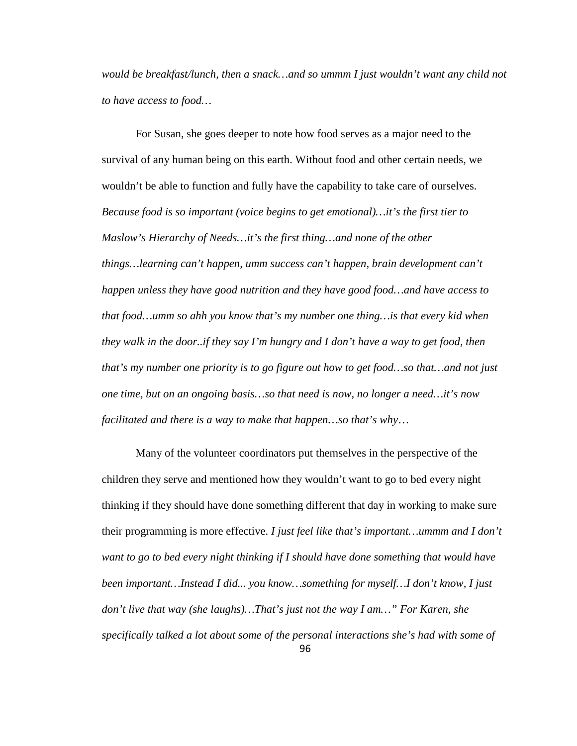*would be breakfast/lunch, then a snack…and so ummm I just wouldn't want any child not to have access to food…*

For Susan, she goes deeper to note how food serves as a major need to the survival of any human being on this earth. Without food and other certain needs, we wouldn't be able to function and fully have the capability to take care of ourselves. *Because food is so important (voice begins to get emotional)…it's the first tier to Maslow's Hierarchy of Needs…it's the first thing…and none of the other things…learning can't happen, umm success can't happen, brain development can't happen unless they have good nutrition and they have good food…and have access to that food…umm so ahh you know that's my number one thing…is that every kid when they walk in the door..if they say I'm hungry and I don't have a way to get food, then that's my number one priority is to go figure out how to get food…so that…and not just one time, but on an ongoing basis…so that need is now, no longer a need…it's now facilitated and there is a way to make that happen…so that's why*…

96 Many of the volunteer coordinators put themselves in the perspective of the children they serve and mentioned how they wouldn't want to go to bed every night thinking if they should have done something different that day in working to make sure their programming is more effective. *I just feel like that's important…ummm and I don't want to go to bed every night thinking if I should have done something that would have been important…Instead I did... you know…something for myself…I don't know, I just don't live that way (she laughs)…That's just not the way I am…" For Karen, she specifically talked a lot about some of the personal interactions she's had with some of*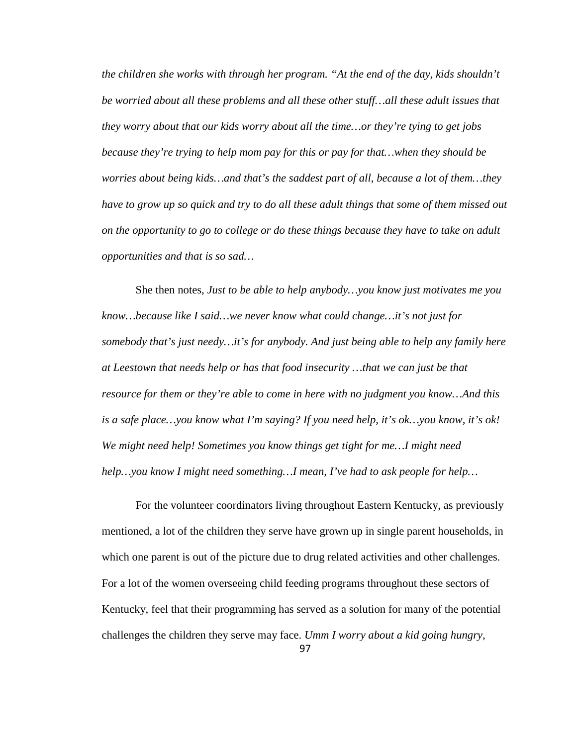*the children she works with through her program. "At the end of the day, kids shouldn't be worried about all these problems and all these other stuff…all these adult issues that they worry about that our kids worry about all the time…or they're tying to get jobs because they're trying to help mom pay for this or pay for that…when they should be worries about being kids…and that's the saddest part of all, because a lot of them…they have to grow up so quick and try to do all these adult things that some of them missed out on the opportunity to go to college or do these things because they have to take on adult opportunities and that is so sad…*

She then notes, *Just to be able to help anybody…you know just motivates me you know…because like I said…we never know what could change…it's not just for somebody that's just needy…it's for anybody. And just being able to help any family here at Leestown that needs help or has that food insecurity …that we can just be that resource for them or they're able to come in here with no judgment you know…And this is a safe place…you know what I'm saying? If you need help, it's ok…you know, it's ok! We might need help! Sometimes you know things get tight for me…I might need help…you know I might need something…I mean, I've had to ask people for help…*

For the volunteer coordinators living throughout Eastern Kentucky, as previously mentioned, a lot of the children they serve have grown up in single parent households, in which one parent is out of the picture due to drug related activities and other challenges. For a lot of the women overseeing child feeding programs throughout these sectors of Kentucky, feel that their programming has served as a solution for many of the potential challenges the children they serve may face. *Umm I worry about a kid going hungry,*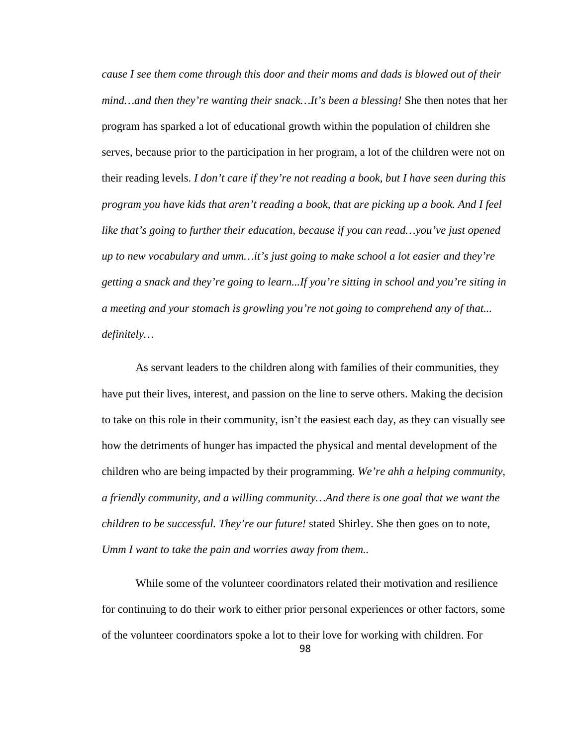*cause I see them come through this door and their moms and dads is blowed out of their mind…and then they're wanting their snack…It's been a blessing!* She then notes that her program has sparked a lot of educational growth within the population of children she serves, because prior to the participation in her program, a lot of the children were not on their reading levels. *I don't care if they're not reading a book, but I have seen during this program you have kids that aren't reading a book, that are picking up a book. And I feel like that's going to further their education, because if you can read…you've just opened up to new vocabulary and umm…it's just going to make school a lot easier and they're getting a snack and they're going to learn...If you're sitting in school and you're siting in a meeting and your stomach is growling you're not going to comprehend any of that... definitely…*

As servant leaders to the children along with families of their communities, they have put their lives, interest, and passion on the line to serve others. Making the decision to take on this role in their community, isn't the easiest each day, as they can visually see how the detriments of hunger has impacted the physical and mental development of the children who are being impacted by their programming. *We're ahh a helping community, a friendly community, and a willing community…And there is one goal that we want the children to be successful. They're our future!* stated Shirley. She then goes on to note, *Umm I want to take the pain and worries away from them..*

While some of the volunteer coordinators related their motivation and resilience for continuing to do their work to either prior personal experiences or other factors, some of the volunteer coordinators spoke a lot to their love for working with children. For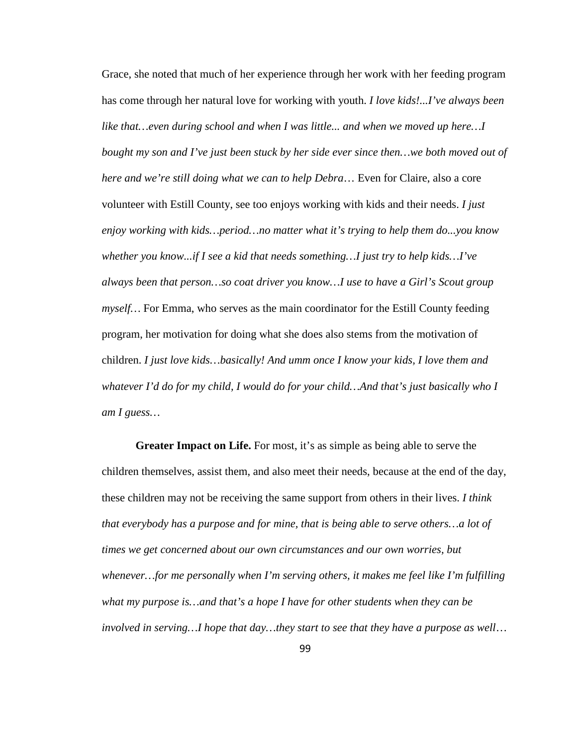Grace, she noted that much of her experience through her work with her feeding program has come through her natural love for working with youth. *I love kids!...I've always been like that…even during school and when I was little... and when we moved up here…I bought my son and I've just been stuck by her side ever since then…we both moved out of here and we're still doing what we can to help Debra*… Even for Claire, also a core volunteer with Estill County, see too enjoys working with kids and their needs. *I just enjoy working with kids…period…no matter what it's trying to help them do...you know whether you know...if I see a kid that needs something…I just try to help kids…I've always been that person…so coat driver you know…I use to have a Girl's Scout group myself…* For Emma, who serves as the main coordinator for the Estill County feeding program, her motivation for doing what she does also stems from the motivation of children. *I just love kids…basically! And umm once I know your kids, I love them and whatever I'd do for my child, I would do for your child…And that's just basically who I am I guess…*

**Greater Impact on Life.** For most, it's as simple as being able to serve the children themselves, assist them, and also meet their needs, because at the end of the day, these children may not be receiving the same support from others in their lives. *I think that everybody has a purpose and for mine, that is being able to serve others…a lot of times we get concerned about our own circumstances and our own worries, but whenever…for me personally when I'm serving others, it makes me feel like I'm fulfilling what my purpose is…and that's a hope I have for other students when they can be involved in serving…I hope that day…they start to see that they have a purpose as well*…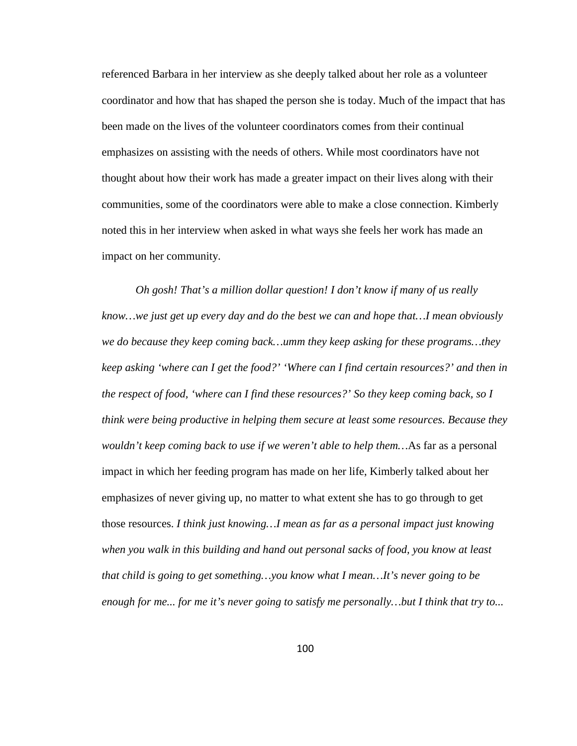referenced Barbara in her interview as she deeply talked about her role as a volunteer coordinator and how that has shaped the person she is today. Much of the impact that has been made on the lives of the volunteer coordinators comes from their continual emphasizes on assisting with the needs of others. While most coordinators have not thought about how their work has made a greater impact on their lives along with their communities, some of the coordinators were able to make a close connection. Kimberly noted this in her interview when asked in what ways she feels her work has made an impact on her community.

*Oh gosh! That's a million dollar question! I don't know if many of us really know…we just get up every day and do the best we can and hope that…I mean obviously we do because they keep coming back…umm they keep asking for these programs…they keep asking 'where can I get the food?' 'Where can I find certain resources?' and then in the respect of food, 'where can I find these resources?' So they keep coming back, so I think were being productive in helping them secure at least some resources. Because they wouldn't keep coming back to use if we weren't able to help them…*As far as a personal impact in which her feeding program has made on her life, Kimberly talked about her emphasizes of never giving up, no matter to what extent she has to go through to get those resources. *I think just knowing…I mean as far as a personal impact just knowing when you walk in this building and hand out personal sacks of food, you know at least that child is going to get something…you know what I mean…It's never going to be enough for me... for me it's never going to satisfy me personally…but I think that try to...*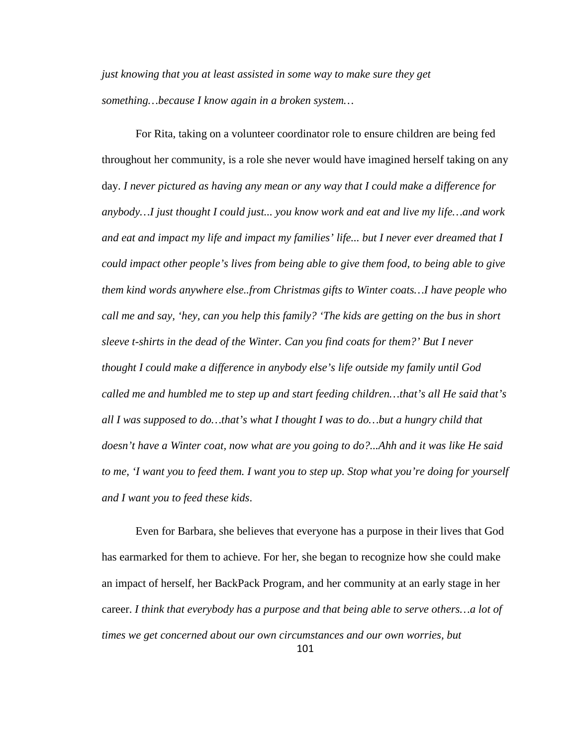*just knowing that you at least assisted in some way to make sure they get something…because I know again in a broken system…*

For Rita, taking on a volunteer coordinator role to ensure children are being fed throughout her community, is a role she never would have imagined herself taking on any day. *I never pictured as having any mean or any way that I could make a difference for anybody…I just thought I could just... you know work and eat and live my life…and work and eat and impact my life and impact my families' life... but I never ever dreamed that I could impact other people's lives from being able to give them food, to being able to give them kind words anywhere else..from Christmas gifts to Winter coats…I have people who call me and say, 'hey, can you help this family? 'The kids are getting on the bus in short sleeve t-shirts in the dead of the Winter. Can you find coats for them?' But I never thought I could make a difference in anybody else's life outside my family until God called me and humbled me to step up and start feeding children…that's all He said that's all I was supposed to do…that's what I thought I was to do…but a hungry child that doesn't have a Winter coat, now what are you going to do?...Ahh and it was like He said to me, 'I want you to feed them. I want you to step up. Stop what you're doing for yourself and I want you to feed these kids*.

Even for Barbara, she believes that everyone has a purpose in their lives that God has earmarked for them to achieve. For her, she began to recognize how she could make an impact of herself, her BackPack Program, and her community at an early stage in her career. *I think that everybody has a purpose and that being able to serve others…a lot of times we get concerned about our own circumstances and our own worries, but*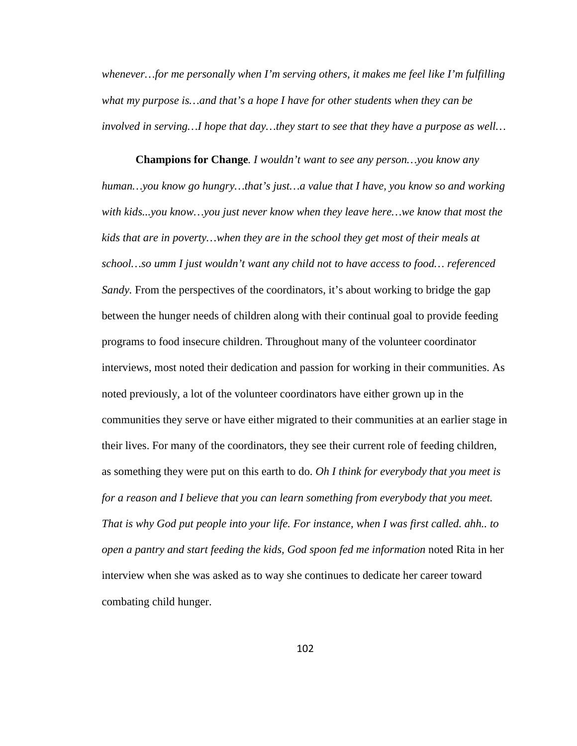*whenever…for me personally when I'm serving others, it makes me feel like I'm fulfilling what my purpose is…and that's a hope I have for other students when they can be involved in serving…I hope that day…they start to see that they have a purpose as well…*

**Champions for Change***. I wouldn't want to see any person…you know any human…you know go hungry…that's just…a value that I have, you know so and working with kids...you know…you just never know when they leave here…we know that most the kids that are in poverty…when they are in the school they get most of their meals at school…so umm I just wouldn't want any child not to have access to food… referenced*  Sandy. From the perspectives of the coordinators, it's about working to bridge the gap between the hunger needs of children along with their continual goal to provide feeding programs to food insecure children. Throughout many of the volunteer coordinator interviews, most noted their dedication and passion for working in their communities. As noted previously, a lot of the volunteer coordinators have either grown up in the communities they serve or have either migrated to their communities at an earlier stage in their lives. For many of the coordinators, they see their current role of feeding children, as something they were put on this earth to do. *Oh I think for everybody that you meet is for a reason and I believe that you can learn something from everybody that you meet. That is why God put people into your life. For instance, when I was first called. ahh.. to open a pantry and start feeding the kids, God spoon fed me information* noted Rita in her interview when she was asked as to way she continues to dedicate her career toward combating child hunger.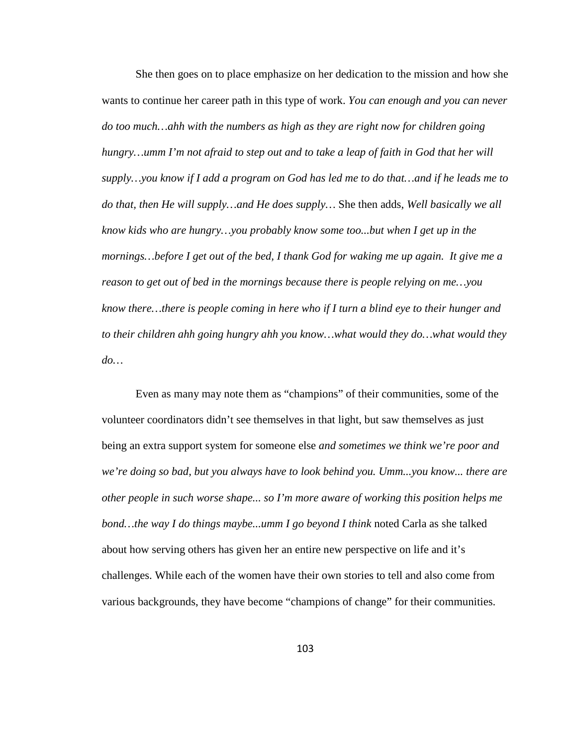She then goes on to place emphasize on her dedication to the mission and how she wants to continue her career path in this type of work. *You can enough and you can never do too much…ahh with the numbers as high as they are right now for children going hungry…umm I'm not afraid to step out and to take a leap of faith in God that her will supply…you know if I add a program on God has led me to do that…and if he leads me to do that, then He will supply…and He does supply…* She then adds, *Well basically we all know kids who are hungry…you probably know some too...but when I get up in the mornings…before I get out of the bed, I thank God for waking me up again. It give me a reason to get out of bed in the mornings because there is people relying on me…you know there…there is people coming in here who if I turn a blind eye to their hunger and to their children ahh going hungry ahh you know…what would they do…what would they do…*

Even as many may note them as "champions" of their communities, some of the volunteer coordinators didn't see themselves in that light, but saw themselves as just being an extra support system for someone else *and sometimes we think we're poor and we're doing so bad, but you always have to look behind you. Umm...you know... there are other people in such worse shape... so I'm more aware of working this position helps me bond…the way I do things maybe...umm I go beyond I think* noted Carla as she talked about how serving others has given her an entire new perspective on life and it's challenges. While each of the women have their own stories to tell and also come from various backgrounds, they have become "champions of change" for their communities.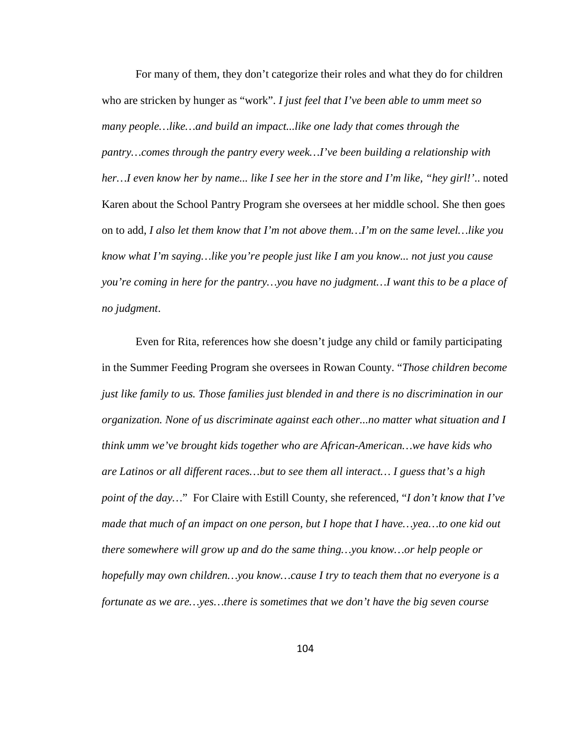For many of them, they don't categorize their roles and what they do for children who are stricken by hunger as "work". *I just feel that I've been able to umm meet so many people…like…and build an impact...like one lady that comes through the pantry…comes through the pantry every week…I've been building a relationship with her…I even know her by name... like I see her in the store and I'm like, "hey girl!'*.. noted Karen about the School Pantry Program she oversees at her middle school. She then goes on to add, *I also let them know that I'm not above them…I'm on the same level…like you know what I'm saying…like you're people just like I am you know... not just you cause you're coming in here for the pantry…you have no judgment…I want this to be a place of no judgment*.

Even for Rita, references how she doesn't judge any child or family participating in the Summer Feeding Program she oversees in Rowan County. "*Those children become just like family to us. Those families just blended in and there is no discrimination in our organization. None of us discriminate against each other...no matter what situation and I think umm we've brought kids together who are African-American…we have kids who are Latinos or all different races…but to see them all interact… I guess that's a high point of the day…*" For Claire with Estill County, she referenced, "*I don't know that I've made that much of an impact on one person, but I hope that I have…yea…to one kid out there somewhere will grow up and do the same thing…you know…or help people or hopefully may own children…you know…cause I try to teach them that no everyone is a fortunate as we are…yes…there is sometimes that we don't have the big seven course*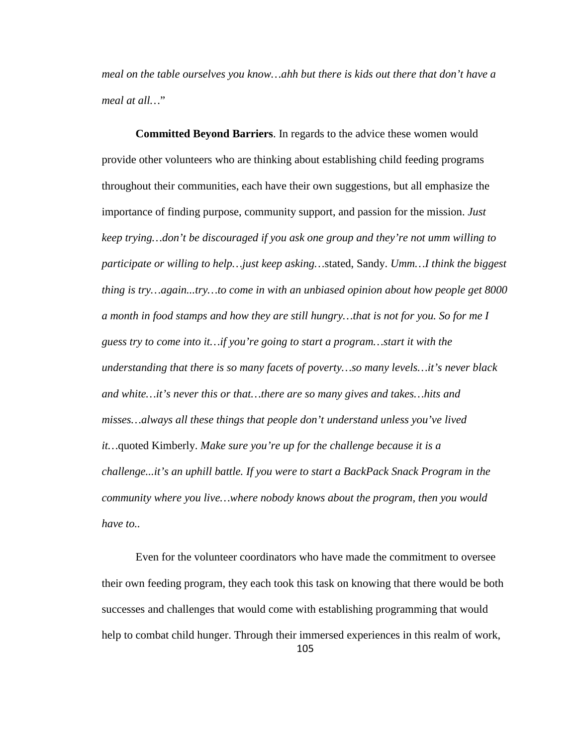*meal on the table ourselves you know…ahh but there is kids out there that don't have a meal at all…*"

**Committed Beyond Barriers**. In regards to the advice these women would provide other volunteers who are thinking about establishing child feeding programs throughout their communities, each have their own suggestions, but all emphasize the importance of finding purpose, community support, and passion for the mission. *Just keep trying…don't be discouraged if you ask one group and they're not umm willing to participate or willing to help…just keep asking…*stated, Sandy. *Umm…I think the biggest thing is try…again...try…to come in with an unbiased opinion about how people get 8000 a month in food stamps and how they are still hungry…that is not for you. So for me I guess try to come into it…if you're going to start a program…start it with the understanding that there is so many facets of poverty…so many levels…it's never black and white…it's never this or that…there are so many gives and takes…hits and misses…always all these things that people don't understand unless you've lived it…*quoted Kimberly. *Make sure you're up for the challenge because it is a challenge...it's an uphill battle. If you were to start a BackPack Snack Program in the community where you live…where nobody knows about the program, then you would have to..*

Even for the volunteer coordinators who have made the commitment to oversee their own feeding program, they each took this task on knowing that there would be both successes and challenges that would come with establishing programming that would help to combat child hunger. Through their immersed experiences in this realm of work,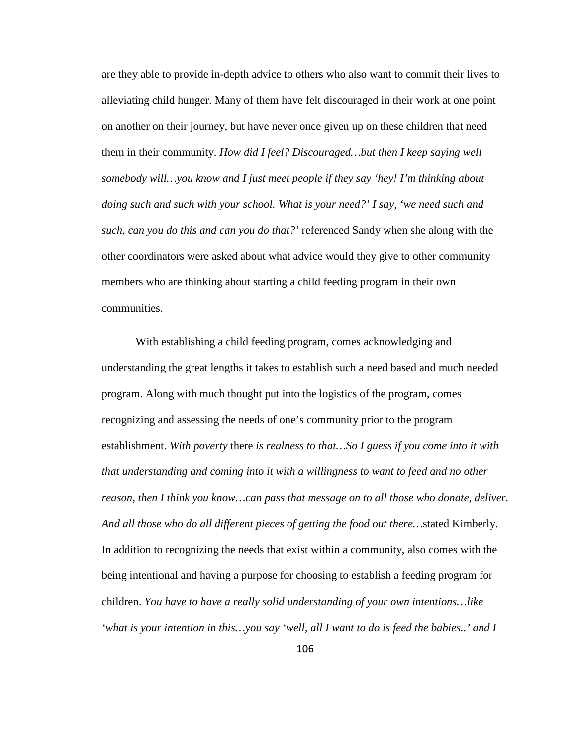are they able to provide in-depth advice to others who also want to commit their lives to alleviating child hunger. Many of them have felt discouraged in their work at one point on another on their journey, but have never once given up on these children that need them in their community. *How did I feel? Discouraged…but then I keep saying well somebody will…you know and I just meet people if they say 'hey! I'm thinking about doing such and such with your school. What is your need?' I say, 'we need such and such, can you do this and can you do that?'* referenced Sandy when she along with the other coordinators were asked about what advice would they give to other community members who are thinking about starting a child feeding program in their own communities.

With establishing a child feeding program, comes acknowledging and understanding the great lengths it takes to establish such a need based and much needed program. Along with much thought put into the logistics of the program, comes recognizing and assessing the needs of one's community prior to the program establishment. *With poverty* there *is realness to that…So I guess if you come into it with that understanding and coming into it with a willingness to want to feed and no other reason, then I think you know…can pass that message on to all those who donate, deliver. And all those who do all different pieces of getting the food out there…*stated Kimberly. In addition to recognizing the needs that exist within a community, also comes with the being intentional and having a purpose for choosing to establish a feeding program for children. *You have to have a really solid understanding of your own intentions…like 'what is your intention in this…you say 'well, all I want to do is feed the babies..' and I*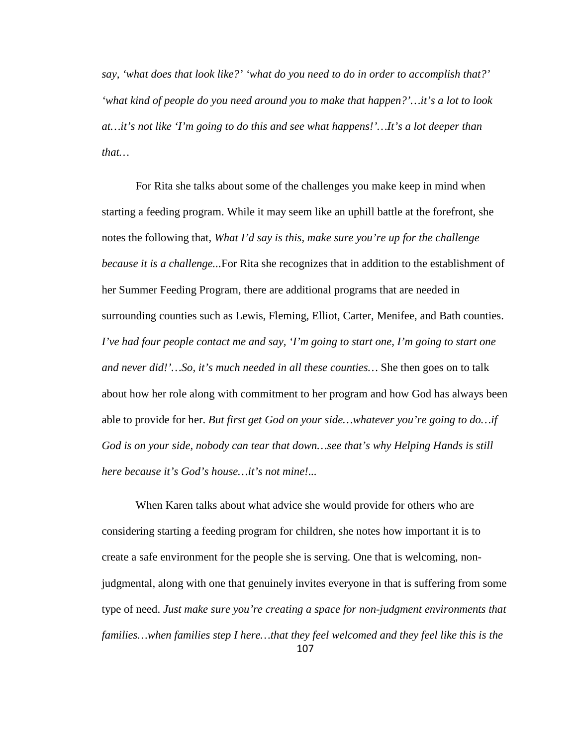*say, 'what does that look like?' 'what do you need to do in order to accomplish that?' 'what kind of people do you need around you to make that happen?'…it's a lot to look at…it's not like 'I'm going to do this and see what happens!'…It's a lot deeper than that…* 

For Rita she talks about some of the challenges you make keep in mind when starting a feeding program. While it may seem like an uphill battle at the forefront, she notes the following that, *What I'd say is this, make sure you're up for the challenge because it is a challenge...*For Rita she recognizes that in addition to the establishment of her Summer Feeding Program, there are additional programs that are needed in surrounding counties such as Lewis, Fleming, Elliot, Carter, Menifee, and Bath counties. *I've had four people contact me and say, 'I'm going to start one, I'm going to start one and never did!'…So, it's much needed in all these counties…* She then goes on to talk about how her role along with commitment to her program and how God has always been able to provide for her. *But first get God on your side…whatever you're going to do…if*  God is on your side, nobody can tear that down...see that's why Helping Hands is still *here because it's God's house…it's not mine!...*

107 When Karen talks about what advice she would provide for others who are considering starting a feeding program for children, she notes how important it is to create a safe environment for the people she is serving. One that is welcoming, nonjudgmental, along with one that genuinely invites everyone in that is suffering from some type of need. *Just make sure you're creating a space for non-judgment environments that families…when families step I here…that they feel welcomed and they feel like this is the*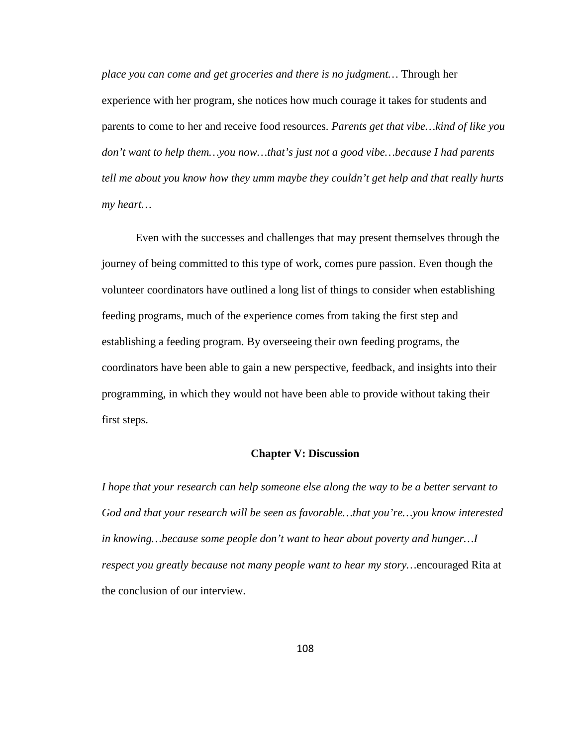*place you can come and get groceries and there is no judgment…* Through her experience with her program, she notices how much courage it takes for students and parents to come to her and receive food resources. *Parents get that vibe…kind of like you don't want to help them…you now…that's just not a good vibe…because I had parents tell me about you know how they umm maybe they couldn't get help and that really hurts my heart…* 

Even with the successes and challenges that may present themselves through the journey of being committed to this type of work, comes pure passion. Even though the volunteer coordinators have outlined a long list of things to consider when establishing feeding programs, much of the experience comes from taking the first step and establishing a feeding program. By overseeing their own feeding programs, the coordinators have been able to gain a new perspective, feedback, and insights into their programming, in which they would not have been able to provide without taking their first steps.

#### **Chapter V: Discussion**

*I hope that your research can help someone else along the way to be a better servant to God and that your research will be seen as favorable…that you're…you know interested in knowing…because some people don't want to hear about poverty and hunger…I respect you greatly because not many people want to hear my story…*encouraged Rita at the conclusion of our interview.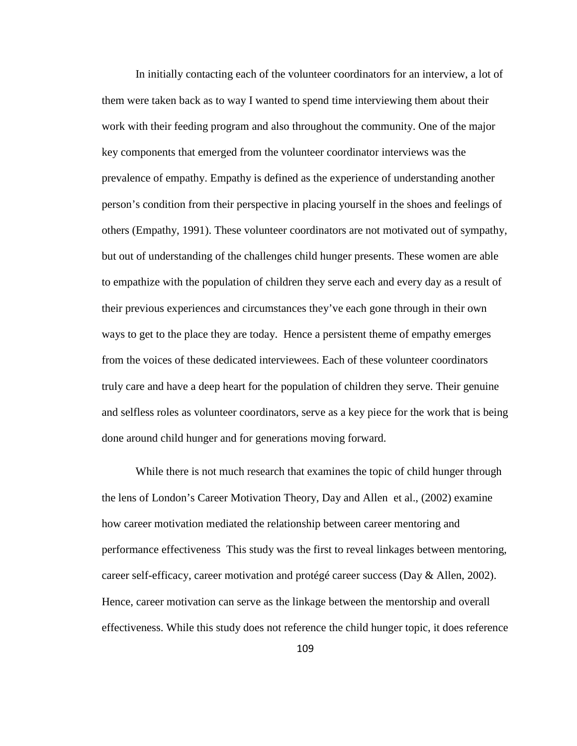In initially contacting each of the volunteer coordinators for an interview, a lot of them were taken back as to way I wanted to spend time interviewing them about their work with their feeding program and also throughout the community. One of the major key components that emerged from the volunteer coordinator interviews was the prevalence of empathy. Empathy is defined as the experience of understanding another person's condition from their perspective in placing yourself in the shoes and feelings of others (Empathy, 1991). These volunteer coordinators are not motivated out of sympathy, but out of understanding of the challenges child hunger presents. These women are able to empathize with the population of children they serve each and every day as a result of their previous experiences and circumstances they've each gone through in their own ways to get to the place they are today. Hence a persistent theme of empathy emerges from the voices of these dedicated interviewees. Each of these volunteer coordinators truly care and have a deep heart for the population of children they serve. Their genuine and selfless roles as volunteer coordinators, serve as a key piece for the work that is being done around child hunger and for generations moving forward.

While there is not much research that examines the topic of child hunger through the lens of London's Career Motivation Theory, Day and Allen et al., (2002) examine how career motivation mediated the relationship between career mentoring and performance effectiveness This study was the first to reveal linkages between mentoring, career self-efficacy, career motivation and protégé career success (Day & Allen, 2002). Hence, career motivation can serve as the linkage between the mentorship and overall effectiveness. While this study does not reference the child hunger topic, it does reference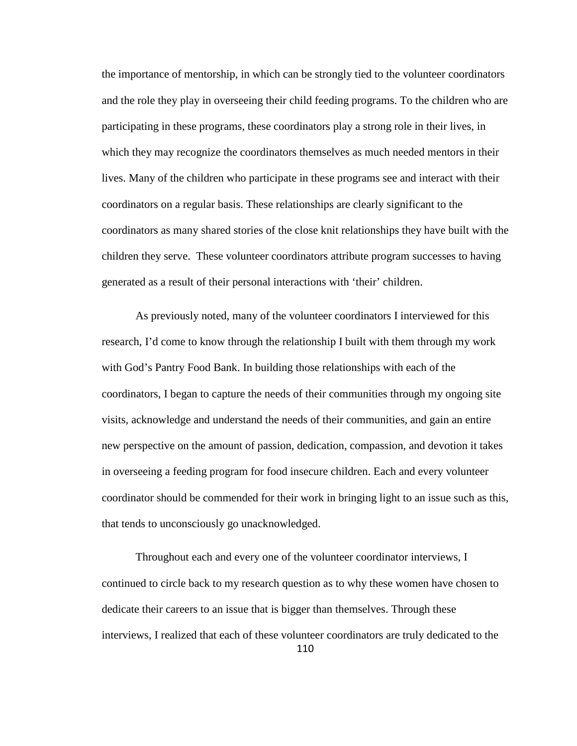the importance of mentorship, in which can be strongly tied to the volunteer coordinators and the role they play in overseeing their child feeding programs. To the children who are participating in these programs, these coordinators play a strong role in their lives, in which they may recognize the coordinators themselves as much needed mentors in their lives. Many of the children who participate in these programs see and interact with their coordinators on a regular basis. These relationships are clearly significant to the coordinators as many shared stories of the close knit relationships they have built with the children they serve. These volunteer coordinators attribute program successes to having generated as a result of their personal interactions with 'their' children.

As previously noted, many of the volunteer coordinators I interviewed for this research, I'd come to know through the relationship I built with them through my work with God's Pantry Food Bank. In building those relationships with each of the coordinators, I began to capture the needs of their communities through my ongoing site visits, acknowledge and understand the needs of their communities, and gain an entire new perspective on the amount of passion, dedication, compassion, and devotion it takes in overseeing a feeding program for food insecure children. Each and every volunteer coordinator should be commended for their work in bringing light to an issue such as this, that tends to unconsciously go unacknowledged.

Throughout each and every one of the volunteer coordinator interviews, I continued to circle back to my research question as to why these women have chosen to dedicate their careers to an issue that is bigger than themselves. Through these interviews, I realized that each of these volunteer coordinators are truly dedicated to the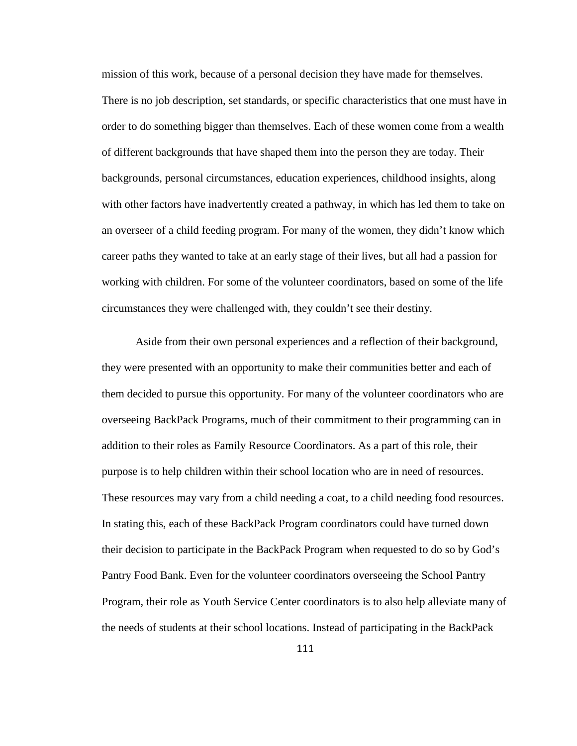mission of this work, because of a personal decision they have made for themselves. There is no job description, set standards, or specific characteristics that one must have in order to do something bigger than themselves. Each of these women come from a wealth of different backgrounds that have shaped them into the person they are today. Their backgrounds, personal circumstances, education experiences, childhood insights, along with other factors have inadvertently created a pathway, in which has led them to take on an overseer of a child feeding program. For many of the women, they didn't know which career paths they wanted to take at an early stage of their lives, but all had a passion for working with children. For some of the volunteer coordinators, based on some of the life circumstances they were challenged with, they couldn't see their destiny.

Aside from their own personal experiences and a reflection of their background, they were presented with an opportunity to make their communities better and each of them decided to pursue this opportunity. For many of the volunteer coordinators who are overseeing BackPack Programs, much of their commitment to their programming can in addition to their roles as Family Resource Coordinators. As a part of this role, their purpose is to help children within their school location who are in need of resources. These resources may vary from a child needing a coat, to a child needing food resources. In stating this, each of these BackPack Program coordinators could have turned down their decision to participate in the BackPack Program when requested to do so by God's Pantry Food Bank. Even for the volunteer coordinators overseeing the School Pantry Program, their role as Youth Service Center coordinators is to also help alleviate many of the needs of students at their school locations. Instead of participating in the BackPack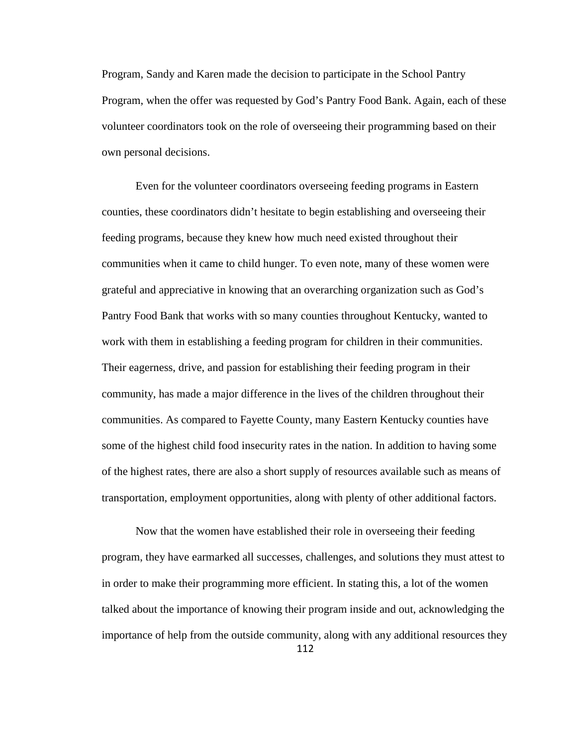Program, Sandy and Karen made the decision to participate in the School Pantry Program, when the offer was requested by God's Pantry Food Bank. Again, each of these volunteer coordinators took on the role of overseeing their programming based on their own personal decisions.

Even for the volunteer coordinators overseeing feeding programs in Eastern counties, these coordinators didn't hesitate to begin establishing and overseeing their feeding programs, because they knew how much need existed throughout their communities when it came to child hunger. To even note, many of these women were grateful and appreciative in knowing that an overarching organization such as God's Pantry Food Bank that works with so many counties throughout Kentucky, wanted to work with them in establishing a feeding program for children in their communities. Their eagerness, drive, and passion for establishing their feeding program in their community, has made a major difference in the lives of the children throughout their communities. As compared to Fayette County, many Eastern Kentucky counties have some of the highest child food insecurity rates in the nation. In addition to having some of the highest rates, there are also a short supply of resources available such as means of transportation, employment opportunities, along with plenty of other additional factors.

Now that the women have established their role in overseeing their feeding program, they have earmarked all successes, challenges, and solutions they must attest to in order to make their programming more efficient. In stating this, a lot of the women talked about the importance of knowing their program inside and out, acknowledging the importance of help from the outside community, along with any additional resources they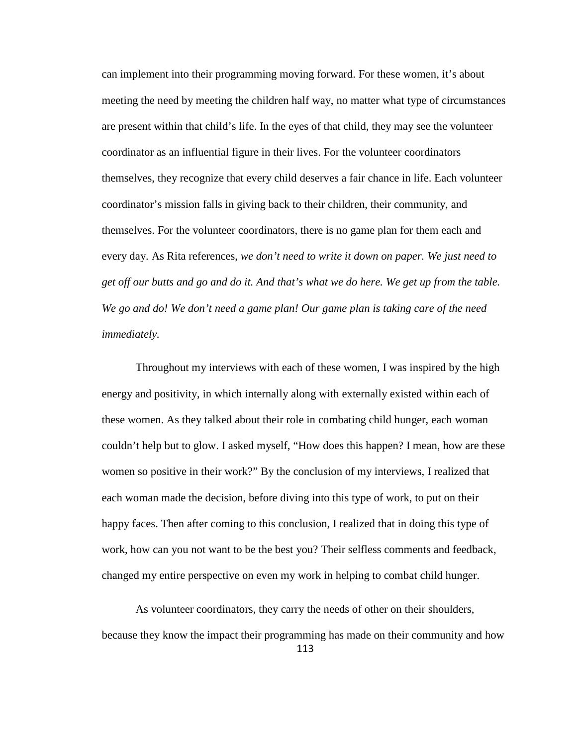can implement into their programming moving forward. For these women, it's about meeting the need by meeting the children half way, no matter what type of circumstances are present within that child's life. In the eyes of that child, they may see the volunteer coordinator as an influential figure in their lives. For the volunteer coordinators themselves, they recognize that every child deserves a fair chance in life. Each volunteer coordinator's mission falls in giving back to their children, their community, and themselves. For the volunteer coordinators, there is no game plan for them each and every day. As Rita references, *we don't need to write it down on paper. We just need to get off our butts and go and do it. And that's what we do here. We get up from the table. We go and do! We don't need a game plan! Our game plan is taking care of the need immediately.* 

Throughout my interviews with each of these women, I was inspired by the high energy and positivity, in which internally along with externally existed within each of these women. As they talked about their role in combating child hunger, each woman couldn't help but to glow. I asked myself, "How does this happen? I mean, how are these women so positive in their work?" By the conclusion of my interviews, I realized that each woman made the decision, before diving into this type of work, to put on their happy faces. Then after coming to this conclusion, I realized that in doing this type of work, how can you not want to be the best you? Their selfless comments and feedback, changed my entire perspective on even my work in helping to combat child hunger.

As volunteer coordinators, they carry the needs of other on their shoulders, because they know the impact their programming has made on their community and how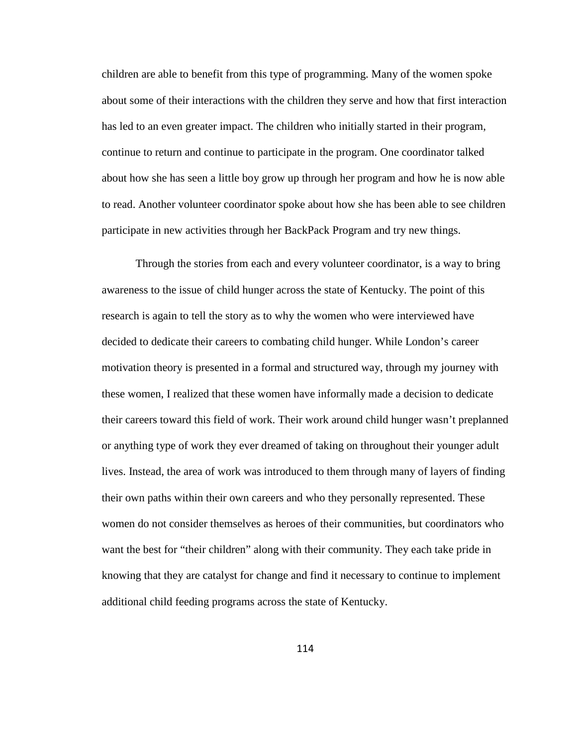children are able to benefit from this type of programming. Many of the women spoke about some of their interactions with the children they serve and how that first interaction has led to an even greater impact. The children who initially started in their program, continue to return and continue to participate in the program. One coordinator talked about how she has seen a little boy grow up through her program and how he is now able to read. Another volunteer coordinator spoke about how she has been able to see children participate in new activities through her BackPack Program and try new things.

Through the stories from each and every volunteer coordinator, is a way to bring awareness to the issue of child hunger across the state of Kentucky. The point of this research is again to tell the story as to why the women who were interviewed have decided to dedicate their careers to combating child hunger. While London's career motivation theory is presented in a formal and structured way, through my journey with these women, I realized that these women have informally made a decision to dedicate their careers toward this field of work. Their work around child hunger wasn't preplanned or anything type of work they ever dreamed of taking on throughout their younger adult lives. Instead, the area of work was introduced to them through many of layers of finding their own paths within their own careers and who they personally represented. These women do not consider themselves as heroes of their communities, but coordinators who want the best for "their children" along with their community. They each take pride in knowing that they are catalyst for change and find it necessary to continue to implement additional child feeding programs across the state of Kentucky.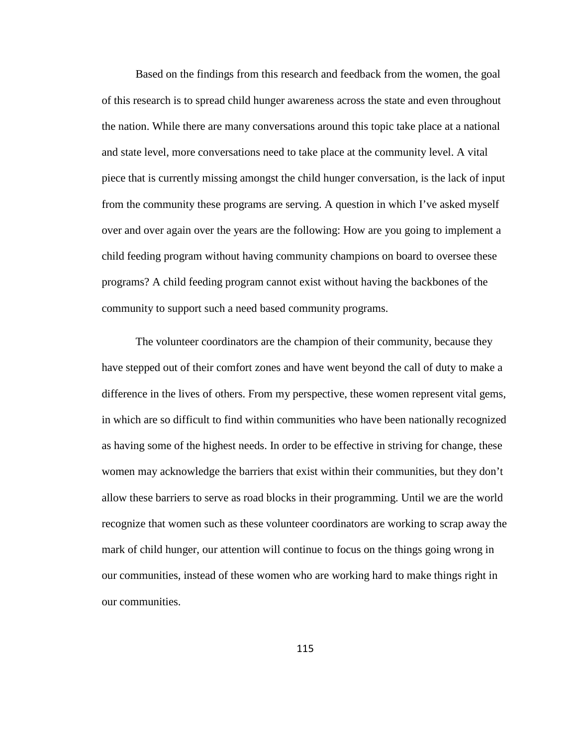Based on the findings from this research and feedback from the women, the goal of this research is to spread child hunger awareness across the state and even throughout the nation. While there are many conversations around this topic take place at a national and state level, more conversations need to take place at the community level. A vital piece that is currently missing amongst the child hunger conversation, is the lack of input from the community these programs are serving. A question in which I've asked myself over and over again over the years are the following: How are you going to implement a child feeding program without having community champions on board to oversee these programs? A child feeding program cannot exist without having the backbones of the community to support such a need based community programs.

The volunteer coordinators are the champion of their community, because they have stepped out of their comfort zones and have went beyond the call of duty to make a difference in the lives of others. From my perspective, these women represent vital gems, in which are so difficult to find within communities who have been nationally recognized as having some of the highest needs. In order to be effective in striving for change, these women may acknowledge the barriers that exist within their communities, but they don't allow these barriers to serve as road blocks in their programming. Until we are the world recognize that women such as these volunteer coordinators are working to scrap away the mark of child hunger, our attention will continue to focus on the things going wrong in our communities, instead of these women who are working hard to make things right in our communities.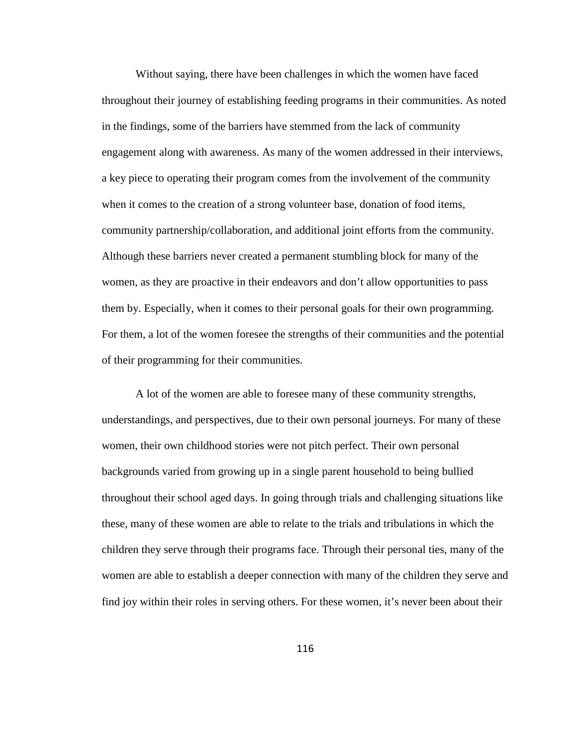Without saying, there have been challenges in which the women have faced throughout their journey of establishing feeding programs in their communities. As noted in the findings, some of the barriers have stemmed from the lack of community engagement along with awareness. As many of the women addressed in their interviews, a key piece to operating their program comes from the involvement of the community when it comes to the creation of a strong volunteer base, donation of food items, community partnership/collaboration, and additional joint efforts from the community. Although these barriers never created a permanent stumbling block for many of the women, as they are proactive in their endeavors and don't allow opportunities to pass them by. Especially, when it comes to their personal goals for their own programming. For them, a lot of the women foresee the strengths of their communities and the potential of their programming for their communities.

A lot of the women are able to foresee many of these community strengths, understandings, and perspectives, due to their own personal journeys. For many of these women, their own childhood stories were not pitch perfect. Their own personal backgrounds varied from growing up in a single parent household to being bullied throughout their school aged days. In going through trials and challenging situations like these, many of these women are able to relate to the trials and tribulations in which the children they serve through their programs face. Through their personal ties, many of the women are able to establish a deeper connection with many of the children they serve and find joy within their roles in serving others. For these women, it's never been about their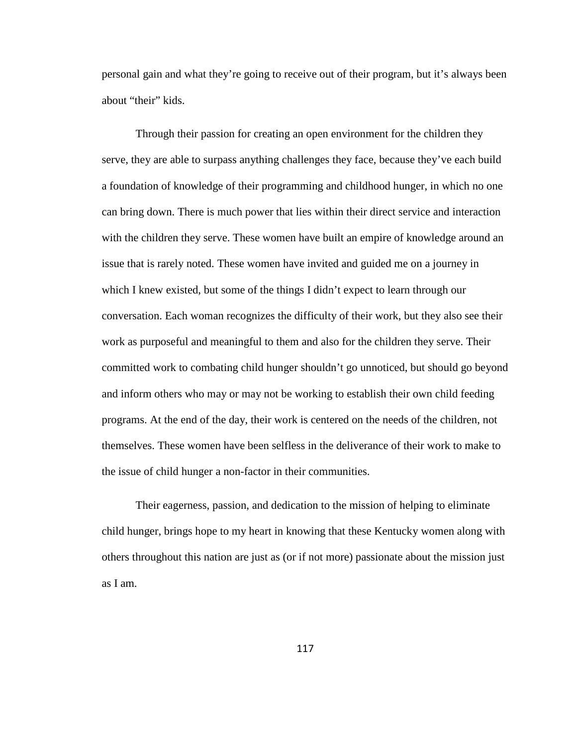personal gain and what they're going to receive out of their program, but it's always been about "their" kids.

Through their passion for creating an open environment for the children they serve, they are able to surpass anything challenges they face, because they've each build a foundation of knowledge of their programming and childhood hunger, in which no one can bring down. There is much power that lies within their direct service and interaction with the children they serve. These women have built an empire of knowledge around an issue that is rarely noted. These women have invited and guided me on a journey in which I knew existed, but some of the things I didn't expect to learn through our conversation. Each woman recognizes the difficulty of their work, but they also see their work as purposeful and meaningful to them and also for the children they serve. Their committed work to combating child hunger shouldn't go unnoticed, but should go beyond and inform others who may or may not be working to establish their own child feeding programs. At the end of the day, their work is centered on the needs of the children, not themselves. These women have been selfless in the deliverance of their work to make to the issue of child hunger a non-factor in their communities.

Their eagerness, passion, and dedication to the mission of helping to eliminate child hunger, brings hope to my heart in knowing that these Kentucky women along with others throughout this nation are just as (or if not more) passionate about the mission just as I am.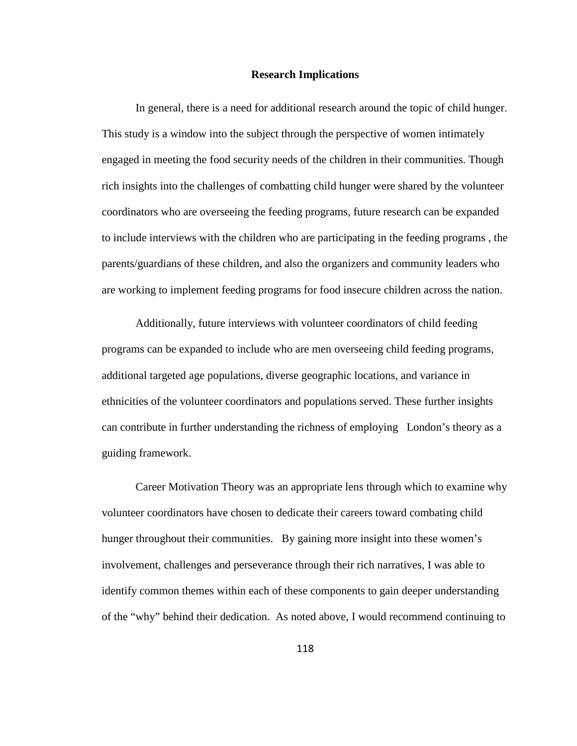#### **Research Implications**

In general, there is a need for additional research around the topic of child hunger. This study is a window into the subject through the perspective of women intimately engaged in meeting the food security needs of the children in their communities. Though rich insights into the challenges of combatting child hunger were shared by the volunteer coordinators who are overseeing the feeding programs, future research can be expanded to include interviews with the children who are participating in the feeding programs , the parents/guardians of these children, and also the organizers and community leaders who are working to implement feeding programs for food insecure children across the nation.

Additionally, future interviews with volunteer coordinators of child feeding programs can be expanded to include who are men overseeing child feeding programs, additional targeted age populations, diverse geographic locations, and variance in ethnicities of the volunteer coordinators and populations served. These further insights can contribute in further understanding the richness of employing London's theory as a guiding framework.

Career Motivation Theory was an appropriate lens through which to examine why volunteer coordinators have chosen to dedicate their careers toward combating child hunger throughout their communities. By gaining more insight into these women's involvement, challenges and perseverance through their rich narratives, I was able to identify common themes within each of these components to gain deeper understanding of the "why" behind their dedication. As noted above, I would recommend continuing to

118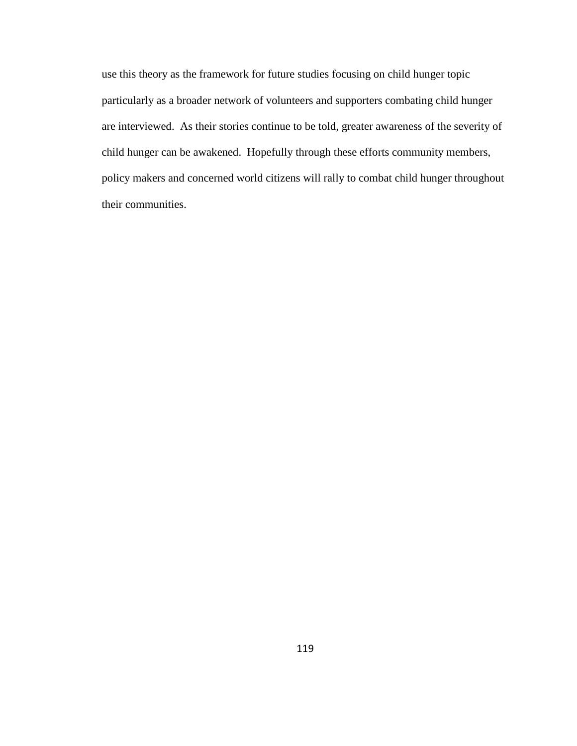use this theory as the framework for future studies focusing on child hunger topic particularly as a broader network of volunteers and supporters combating child hunger are interviewed. As their stories continue to be told, greater awareness of the severity of child hunger can be awakened. Hopefully through these efforts community members, policy makers and concerned world citizens will rally to combat child hunger throughout their communities.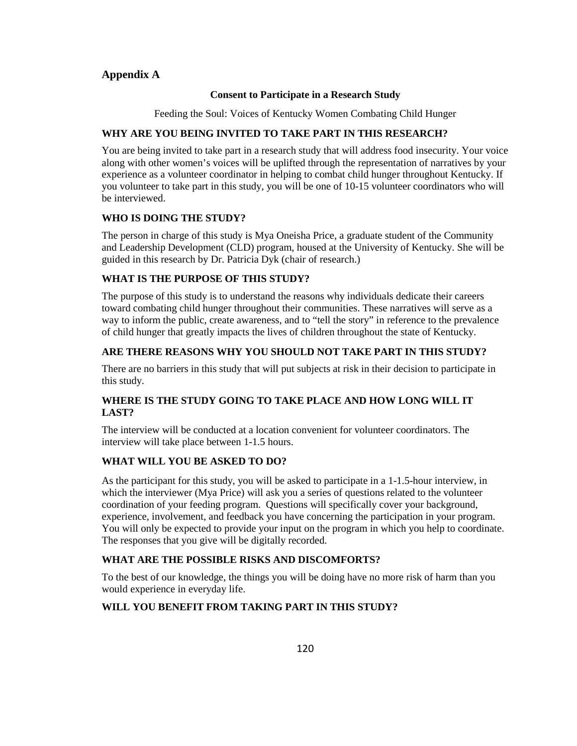## **Appendix A**

#### **Consent to Participate in a Research Study**

Feeding the Soul: Voices of Kentucky Women Combating Child Hunger

## **WHY ARE YOU BEING INVITED TO TAKE PART IN THIS RESEARCH?**

You are being invited to take part in a research study that will address food insecurity. Your voice along with other women's voices will be uplifted through the representation of narratives by your experience as a volunteer coordinator in helping to combat child hunger throughout Kentucky. If you volunteer to take part in this study, you will be one of 10-15 volunteer coordinators who will be interviewed.

## **WHO IS DOING THE STUDY?**

The person in charge of this study is Mya Oneisha Price, a graduate student of the Community and Leadership Development (CLD) program, housed at the University of Kentucky. She will be guided in this research by Dr. Patricia Dyk (chair of research.)

## **WHAT IS THE PURPOSE OF THIS STUDY?**

The purpose of this study is to understand the reasons why individuals dedicate their careers toward combating child hunger throughout their communities. These narratives will serve as a way to inform the public, create awareness, and to "tell the story" in reference to the prevalence of child hunger that greatly impacts the lives of children throughout the state of Kentucky.

## **ARE THERE REASONS WHY YOU SHOULD NOT TAKE PART IN THIS STUDY?**

There are no barriers in this study that will put subjects at risk in their decision to participate in this study.

## **WHERE IS THE STUDY GOING TO TAKE PLACE AND HOW LONG WILL IT LAST?**

The interview will be conducted at a location convenient for volunteer coordinators. The interview will take place between 1-1.5 hours.

### **WHAT WILL YOU BE ASKED TO DO?**

As the participant for this study, you will be asked to participate in a 1-1.5-hour interview, in which the interviewer (Mya Price) will ask you a series of questions related to the volunteer coordination of your feeding program. Questions will specifically cover your background, experience, involvement, and feedback you have concerning the participation in your program. You will only be expected to provide your input on the program in which you help to coordinate. The responses that you give will be digitally recorded.

### **WHAT ARE THE POSSIBLE RISKS AND DISCOMFORTS?**

To the best of our knowledge, the things you will be doing have no more risk of harm than you would experience in everyday life.

### **WILL YOU BENEFIT FROM TAKING PART IN THIS STUDY?**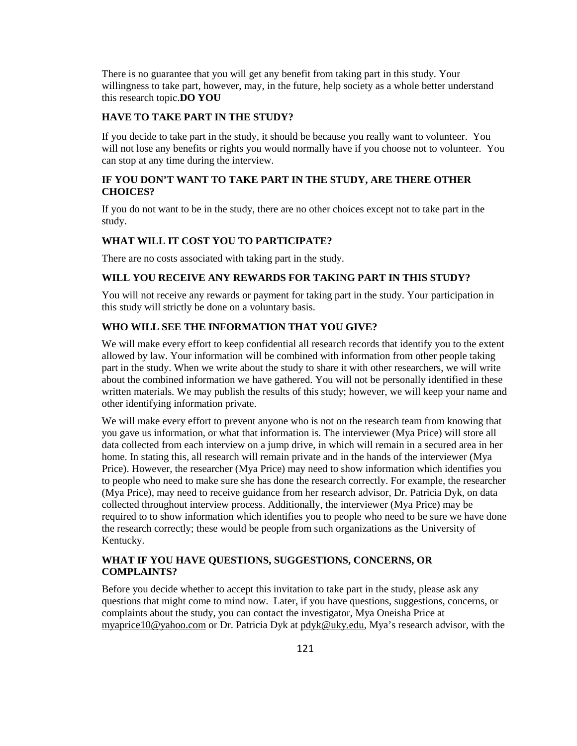There is no guarantee that you will get any benefit from taking part in this study. Your willingness to take part, however, may, in the future, help society as a whole better understand this research topic.**DO YOU** 

### **HAVE TO TAKE PART IN THE STUDY?**

If you decide to take part in the study, it should be because you really want to volunteer. You will not lose any benefits or rights you would normally have if you choose not to volunteer. You can stop at any time during the interview.

#### **IF YOU DON'T WANT TO TAKE PART IN THE STUDY, ARE THERE OTHER CHOICES?**

If you do not want to be in the study, there are no other choices except not to take part in the study.

### **WHAT WILL IT COST YOU TO PARTICIPATE?**

There are no costs associated with taking part in the study.

### **WILL YOU RECEIVE ANY REWARDS FOR TAKING PART IN THIS STUDY?**

You will not receive any rewards or payment for taking part in the study. Your participation in this study will strictly be done on a voluntary basis.

### **WHO WILL SEE THE INFORMATION THAT YOU GIVE?**

We will make every effort to keep confidential all research records that identify you to the extent allowed by law. Your information will be combined with information from other people taking part in the study. When we write about the study to share it with other researchers, we will write about the combined information we have gathered. You will not be personally identified in these written materials. We may publish the results of this study; however, we will keep your name and other identifying information private.

We will make every effort to prevent anyone who is not on the research team from knowing that you gave us information, or what that information is. The interviewer (Mya Price) will store all data collected from each interview on a jump drive, in which will remain in a secured area in her home. In stating this, all research will remain private and in the hands of the interviewer (Mya Price). However, the researcher (Mya Price) may need to show information which identifies you to people who need to make sure she has done the research correctly. For example, the researcher (Mya Price), may need to receive guidance from her research advisor, Dr. Patricia Dyk, on data collected throughout interview process. Additionally, the interviewer (Mya Price) may be required to to show information which identifies you to people who need to be sure we have done the research correctly; these would be people from such organizations as the University of Kentucky.

#### **WHAT IF YOU HAVE QUESTIONS, SUGGESTIONS, CONCERNS, OR COMPLAINTS?**

Before you decide whether to accept this invitation to take part in the study, please ask any questions that might come to mind now. Later, if you have questions, suggestions, concerns, or complaints about the study, you can contact the investigator, Mya Oneisha Price at [myaprice10@yahoo.com](mailto:myaprice10@yahoo.com) or Dr. Patricia Dyk at [pdyk@uky.edu,](mailto:pdyk@uky.edu) Mya's research advisor, with the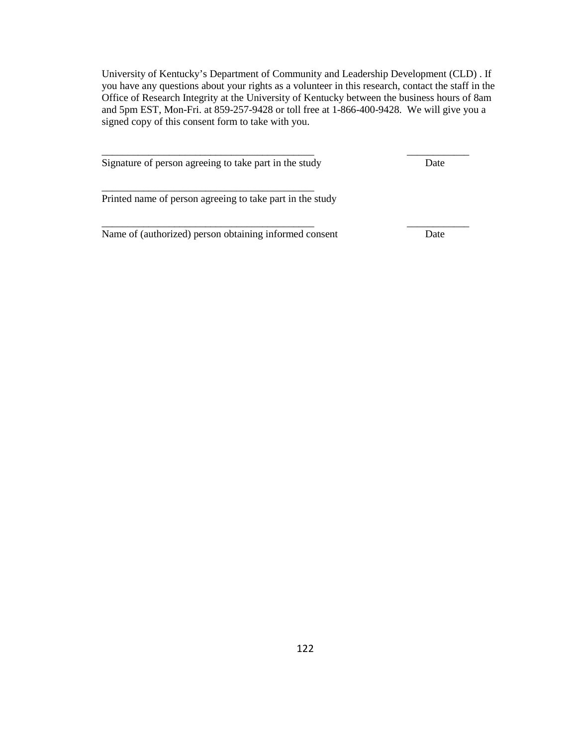University of Kentucky's Department of Community and Leadership Development (CLD) . If you have any questions about your rights as a volunteer in this research, contact the staff in the Office of Research Integrity at the University of Kentucky between the business hours of 8am and 5pm EST, Mon-Fri. at 859-257-9428 or toll free at 1-866-400-9428. We will give you a signed copy of this consent form to take with you.

*\_\_\_\_\_\_\_\_\_\_\_\_\_\_\_\_\_\_\_\_\_\_\_\_\_\_\_\_\_\_\_\_\_\_\_\_\_\_\_\_\_ \_\_\_\_\_\_\_\_\_\_\_\_*

Signature of person agreeing to take part in the study Date

\_\_\_\_\_\_\_\_\_\_\_\_\_\_\_\_\_\_\_\_\_\_\_\_\_\_\_\_\_\_\_\_\_\_\_\_\_\_\_\_\_

Printed name of person agreeing to take part in the study

Name of (authorized) person obtaining informed consent Date

\_\_\_\_\_\_\_\_\_\_\_\_\_\_\_\_\_\_\_\_\_\_\_\_\_\_\_\_\_\_\_\_\_\_\_\_\_\_\_\_\_ \_\_\_\_\_\_\_\_\_\_\_\_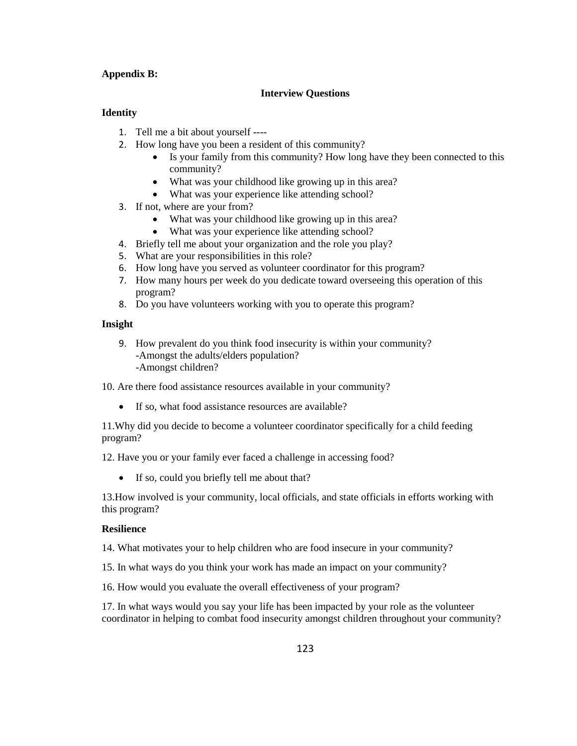#### **Appendix B:**

#### **Interview Questions**

#### **Identity**

- 1. Tell me a bit about yourself ----
- 2. How long have you been a resident of this community?
	- Is your family from this community? How long have they been connected to this community?
	- What was your childhood like growing up in this area?
	- What was your experience like attending school?
- 3. If not, where are your from?
	- What was your childhood like growing up in this area?
	- What was your experience like attending school?
- 4. Briefly tell me about your organization and the role you play?
- 5. What are your responsibilities in this role?
- 6. How long have you served as volunteer coordinator for this program?
- 7. How many hours per week do you dedicate toward overseeing this operation of this program?
- 8. Do you have volunteers working with you to operate this program?

#### **Insight**

9. How prevalent do you think food insecurity is within your community? -Amongst the adults/elders population? -Amongst children?

10. Are there food assistance resources available in your community?

• If so, what food assistance resources are available?

11.Why did you decide to become a volunteer coordinator specifically for a child feeding program?

12. Have you or your family ever faced a challenge in accessing food?

• If so, could you briefly tell me about that?

13.How involved is your community, local officials, and state officials in efforts working with this program?

#### **Resilience**

14. What motivates your to help children who are food insecure in your community?

15. In what ways do you think your work has made an impact on your community?

16. How would you evaluate the overall effectiveness of your program?

17. In what ways would you say your life has been impacted by your role as the volunteer coordinator in helping to combat food insecurity amongst children throughout your community?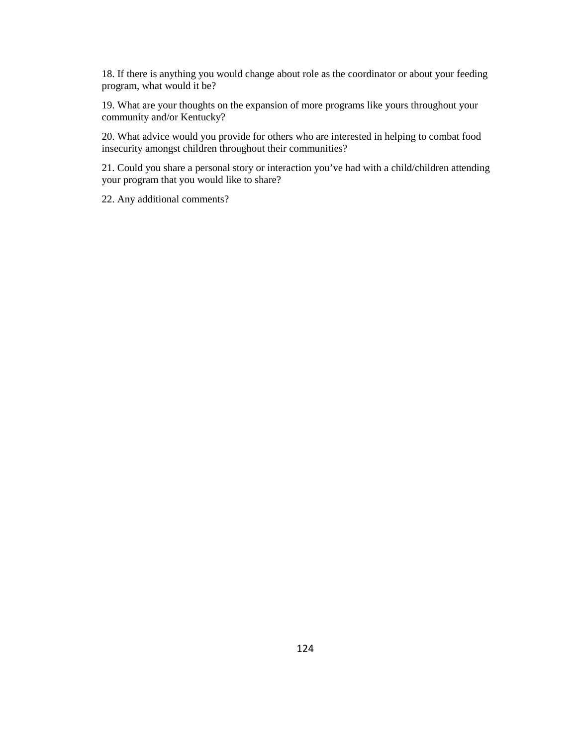18. If there is anything you would change about role as the coordinator or about your feeding program, what would it be?

19. What are your thoughts on the expansion of more programs like yours throughout your community and/or Kentucky?

20. What advice would you provide for others who are interested in helping to combat food insecurity amongst children throughout their communities?

21. Could you share a personal story or interaction you've had with a child/children attending your program that you would like to share?

22. Any additional comments?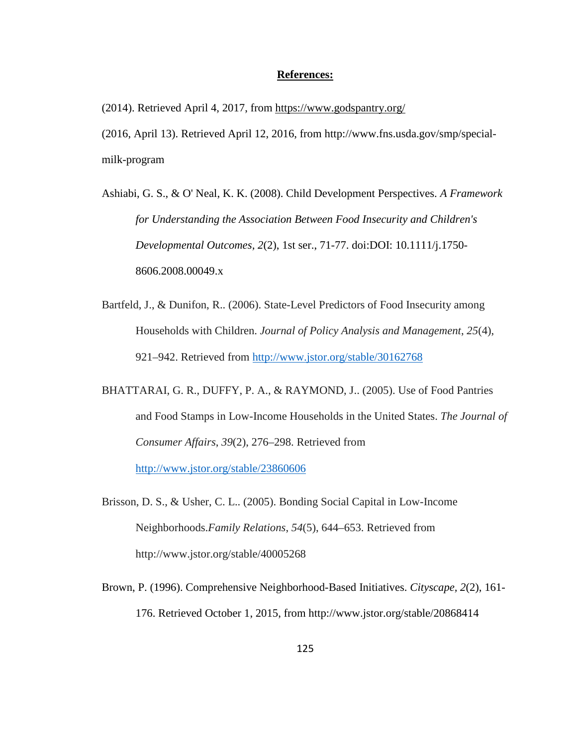### **References:**

(2014). Retrieved April 4, 2017, from<https://www.godspantry.org/>

(2016, April 13). Retrieved April 12, 2016, from http://www.fns.usda.gov/smp/specialmilk-program

- Ashiabi, G. S., & O' Neal, K. K. (2008). Child Development Perspectives. *A Framework for Understanding the Association Between Food Insecurity and Children's Developmental Outcomes, 2*(2), 1st ser., 71-77. doi:DOI: 10.1111/j.1750- 8606.2008.00049.x
- Bartfeld, J., & Dunifon, R.. (2006). State-Level Predictors of Food Insecurity among Households with Children. *Journal of Policy Analysis and Management*, *25*(4), 921–942. Retrieved from<http://www.jstor.org/stable/30162768>
- BHATTARAI, G. R., DUFFY, P. A., & RAYMOND, J.. (2005). Use of Food Pantries and Food Stamps in Low-Income Households in the United States. *The Journal of Consumer Affairs*, *39*(2), 276–298. Retrieved from <http://www.jstor.org/stable/23860606>
- Brisson, D. S., & Usher, C. L.. (2005). Bonding Social Capital in Low-Income Neighborhoods.*Family Relations*, *54*(5), 644–653. Retrieved from http://www.jstor.org/stable/40005268
- Brown, P. (1996). Comprehensive Neighborhood-Based Initiatives. *Cityscape, 2*(2), 161- 176. Retrieved October 1, 2015, from http://www.jstor.org/stable/20868414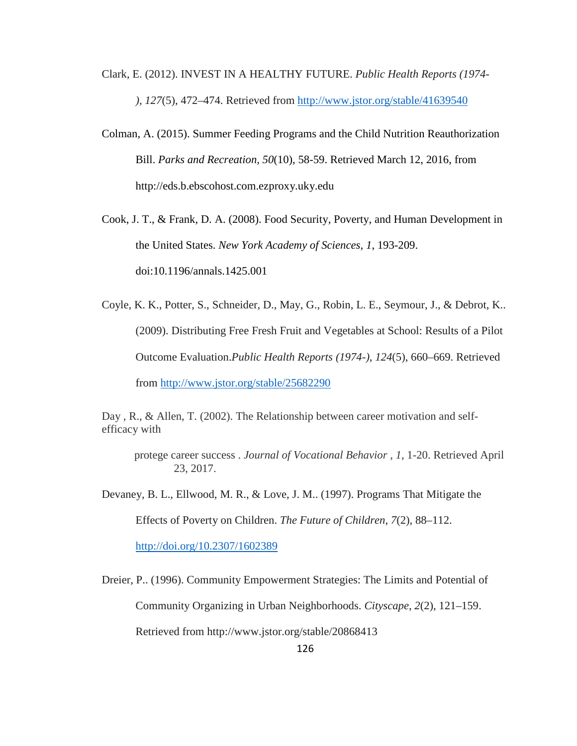Clark, E. (2012). INVEST IN A HEALTHY FUTURE. *Public Health Reports (1974- )*, *127*(5), 472–474. Retrieved from<http://www.jstor.org/stable/41639540>

- Colman, A. (2015). Summer Feeding Programs and the Child Nutrition Reauthorization Bill. *Parks and Recreation, 50*(10), 58-59. Retrieved March 12, 2016, from http://eds.b.ebscohost.com.ezproxy.uky.edu
- Cook, J. T., & Frank, D. A. (2008). Food Security, Poverty, and Human Development in the United States. *New York Academy of Sciences, 1*, 193-209. doi:10.1196/annals.1425.001
- Coyle, K. K., Potter, S., Schneider, D., May, G., Robin, L. E., Seymour, J., & Debrot, K.. (2009). Distributing Free Fresh Fruit and Vegetables at School: Results of a Pilot Outcome Evaluation.*Public Health Reports (1974-)*, *124*(5), 660–669. Retrieved from<http://www.jstor.org/stable/25682290>

Day , R., & Allen, T. (2002). The Relationship between career motivation and selfefficacy with

protege career success . *Journal of Vocational Behavior , 1*, 1-20. Retrieved April 23, 2017.

Devaney, B. L., Ellwood, M. R., & Love, J. M.. (1997). Programs That Mitigate the Effects of Poverty on Children. *The Future of Children*, *7*(2), 88–112.

<http://doi.org/10.2307/1602389>

Dreier, P.. (1996). Community Empowerment Strategies: The Limits and Potential of

Community Organizing in Urban Neighborhoods. *Cityscape*, *2*(2), 121–159.

Retrieved from http://www.jstor.org/stable/20868413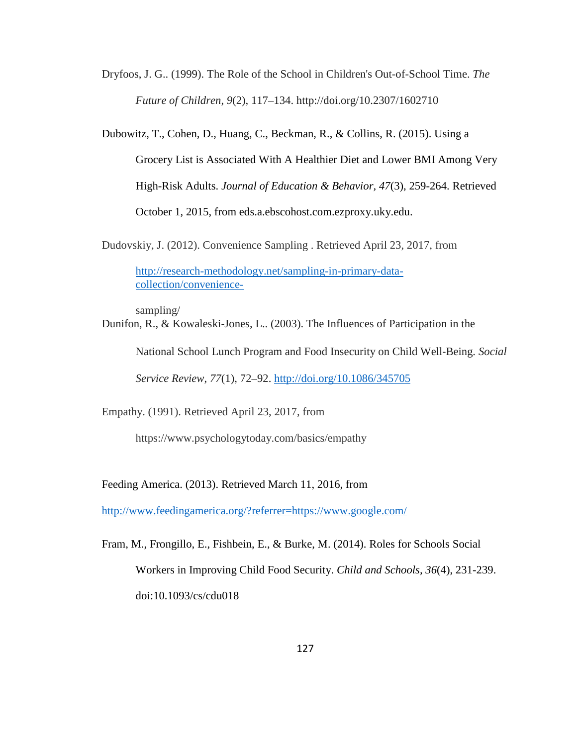Dryfoos, J. G.. (1999). The Role of the School in Children's Out-of-School Time. *The Future of Children*, *9*(2), 117–134. http://doi.org/10.2307/1602710

Dubowitz, T., Cohen, D., Huang, C., Beckman, R., & Collins, R. (2015). Using a

Grocery List is Associated With A Healthier Diet and Lower BMI Among Very High-Risk Adults. *Journal of Education & Behavior, 47*(3), 259-264. Retrieved October 1, 2015, from eds.a.ebscohost.com.ezproxy.uky.edu.

Dudovskiy, J. (2012). Convenience Sampling . Retrieved April 23, 2017, from

[http://research-methodology.net/sampling-in-primary-data](http://research-methodology.net/sampling-in-primary-data-collection/convenience-)[collection/convenience-](http://research-methodology.net/sampling-in-primary-data-collection/convenience-)

sampling/

Dunifon, R., & Kowaleski‐Jones, L.. (2003). The Influences of Participation in the

National School Lunch Program and Food Insecurity on Child Well‐Being. *Social* 

*Service Review*, *77*(1), 72–92.<http://doi.org/10.1086/345705>

Empathy. (1991). Retrieved April 23, 2017, from

https://www.psychologytoday.com/basics/empathy

Feeding America. (2013). Retrieved March 11, 2016, from

<http://www.feedingamerica.org/?referrer=https://www.google.com/>

Fram, M., Frongillo, E., Fishbein, E., & Burke, M. (2014). Roles for Schools Social Workers in Improving Child Food Security. *Child and Schools, 36*(4), 231-239. doi:10.1093/cs/cdu018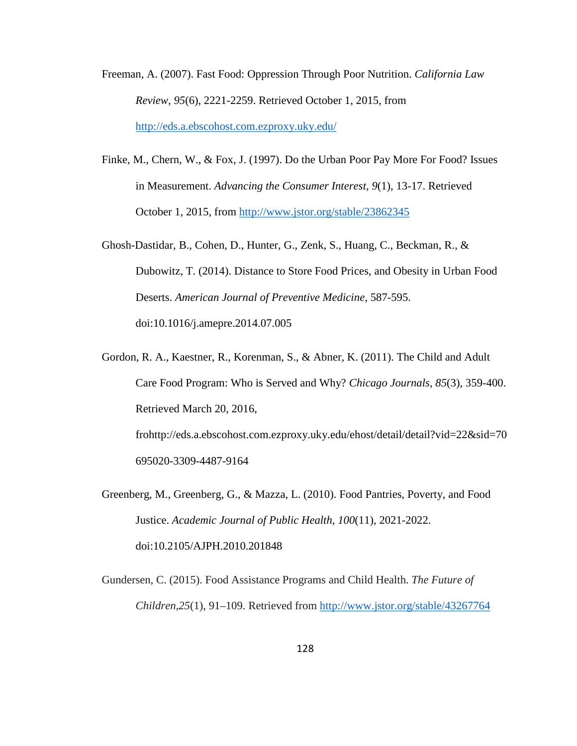- Freeman, A. (2007). Fast Food: Oppression Through Poor Nutrition. *California Law Review, 95*(6), 2221-2259. Retrieved October 1, 2015, from <http://eds.a.ebscohost.com.ezproxy.uky.edu/>
- Finke, M., Chern, W., & Fox, J. (1997). Do the Urban Poor Pay More For Food? Issues in Measurement. *Advancing the Consumer Interest, 9*(1), 13-17. Retrieved October 1, 2015, from<http://www.jstor.org/stable/23862345>
- Ghosh-Dastidar, B., Cohen, D., Hunter, G., Zenk, S., Huang, C., Beckman, R., & Dubowitz, T. (2014). Distance to Store Food Prices, and Obesity in Urban Food Deserts. *American Journal of Preventive Medicine,* 587-595. doi:10.1016/j.amepre.2014.07.005
- Gordon, R. A., Kaestner, R., Korenman, S., & Abner, K. (2011). The Child and Adult Care Food Program: Who is Served and Why? *Chicago Journals, 85*(3), 359-400. Retrieved March 20, 2016, frohttp://eds.a.ebscohost.com.ezproxy.uky.edu/ehost/detail/detail?vid=22&sid=70

695020-3309-4487-9164

- Greenberg, M., Greenberg, G., & Mazza, L. (2010). Food Pantries, Poverty, and Food Justice. *Academic Journal of Public Health, 100*(11), 2021-2022. doi:10.2105/AJPH.2010.201848
- Gundersen, C. (2015). Food Assistance Programs and Child Health. *The Future of Children*,*25*(1), 91–109. Retrieved from<http://www.jstor.org/stable/43267764>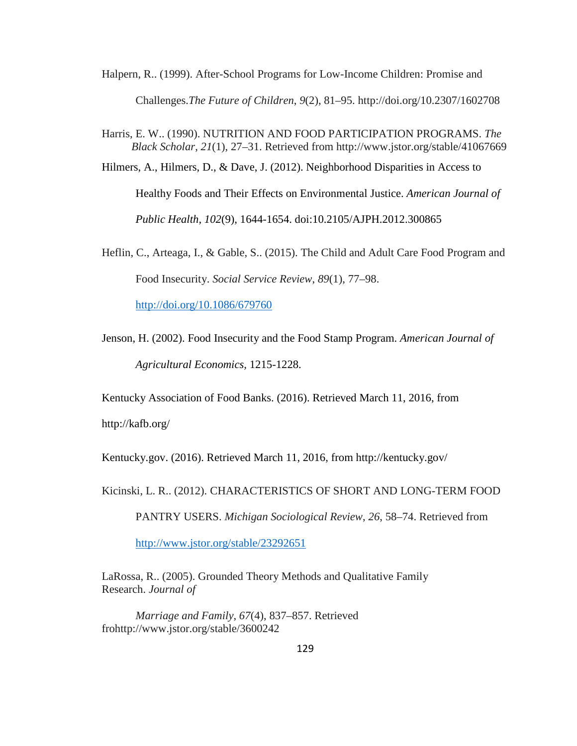Halpern, R.. (1999). After-School Programs for Low-Income Children: Promise and Challenges.*The Future of Children*, *9*(2), 81–95. http://doi.org/10.2307/1602708

Harris, E. W.. (1990). NUTRITION AND FOOD PARTICIPATION PROGRAMS. *The Black Scholar*, *21*(1), 27–31. Retrieved from http://www.jstor.org/stable/41067669

Hilmers, A., Hilmers, D., & Dave, J. (2012). Neighborhood Disparities in Access to Healthy Foods and Their Effects on Environmental Justice. *American Journal of Public Health, 102*(9), 1644-1654. doi:10.2105/AJPH.2012.300865

Heflin, C., Arteaga, I., & Gable, S.. (2015). The Child and Adult Care Food Program and Food Insecurity. *Social Service Review*, *89*(1), 77–98.

<http://doi.org/10.1086/679760>

Jenson, H. (2002). Food Insecurity and the Food Stamp Program. *American Journal of Agricultural Economics,* 1215-1228.

Kentucky Association of Food Banks. (2016). Retrieved March 11, 2016, from

http://kafb.org/

Kentucky.gov. (2016). Retrieved March 11, 2016, from http://kentucky.gov/

Kicinski, L. R.. (2012). CHARACTERISTICS OF SHORT AND LONG-TERM FOOD

PANTRY USERS. *Michigan Sociological Review*, *26*, 58–74. Retrieved from

<http://www.jstor.org/stable/23292651>

LaRossa, R.. (2005). Grounded Theory Methods and Qualitative Family Research. *Journal of* 

*Marriage and Family*, *67*(4), 837–857. Retrieved frohttp://www.jstor.org/stable/3600242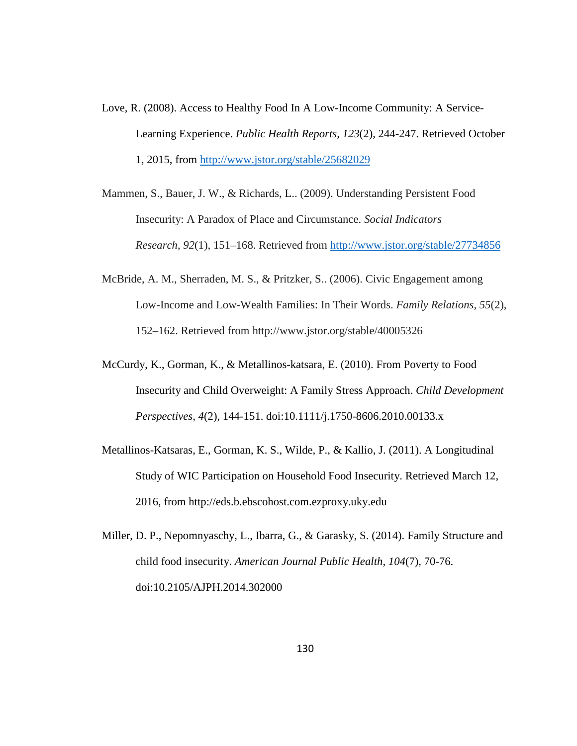- Love, R. (2008). Access to Healthy Food In A Low-Income Community: A Service-Learning Experience. *Public Health Reports, 123*(2), 244-247. Retrieved October 1, 2015, from<http://www.jstor.org/stable/25682029>
- Mammen, S., Bauer, J. W., & Richards, L.. (2009). Understanding Persistent Food Insecurity: A Paradox of Place and Circumstance. *Social Indicators Research*, *92*(1), 151–168. Retrieved from<http://www.jstor.org/stable/27734856>
- McBride, A. M., Sherraden, M. S., & Pritzker, S.. (2006). Civic Engagement among Low-Income and Low-Wealth Families: In Their Words. *Family Relations*, *55*(2), 152–162. Retrieved from http://www.jstor.org/stable/40005326
- McCurdy, K., Gorman, K., & Metallinos-katsara, E. (2010). From Poverty to Food Insecurity and Child Overweight: A Family Stress Approach. *Child Development Perspectives, 4*(2), 144-151. doi:10.1111/j.1750-8606.2010.00133.x
- Metallinos-Katsaras, E., Gorman, K. S., Wilde, P., & Kallio, J. (2011). A Longitudinal Study of WIC Participation on Household Food Insecurity. Retrieved March 12, 2016, from http://eds.b.ebscohost.com.ezproxy.uky.edu
- Miller, D. P., Nepomnyaschy, L., Ibarra, G., & Garasky, S. (2014). Family Structure and child food insecurity. *American Journal Public Health, 104*(7), 70-76. doi:10.2105/AJPH.2014.302000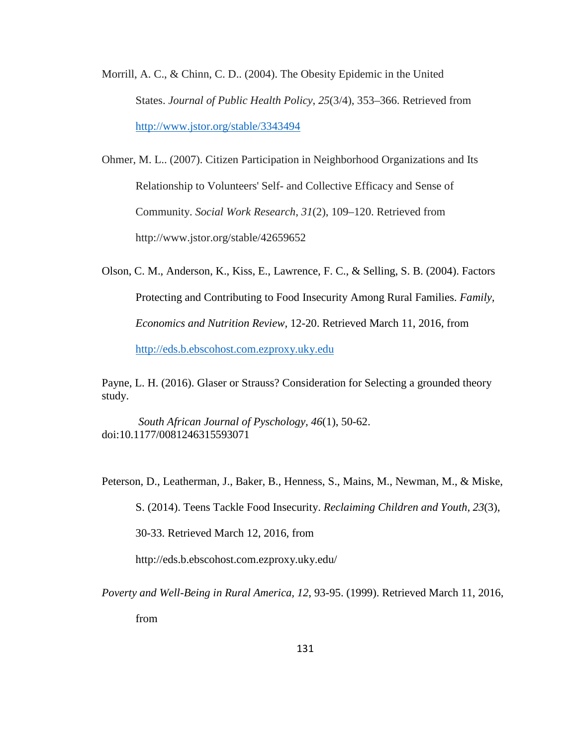Morrill, A. C., & Chinn, C. D.. (2004). The Obesity Epidemic in the United States. *Journal of Public Health Policy*, *25*(3/4), 353–366. Retrieved from <http://www.jstor.org/stable/3343494>

Ohmer, M. L.. (2007). Citizen Participation in Neighborhood Organizations and Its Relationship to Volunteers' Self- and Collective Efficacy and Sense of Community. *Social Work Research*, *31*(2), 109–120. Retrieved from http://www.jstor.org/stable/42659652

Olson, C. M., Anderson, K., Kiss, E., Lawrence, F. C., & Selling, S. B. (2004). Factors Protecting and Contributing to Food Insecurity Among Rural Families. *Family, Economics and Nutrition Review,* 12-20. Retrieved March 11, 2016, from [http://eds.b.ebscohost.com.ezproxy.uky.edu](http://eds.b.ebscohost.com.ezproxy.uky.edu/)

Payne, L. H. (2016). Glaser or Strauss? Consideration for Selecting a grounded theory study.

 *South African Journal of Pyschology, 46*(1), 50-62. doi:10.1177/0081246315593071

Peterson, D., Leatherman, J., Baker, B., Henness, S., Mains, M., Newman, M., & Miske,

S. (2014). Teens Tackle Food Insecurity. *Reclaiming Children and Youth, 23*(3),

30-33. Retrieved March 12, 2016, from

http://eds.b.ebscohost.com.ezproxy.uky.edu/

*Poverty and Well-Being in Rural America, 12*, 93-95. (1999). Retrieved March 11, 2016,

from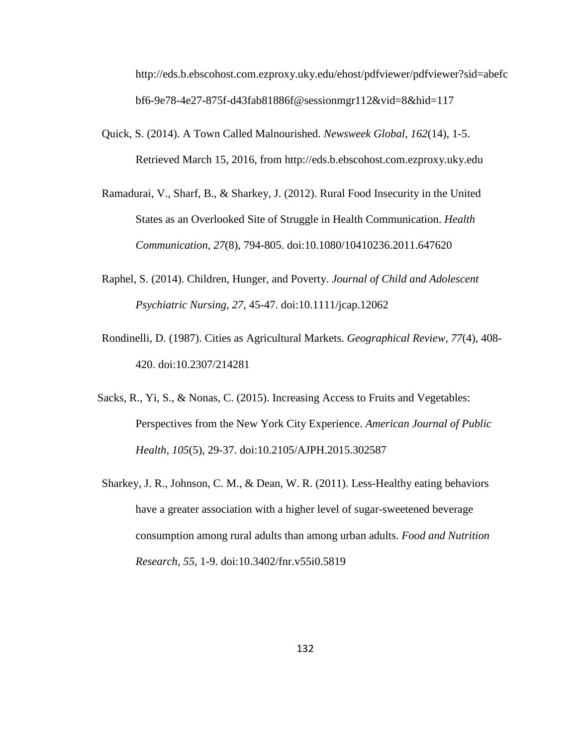http://eds.b.ebscohost.com.ezproxy.uky.edu/ehost/pdfviewer/pdfviewer?sid=abefc bf6-9e78-4e27-875f-d43fab81886f@sessionmgr112&vid=8&hid=117

- Quick, S. (2014). A Town Called Malnourished. *Newsweek Global, 162*(14), 1-5. Retrieved March 15, 2016, from http://eds.b.ebscohost.com.ezproxy.uky.edu
- Ramadurai, V., Sharf, B., & Sharkey, J. (2012). Rural Food Insecurity in the United States as an Overlooked Site of Struggle in Health Communication. *Health Communication, 27*(8), 794-805. doi:10.1080/10410236.2011.647620
- Raphel, S. (2014). Children, Hunger, and Poverty. *Journal of Child and Adolescent Psychiatric Nursing, 27*, 45-47. doi:10.1111/jcap.12062
- Rondinelli, D. (1987). Cities as Agricultural Markets. *Geographical Review, 77*(4), 408- 420. doi:10.2307/214281
- Sacks, R., Yi, S., & Nonas, C. (2015). Increasing Access to Fruits and Vegetables: Perspectives from the New York City Experience. *American Journal of Public Health, 105*(5), 29-37. doi:10.2105/AJPH.2015.302587
- Sharkey, J. R., Johnson, C. M., & Dean, W. R. (2011). Less-Healthy eating behaviors have a greater association with a higher level of sugar-sweetened beverage consumption among rural adults than among urban adults. *Food and Nutrition Research, 55*, 1-9. doi:10.3402/fnr.v55i0.5819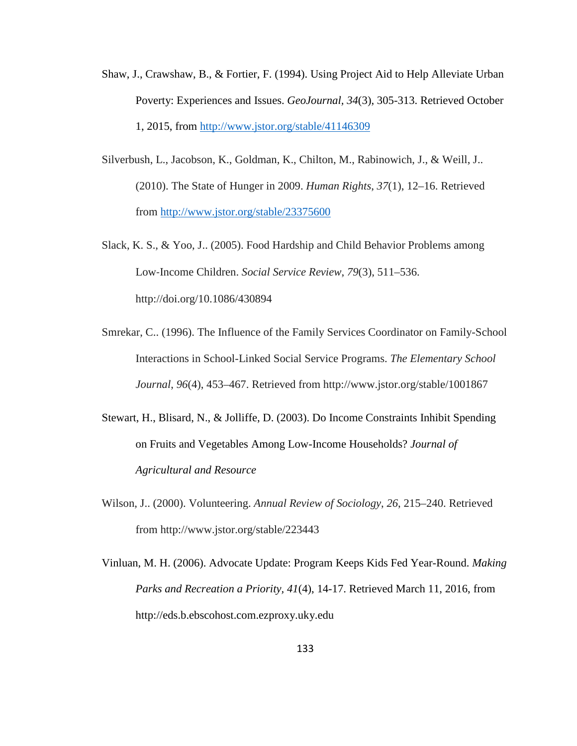- Shaw, J., Crawshaw, B., & Fortier, F. (1994). Using Project Aid to Help Alleviate Urban Poverty: Experiences and Issues. *GeoJournal, 34*(3), 305-313. Retrieved October 1, 2015, from<http://www.jstor.org/stable/41146309>
- Silverbush, L., Jacobson, K., Goldman, K., Chilton, M., Rabinowich, J., & Weill, J.. (2010). The State of Hunger in 2009. *Human Rights*, *37*(1), 12–16. Retrieved from<http://www.jstor.org/stable/23375600>
- Slack, K. S., & Yoo, J.. (2005). Food Hardship and Child Behavior Problems among Low‐Income Children. *Social Service Review*, *79*(3), 511–536. http://doi.org/10.1086/430894
- Smrekar, C.. (1996). The Influence of the Family Services Coordinator on Family-School Interactions in School-Linked Social Service Programs. *The Elementary School Journal*, *96*(4), 453–467. Retrieved from http://www.jstor.org/stable/1001867
- Stewart, H., Blisard, N., & Jolliffe, D. (2003). Do Income Constraints Inhibit Spending on Fruits and Vegetables Among Low-Income Households? *Journal of Agricultural and Resource*
- Wilson, J.. (2000). Volunteering. *Annual Review of Sociology*, *26*, 215–240. Retrieved from http://www.jstor.org/stable/223443
- Vinluan, M. H. (2006). Advocate Update: Program Keeps Kids Fed Year-Round. *Making Parks and Recreation a Priority, 41*(4), 14-17. Retrieved March 11, 2016, from http://eds.b.ebscohost.com.ezproxy.uky.edu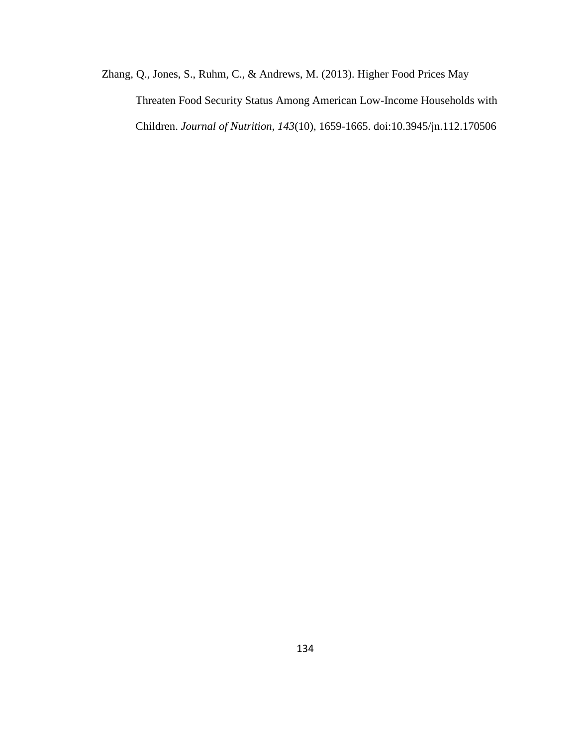Zhang, Q., Jones, S., Ruhm, C., & Andrews, M. (2013). Higher Food Prices May Threaten Food Security Status Among American Low-Income Households with Children. *Journal of Nutrition, 143*(10), 1659-1665. doi:10.3945/jn.112.170506